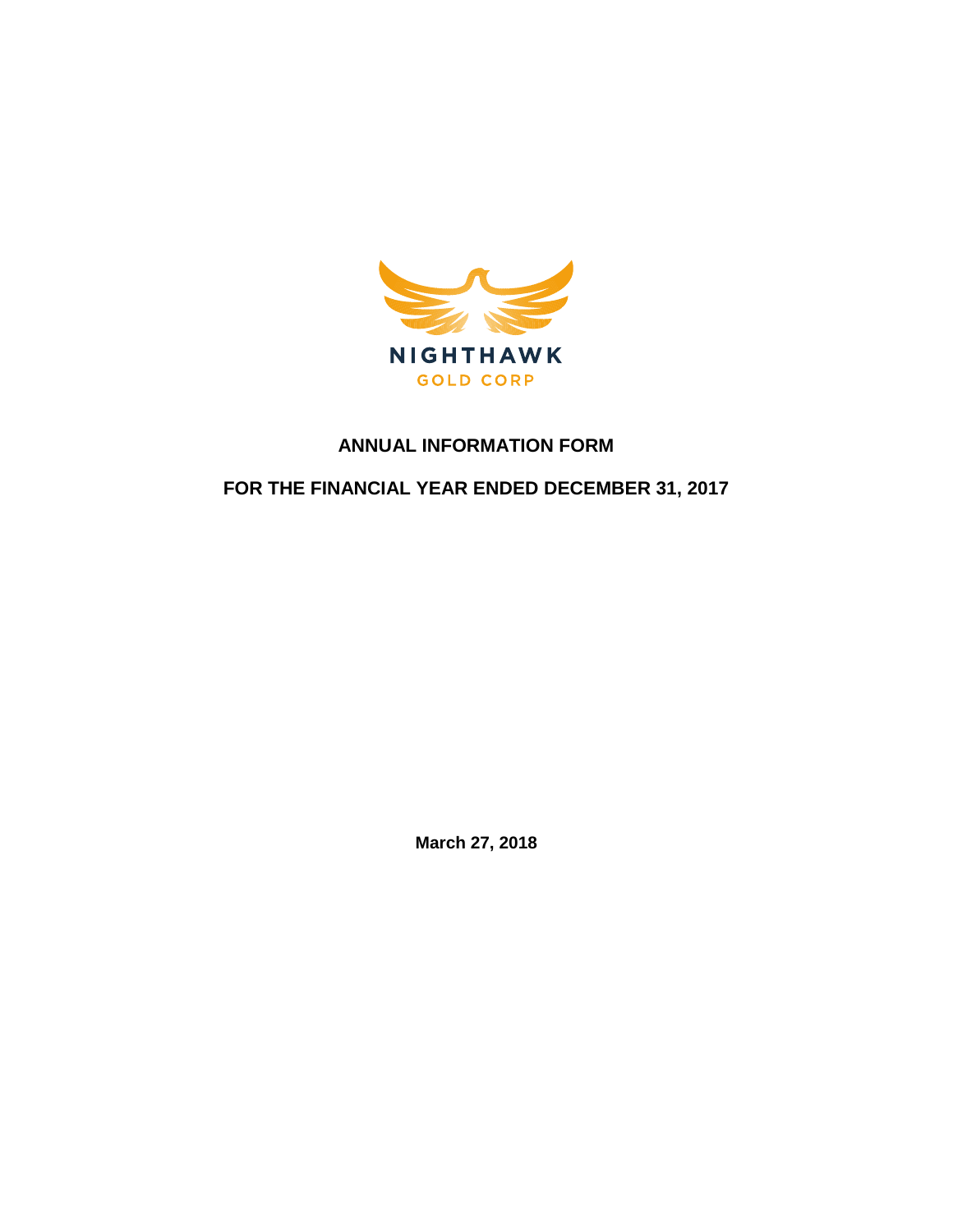

# **ANNUAL INFORMATION FORM**

# **FOR THE FINANCIAL YEAR ENDED DECEMBER 31, 2017**

**March 27, 2018**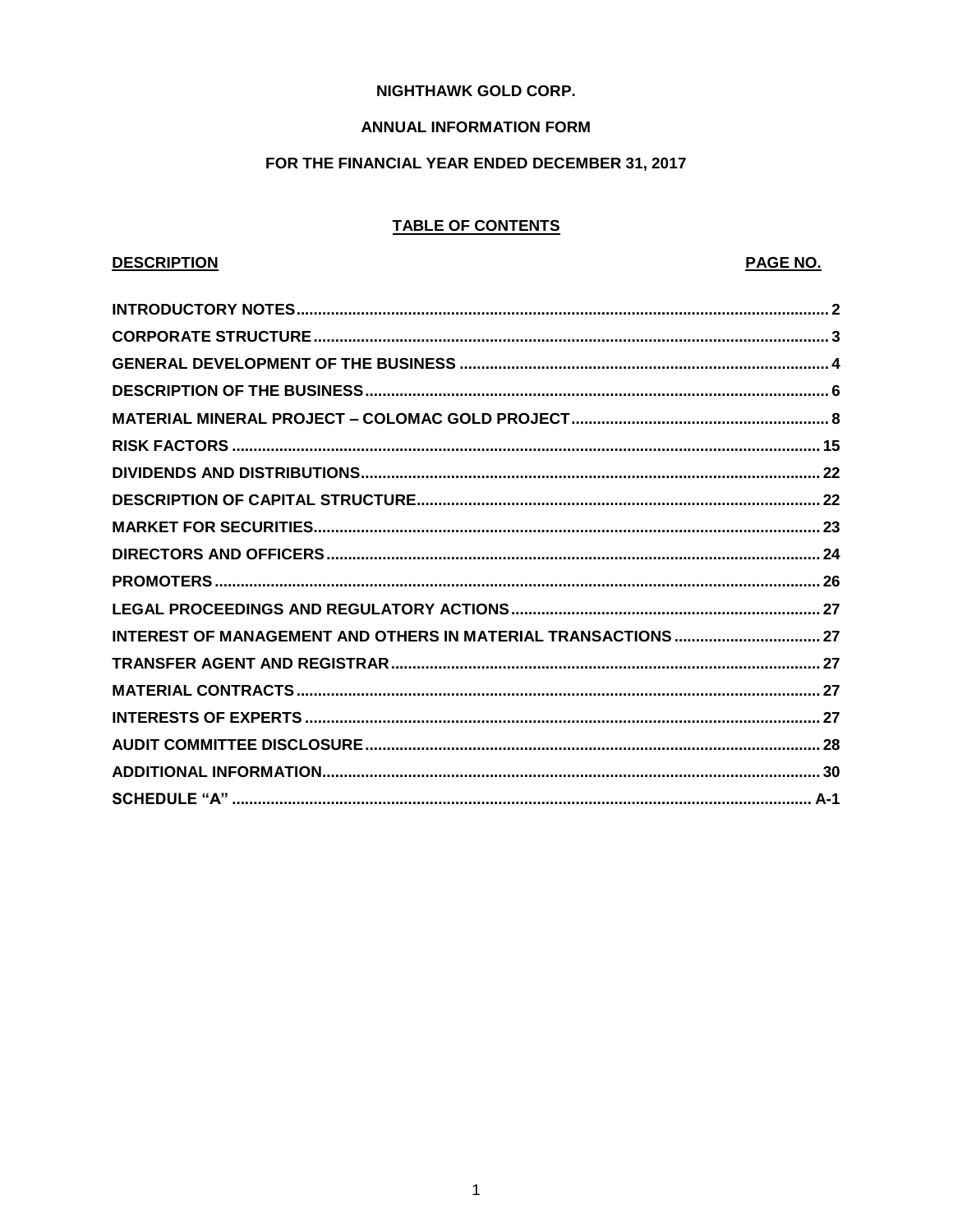# **NIGHTHAWK GOLD CORP.**

# **ANNUAL INFORMATION FORM**

# FOR THE FINANCIAL YEAR ENDED DECEMBER 31, 2017

# **TABLE OF CONTENTS**

# **DESCRIPTION**

# PAGE NO.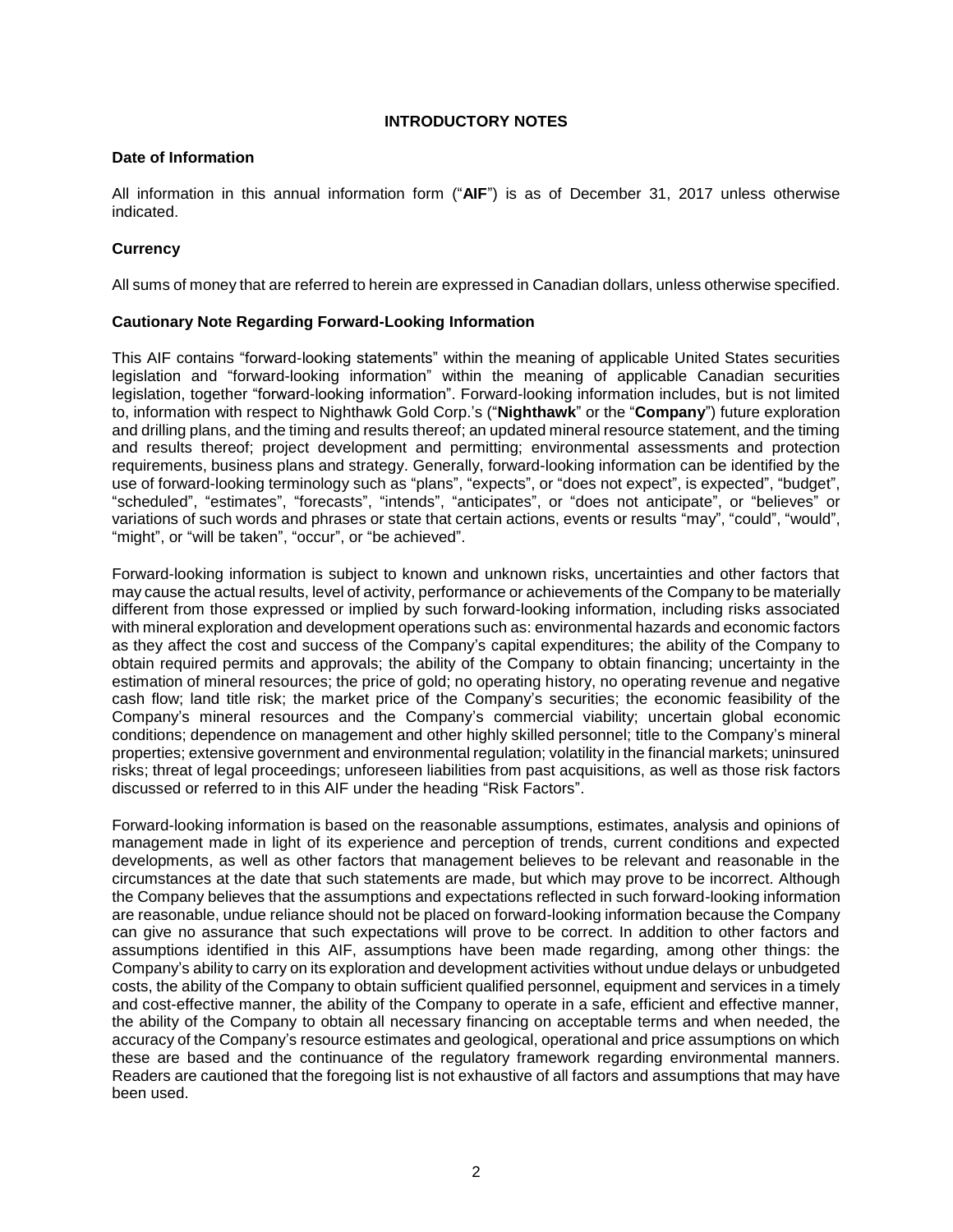# **INTRODUCTORY NOTES**

### <span id="page-2-0"></span>**Date of Information**

All information in this annual information form ("**AIF**") is as of December 31, 2017 unless otherwise indicated.

# **Currency**

All sums of money that are referred to herein are expressed in Canadian dollars, unless otherwise specified.

# **Cautionary Note Regarding Forward-Looking Information**

This AIF contains "forward-looking statements" within the meaning of applicable United States securities legislation and "forward-looking information" within the meaning of applicable Canadian securities legislation, together "forward-looking information". Forward-looking information includes, but is not limited to, information with respect to Nighthawk Gold Corp.'s ("**Nighthawk**" or the "**Company**") future exploration and drilling plans, and the timing and results thereof; an updated mineral resource statement, and the timing and results thereof; project development and permitting; environmental assessments and protection requirements, business plans and strategy. Generally, forward-looking information can be identified by the use of forward-looking terminology such as "plans", "expects", or "does not expect", is expected", "budget", "scheduled", "estimates", "forecasts", "intends", "anticipates", or "does not anticipate", or "believes" or variations of such words and phrases or state that certain actions, events or results "may", "could", "would", "might", or "will be taken", "occur", or "be achieved".

Forward-looking information is subject to known and unknown risks, uncertainties and other factors that may cause the actual results, level of activity, performance or achievements of the Company to be materially different from those expressed or implied by such forward-looking information, including risks associated with mineral exploration and development operations such as: environmental hazards and economic factors as they affect the cost and success of the Company's capital expenditures; the ability of the Company to obtain required permits and approvals; the ability of the Company to obtain financing; uncertainty in the estimation of mineral resources; the price of gold; no operating history, no operating revenue and negative cash flow; land title risk; the market price of the Company's securities; the economic feasibility of the Company's mineral resources and the Company's commercial viability; uncertain global economic conditions; dependence on management and other highly skilled personnel; title to the Company's mineral properties; extensive government and environmental regulation; volatility in the financial markets; uninsured risks; threat of legal proceedings; unforeseen liabilities from past acquisitions, as well as those risk factors discussed or referred to in this AIF under the heading "Risk Factors".

Forward-looking information is based on the reasonable assumptions, estimates, analysis and opinions of management made in light of its experience and perception of trends, current conditions and expected developments, as well as other factors that management believes to be relevant and reasonable in the circumstances at the date that such statements are made, but which may prove to be incorrect. Although the Company believes that the assumptions and expectations reflected in such forward-looking information are reasonable, undue reliance should not be placed on forward-looking information because the Company can give no assurance that such expectations will prove to be correct. In addition to other factors and assumptions identified in this AIF, assumptions have been made regarding, among other things: the Company's ability to carry on its exploration and development activities without undue delays or unbudgeted costs, the ability of the Company to obtain sufficient qualified personnel, equipment and services in a timely and cost-effective manner, the ability of the Company to operate in a safe, efficient and effective manner, the ability of the Company to obtain all necessary financing on acceptable terms and when needed, the accuracy of the Company's resource estimates and geological, operational and price assumptions on which these are based and the continuance of the regulatory framework regarding environmental manners. Readers are cautioned that the foregoing list is not exhaustive of all factors and assumptions that may have been used.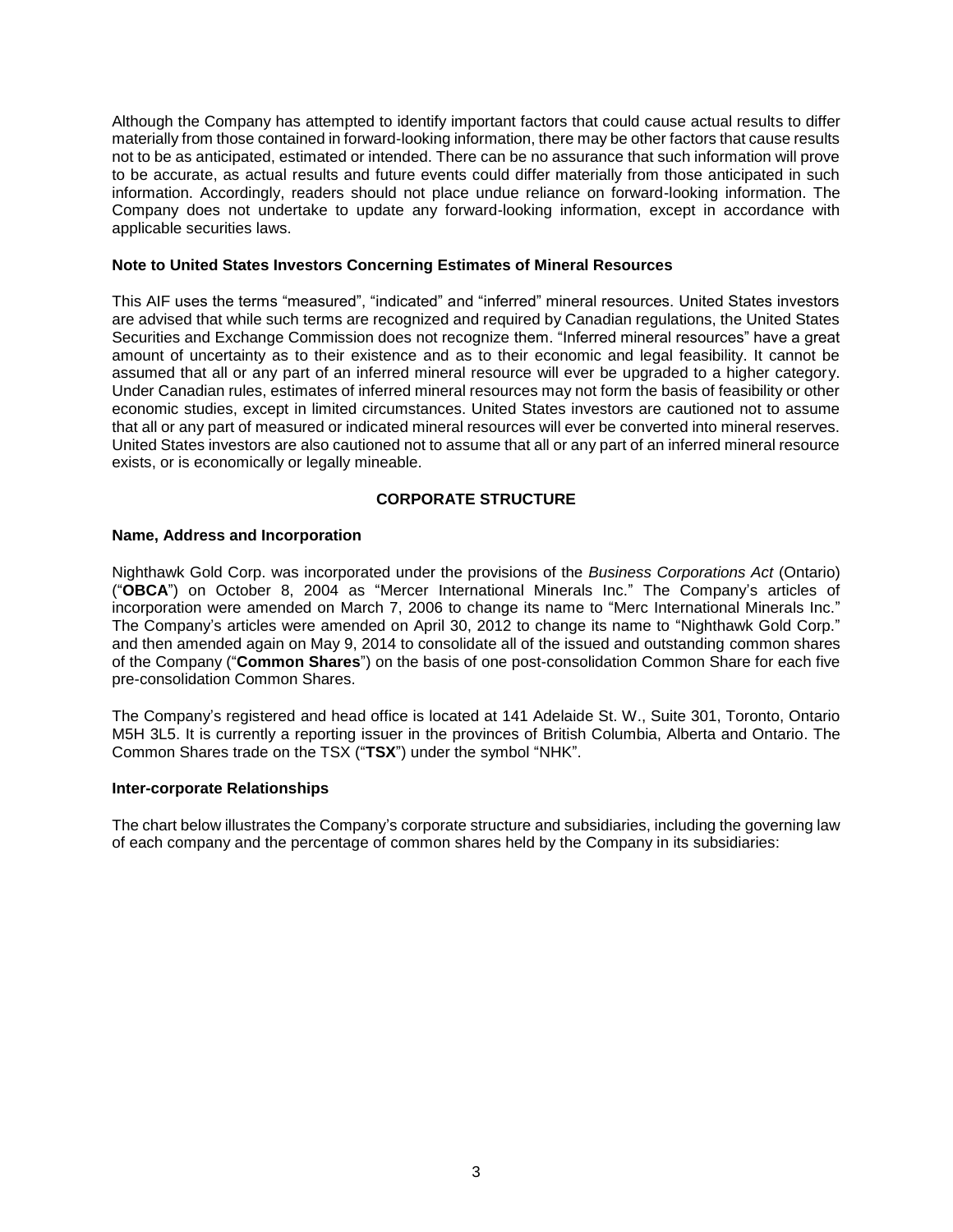Although the Company has attempted to identify important factors that could cause actual results to differ materially from those contained in forward-looking information, there may be other factors that cause results not to be as anticipated, estimated or intended. There can be no assurance that such information will prove to be accurate, as actual results and future events could differ materially from those anticipated in such information. Accordingly, readers should not place undue reliance on forward-looking information. The Company does not undertake to update any forward-looking information, except in accordance with applicable securities laws.

### **Note to United States Investors Concerning Estimates of Mineral Resources**

This AIF uses the terms "measured", "indicated" and "inferred" mineral resources. United States investors are advised that while such terms are recognized and required by Canadian regulations, the United States Securities and Exchange Commission does not recognize them. "Inferred mineral resources" have a great amount of uncertainty as to their existence and as to their economic and legal feasibility. It cannot be assumed that all or any part of an inferred mineral resource will ever be upgraded to a higher category. Under Canadian rules, estimates of inferred mineral resources may not form the basis of feasibility or other economic studies, except in limited circumstances. United States investors are cautioned not to assume that all or any part of measured or indicated mineral resources will ever be converted into mineral reserves. United States investors are also cautioned not to assume that all or any part of an inferred mineral resource exists, or is economically or legally mineable.

# **CORPORATE STRUCTURE**

#### <span id="page-3-0"></span>**Name, Address and Incorporation**

Nighthawk Gold Corp. was incorporated under the provisions of the *Business Corporations Act* (Ontario) ("**OBCA**") on October 8, 2004 as "Mercer International Minerals Inc." The Company's articles of incorporation were amended on March 7, 2006 to change its name to "Merc International Minerals Inc." The Company's articles were amended on April 30, 2012 to change its name to "Nighthawk Gold Corp." and then amended again on May 9, 2014 to consolidate all of the issued and outstanding common shares of the Company ("**Common Shares**") on the basis of one post-consolidation Common Share for each five pre-consolidation Common Shares.

The Company's registered and head office is located at 141 Adelaide St. W., Suite 301, Toronto, Ontario M5H 3L5. It is currently a reporting issuer in the provinces of British Columbia, Alberta and Ontario. The Common Shares trade on the TSX ("**TSX**") under the symbol "NHK".

#### **Inter-corporate Relationships**

The chart below illustrates the Company's corporate structure and subsidiaries, including the governing law of each company and the percentage of common shares held by the Company in its subsidiaries: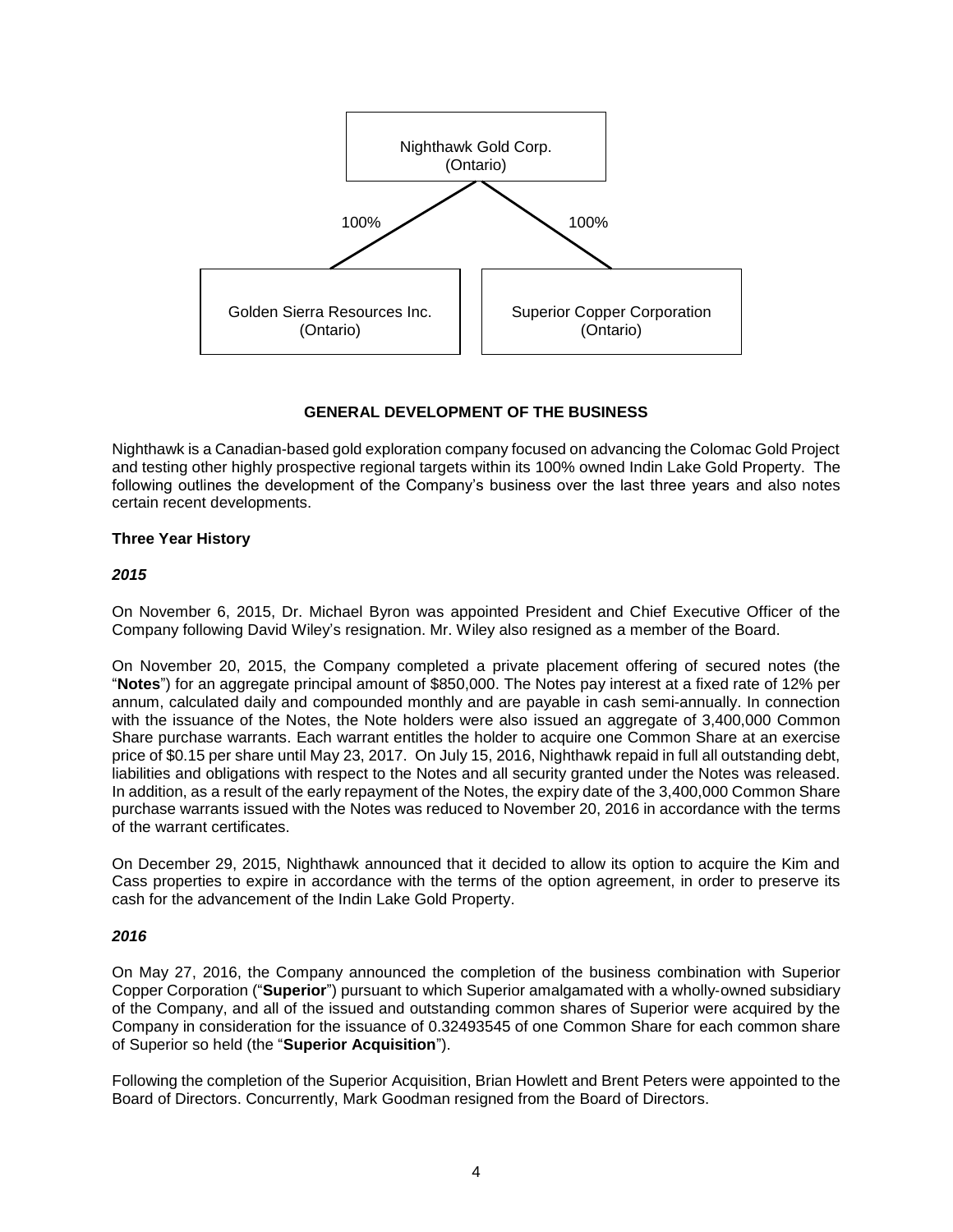

# **GENERAL DEVELOPMENT OF THE BUSINESS**

<span id="page-4-0"></span>Nighthawk is a Canadian-based gold exploration company focused on advancing the Colomac Gold Project and testing other highly prospective regional targets within its 100% owned Indin Lake Gold Property. The following outlines the development of the Company's business over the last three years and also notes certain recent developments.

# **Three Year History**

# *2015*

On November 6, 2015, Dr. Michael Byron was appointed President and Chief Executive Officer of the Company following David Wiley's resignation. Mr. Wiley also resigned as a member of the Board.

On November 20, 2015, the Company completed a private placement offering of secured notes (the "**Notes**") for an aggregate principal amount of \$850,000. The Notes pay interest at a fixed rate of 12% per annum, calculated daily and compounded monthly and are payable in cash semi-annually. In connection with the issuance of the Notes, the Note holders were also issued an aggregate of 3,400,000 Common Share purchase warrants. Each warrant entitles the holder to acquire one Common Share at an exercise price of \$0.15 per share until May 23, 2017. On July 15, 2016, Nighthawk repaid in full all outstanding debt, liabilities and obligations with respect to the Notes and all security granted under the Notes was released. In addition, as a result of the early repayment of the Notes, the expiry date of the 3,400,000 Common Share purchase warrants issued with the Notes was reduced to November 20, 2016 in accordance with the terms of the warrant certificates.

On December 29, 2015, Nighthawk announced that it decided to allow its option to acquire the Kim and Cass properties to expire in accordance with the terms of the option agreement, in order to preserve its cash for the advancement of the Indin Lake Gold Property.

# *2016*

On May 27, 2016, the Company announced the completion of the business combination with Superior Copper Corporation ("**Superior**") pursuant to which Superior amalgamated with a wholly‐owned subsidiary of the Company, and all of the issued and outstanding common shares of Superior were acquired by the Company in consideration for the issuance of 0.32493545 of one Common Share for each common share of Superior so held (the "**Superior Acquisition**").

Following the completion of the Superior Acquisition, Brian Howlett and Brent Peters were appointed to the Board of Directors. Concurrently, Mark Goodman resigned from the Board of Directors.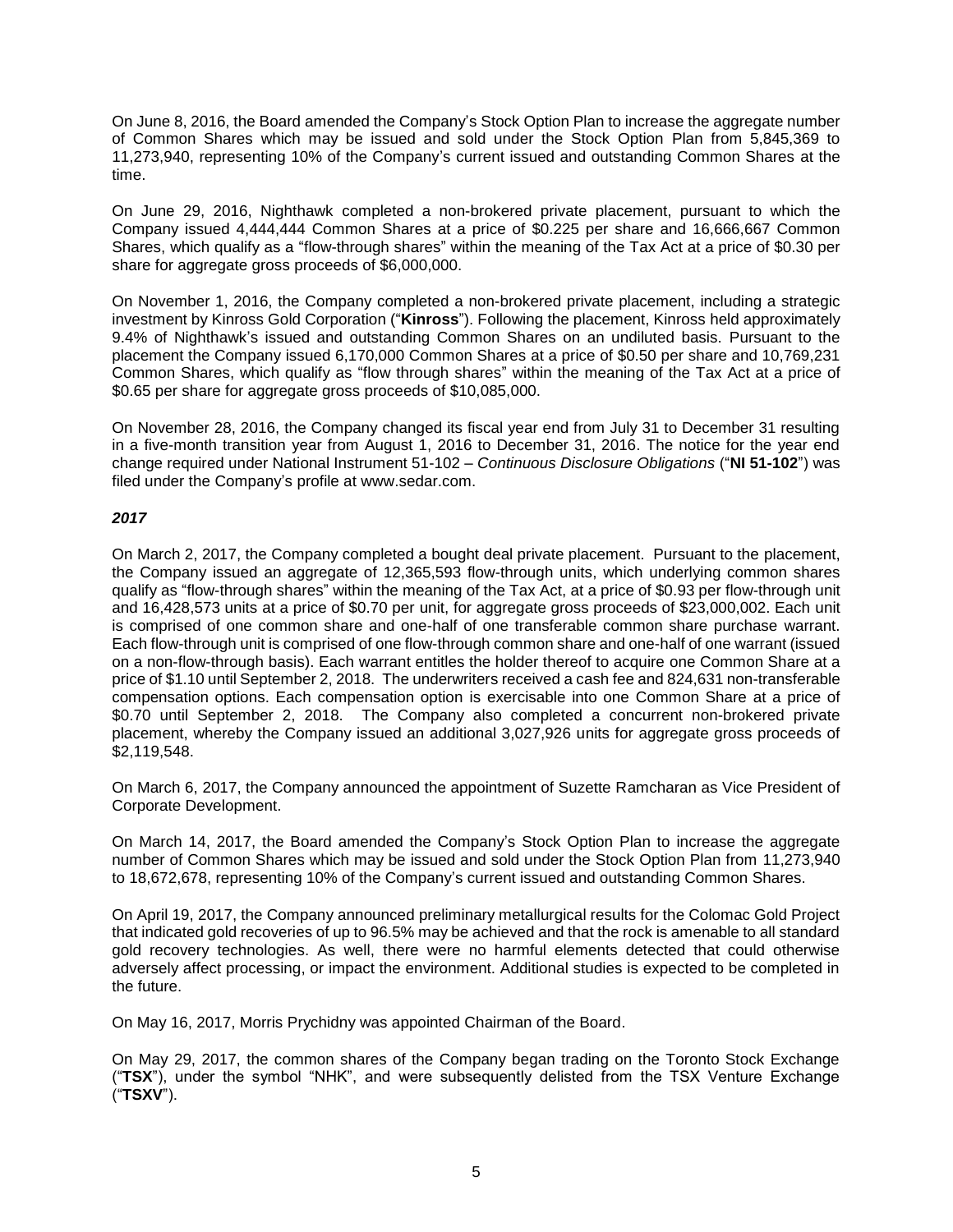On June 8, 2016, the Board amended the Company's Stock Option Plan to increase the aggregate number of Common Shares which may be issued and sold under the Stock Option Plan from 5,845,369 to 11,273,940, representing 10% of the Company's current issued and outstanding Common Shares at the time.

On June 29, 2016, Nighthawk completed a non-brokered private placement, pursuant to which the Company issued 4,444,444 Common Shares at a price of \$0.225 per share and 16,666,667 Common Shares, which qualify as a "flow-through shares" within the meaning of the Tax Act at a price of \$0.30 per share for aggregate gross proceeds of \$6,000,000.

On November 1, 2016, the Company completed a non-brokered private placement, including a strategic investment by Kinross Gold Corporation ("**Kinross**"). Following the placement, Kinross held approximately 9.4% of Nighthawk's issued and outstanding Common Shares on an undiluted basis. Pursuant to the placement the Company issued 6,170,000 Common Shares at a price of \$0.50 per share and 10,769,231 Common Shares, which qualify as "flow through shares" within the meaning of the Tax Act at a price of \$0.65 per share for aggregate gross proceeds of \$10,085,000.

On November 28, 2016, the Company changed its fiscal year end from July 31 to December 31 resulting in a five-month transition year from August 1, 2016 to December 31, 2016. The notice for the year end change required under National Instrument 51-102 – *Continuous Disclosure Obligations* ("**NI 51-102**") was filed under the Company's profile at www.sedar.com.

# *2017*

On March 2, 2017, the Company completed a bought deal private placement. Pursuant to the placement, the Company issued an aggregate of 12,365,593 flow-through units, which underlying common shares qualify as "flow-through shares" within the meaning of the Tax Act, at a price of \$0.93 per flow-through unit and 16,428,573 units at a price of \$0.70 per unit, for aggregate gross proceeds of \$23,000,002. Each unit is comprised of one common share and one-half of one transferable common share purchase warrant. Each flow-through unit is comprised of one flow-through common share and one-half of one warrant (issued on a non-flow-through basis). Each warrant entitles the holder thereof to acquire one Common Share at a price of \$1.10 until September 2, 2018. The underwriters received a cash fee and 824,631 non-transferable compensation options. Each compensation option is exercisable into one Common Share at a price of \$0.70 until September 2, 2018. The Company also completed a concurrent non-brokered private placement, whereby the Company issued an additional 3,027,926 units for aggregate gross proceeds of \$2,119,548.

On March 6, 2017, the Company announced the appointment of Suzette Ramcharan as Vice President of Corporate Development.

On March 14, 2017, the Board amended the Company's Stock Option Plan to increase the aggregate number of Common Shares which may be issued and sold under the Stock Option Plan from 11,273,940 to 18,672,678, representing 10% of the Company's current issued and outstanding Common Shares.

On April 19, 2017, the Company announced preliminary metallurgical results for the Colomac Gold Project that indicated gold recoveries of up to 96.5% may be achieved and that the rock is amenable to all standard gold recovery technologies. As well, there were no harmful elements detected that could otherwise adversely affect processing, or impact the environment. Additional studies is expected to be completed in the future.

On May 16, 2017, Morris Prychidny was appointed Chairman of the Board.

On May 29, 2017, the common shares of the Company began trading on the Toronto Stock Exchange ("**TSX**"), under the symbol "NHK", and were subsequently delisted from the TSX Venture Exchange ("**TSXV**").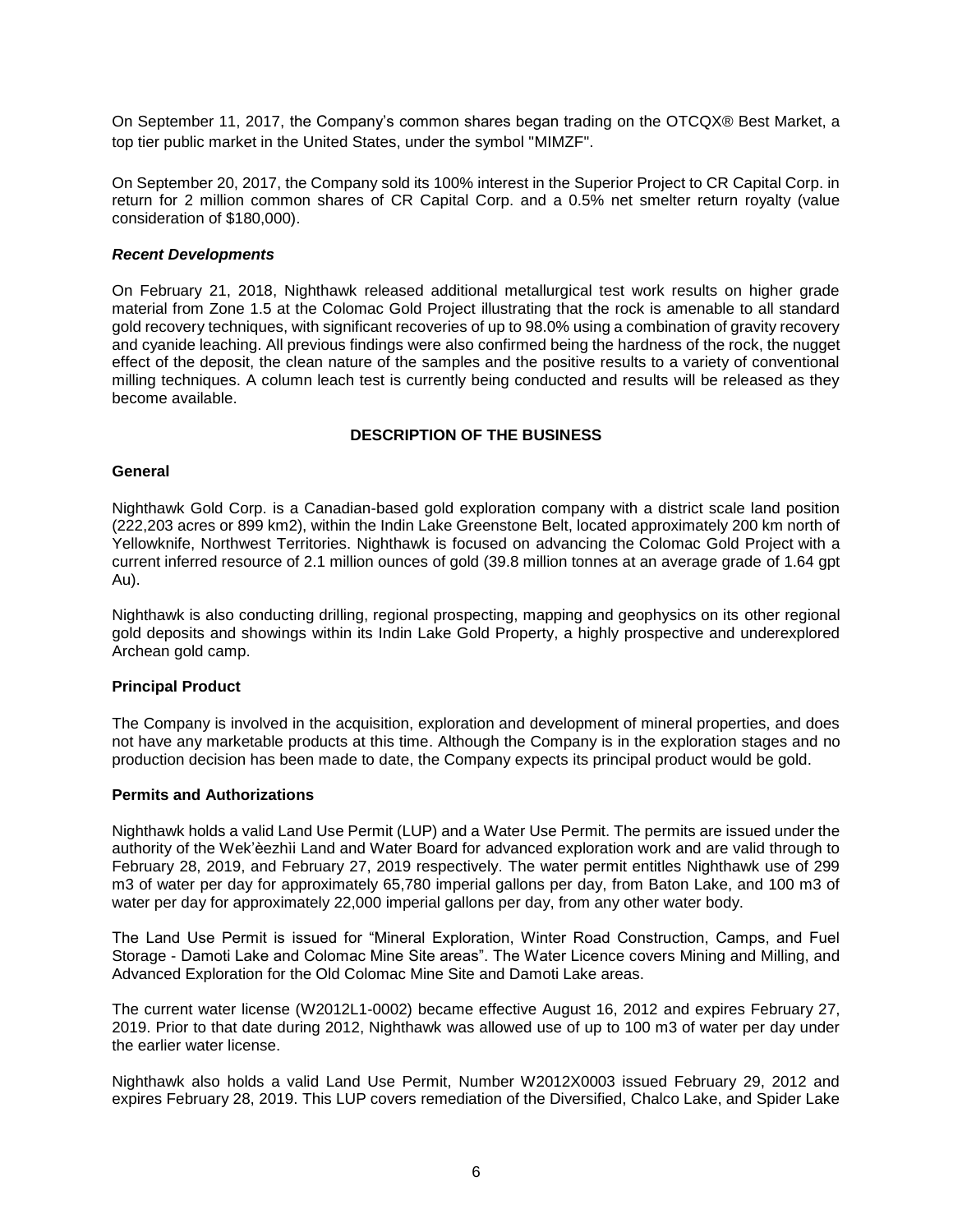On September 11, 2017, the Company's common shares began trading on the OTCQX® Best Market, a top tier public market in the United States, under the symbol "MIMZF".

On September 20, 2017, the Company sold its 100% interest in the Superior Project to CR Capital Corp. in return for 2 million common shares of CR Capital Corp. and a 0.5% net smelter return royalty (value consideration of \$180,000).

### *Recent Developments*

On February 21, 2018, Nighthawk released additional metallurgical test work results on higher grade material from Zone 1.5 at the Colomac Gold Project illustrating that the rock is amenable to all standard gold recovery techniques, with significant recoveries of up to 98.0% using a combination of gravity recovery and cyanide leaching. All previous findings were also confirmed being the hardness of the rock, the nugget effect of the deposit, the clean nature of the samples and the positive results to a variety of conventional milling techniques. A column leach test is currently being conducted and results will be released as they become available.

### **DESCRIPTION OF THE BUSINESS**

#### <span id="page-6-0"></span>**General**

Nighthawk Gold Corp. is a Canadian-based gold exploration company with a district scale land position (222,203 acres or 899 km2), within the Indin Lake Greenstone Belt, located approximately 200 km north of Yellowknife, Northwest Territories. Nighthawk is focused on advancing the [Colomac Gold Project](http://www.nighthawkgold.com/indin-lake/colomac-gold/overview/) with a current inferred resource of 2.1 million ounces of gold (39.8 million tonnes at an average grade of 1.64 gpt Au).

Nighthawk is also conducting drilling, regional prospecting, mapping and geophysics on its other regional gold deposits and showings within its Indin Lake Gold Property, a highly prospective and underexplored Archean gold camp.

### **Principal Product**

The Company is involved in the acquisition, exploration and development of mineral properties, and does not have any marketable products at this time. Although the Company is in the exploration stages and no production decision has been made to date, the Company expects its principal product would be gold.

### **Permits and Authorizations**

Nighthawk holds a valid Land Use Permit (LUP) and a Water Use Permit. The permits are issued under the authority of the Wek'èezhìi Land and Water Board for advanced exploration work and are valid through to February 28, 2019, and February 27, 2019 respectively. The water permit entitles Nighthawk use of 299 m3 of water per day for approximately 65,780 imperial gallons per day, from Baton Lake, and 100 m3 of water per day for approximately 22,000 imperial gallons per day, from any other water body.

The Land Use Permit is issued for "Mineral Exploration, Winter Road Construction, Camps, and Fuel Storage - Damoti Lake and Colomac Mine Site areas". The Water Licence covers Mining and Milling, and Advanced Exploration for the Old Colomac Mine Site and Damoti Lake areas.

The current water license (W2012L1-0002) became effective August 16, 2012 and expires February 27, 2019. Prior to that date during 2012, Nighthawk was allowed use of up to 100 m3 of water per day under the earlier water license.

Nighthawk also holds a valid Land Use Permit, Number W2012X0003 issued February 29, 2012 and expires February 28, 2019. This LUP covers remediation of the Diversified, Chalco Lake, and Spider Lake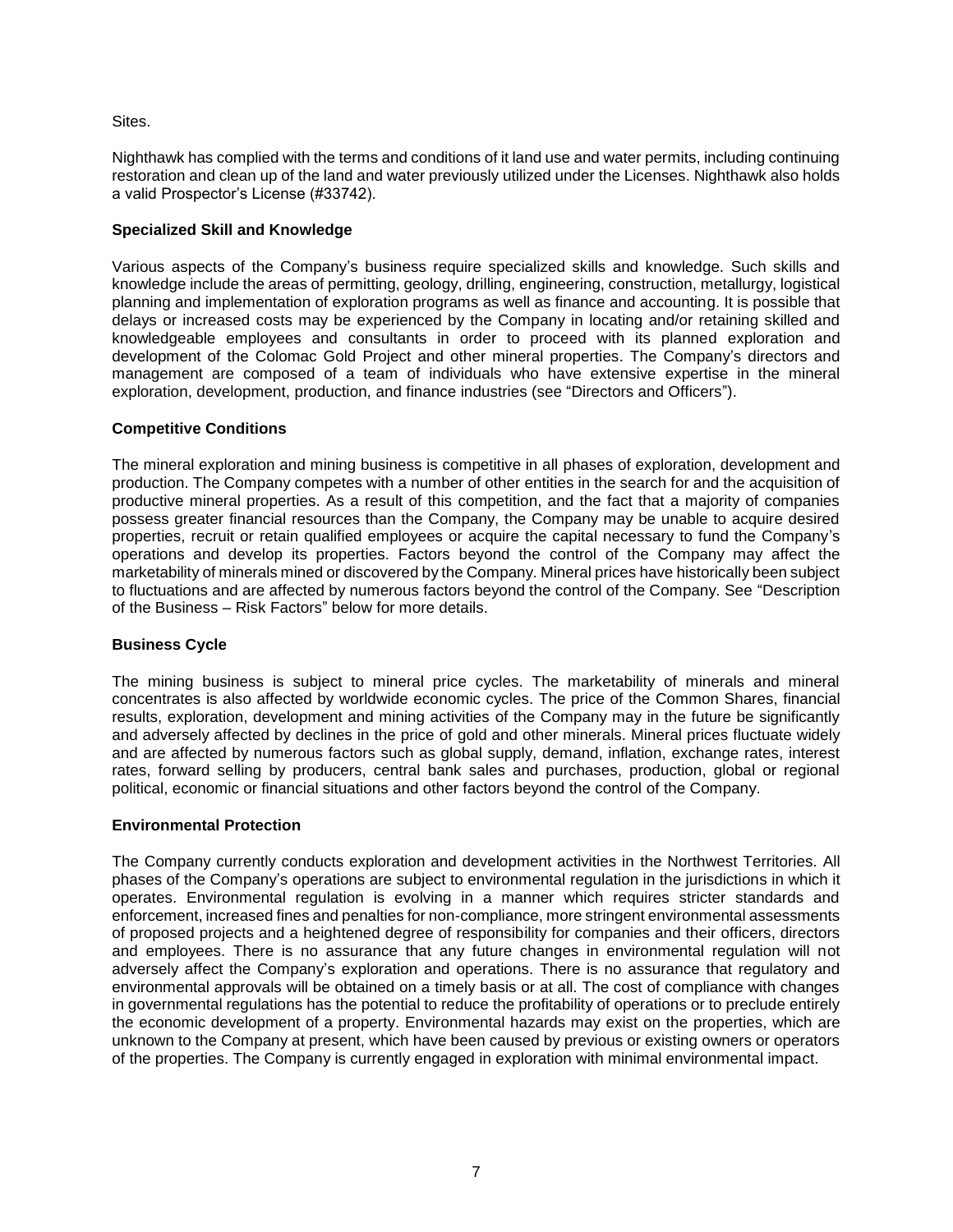### Sites.

Nighthawk has complied with the terms and conditions of it land use and water permits, including continuing restoration and clean up of the land and water previously utilized under the Licenses. Nighthawk also holds a valid Prospector's License (#33742).

# **Specialized Skill and Knowledge**

Various aspects of the Company's business require specialized skills and knowledge. Such skills and knowledge include the areas of permitting, geology, drilling, engineering, construction, metallurgy, logistical planning and implementation of exploration programs as well as finance and accounting. It is possible that delays or increased costs may be experienced by the Company in locating and/or retaining skilled and knowledgeable employees and consultants in order to proceed with its planned exploration and development of the Colomac Gold Project and other mineral properties. The Company's directors and management are composed of a team of individuals who have extensive expertise in the mineral exploration, development, production, and finance industries (see "Directors and Officers").

# **Competitive Conditions**

The mineral exploration and mining business is competitive in all phases of exploration, development and production. The Company competes with a number of other entities in the search for and the acquisition of productive mineral properties. As a result of this competition, and the fact that a majority of companies possess greater financial resources than the Company, the Company may be unable to acquire desired properties, recruit or retain qualified employees or acquire the capital necessary to fund the Company's operations and develop its properties. Factors beyond the control of the Company may affect the marketability of minerals mined or discovered by the Company. Mineral prices have historically been subject to fluctuations and are affected by numerous factors beyond the control of the Company. See "Description of the Business – Risk Factors" below for more details.

### **Business Cycle**

The mining business is subject to mineral price cycles. The marketability of minerals and mineral concentrates is also affected by worldwide economic cycles. The price of the Common Shares, financial results, exploration, development and mining activities of the Company may in the future be significantly and adversely affected by declines in the price of gold and other minerals. Mineral prices fluctuate widely and are affected by numerous factors such as global supply, demand, inflation, exchange rates, interest rates, forward selling by producers, central bank sales and purchases, production, global or regional political, economic or financial situations and other factors beyond the control of the Company.

### **Environmental Protection**

The Company currently conducts exploration and development activities in the Northwest Territories. All phases of the Company's operations are subject to environmental regulation in the jurisdictions in which it operates. Environmental regulation is evolving in a manner which requires stricter standards and enforcement, increased fines and penalties for non-compliance, more stringent environmental assessments of proposed projects and a heightened degree of responsibility for companies and their officers, directors and employees. There is no assurance that any future changes in environmental regulation will not adversely affect the Company's exploration and operations. There is no assurance that regulatory and environmental approvals will be obtained on a timely basis or at all. The cost of compliance with changes in governmental regulations has the potential to reduce the profitability of operations or to preclude entirely the economic development of a property. Environmental hazards may exist on the properties, which are unknown to the Company at present, which have been caused by previous or existing owners or operators of the properties. The Company is currently engaged in exploration with minimal environmental impact.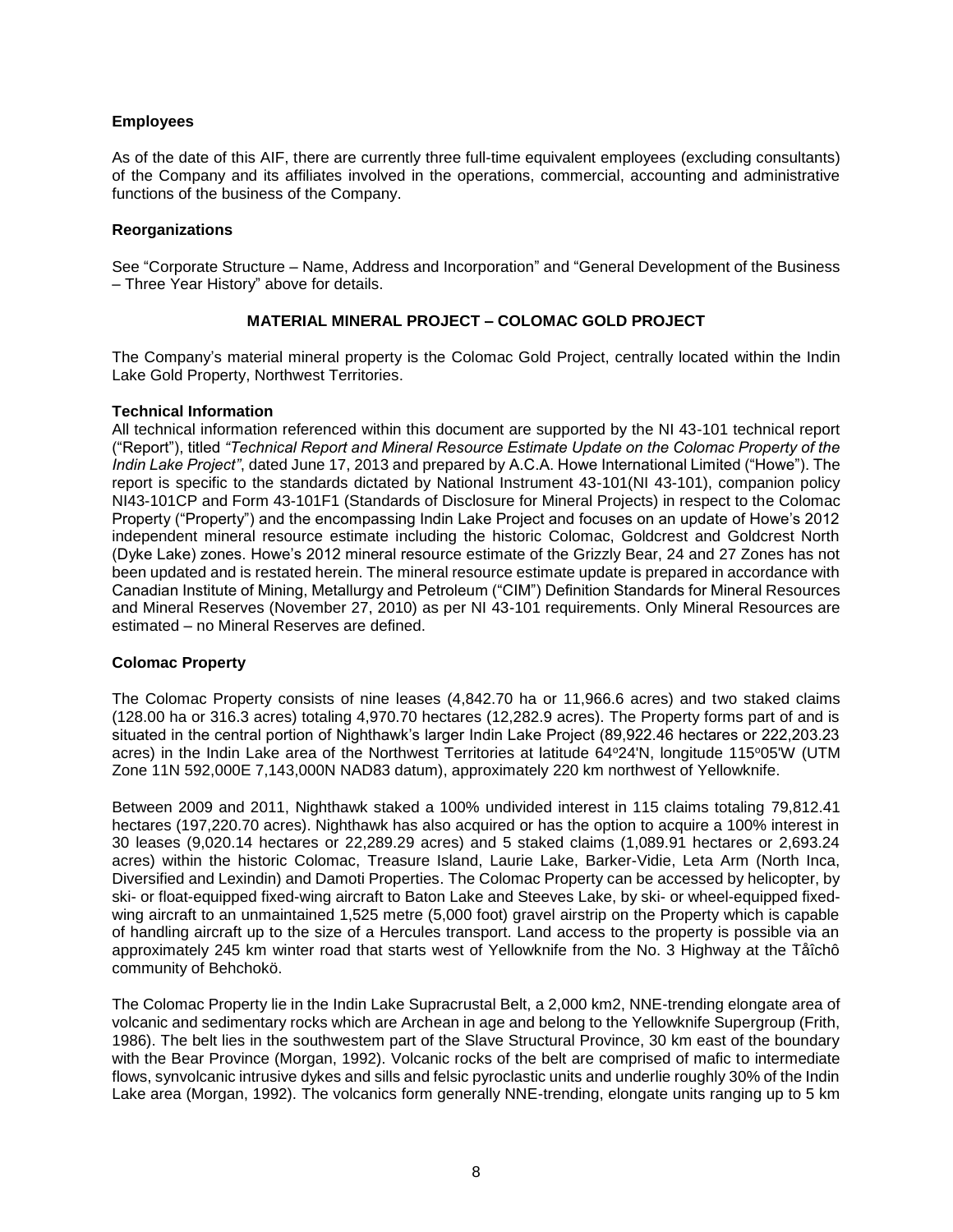## **Employees**

As of the date of this AIF, there are currently three full-time equivalent employees (excluding consultants) of the Company and its affiliates involved in the operations, commercial, accounting and administrative functions of the business of the Company.

### **Reorganizations**

See "Corporate Structure – Name, Address and Incorporation" and "General Development of the Business – Three Year History" above for details.

# **MATERIAL MINERAL PROJECT – COLOMAC GOLD PROJECT**

<span id="page-8-0"></span>The Company's material mineral property is the Colomac Gold Project, centrally located within the Indin Lake Gold Property, Northwest Territories.

### **Technical Information**

All technical information referenced within this document are supported by the NI 43-101 technical report ("Report"), titled *"Technical Report and Mineral Resource Estimate Update on the Colomac Property of the Indin Lake Project"*, dated June 17, 2013 and prepared by A.C.A. Howe International Limited ("Howe"). The report is specific to the standards dictated by National Instrument 43-101(NI 43-101), companion policy NI43-101CP and Form 43-101F1 (Standards of Disclosure for Mineral Projects) in respect to the Colomac Property ("Property") and the encompassing Indin Lake Project and focuses on an update of Howe's 2012 independent mineral resource estimate including the historic Colomac, Goldcrest and Goldcrest North (Dyke Lake) zones. Howe's 2012 mineral resource estimate of the Grizzly Bear, 24 and 27 Zones has not been updated and is restated herein. The mineral resource estimate update is prepared in accordance with Canadian Institute of Mining, Metallurgy and Petroleum ("CIM") Definition Standards for Mineral Resources and Mineral Reserves (November 27, 2010) as per NI 43-101 requirements. Only Mineral Resources are estimated – no Mineral Reserves are defined.

### **Colomac Property**

The Colomac Property consists of nine leases (4,842.70 ha or 11,966.6 acres) and two staked claims (128.00 ha or 316.3 acres) totaling 4,970.70 hectares (12,282.9 acres). The Property forms part of and is situated in the central portion of Nighthawk's larger Indin Lake Project (89,922.46 hectares or 222,203.23 acres) in the Indin Lake area of the Northwest Territories at latitude 64°24'N, longitude 115°05'W (UTM Zone 11N 592,000E 7,143,000N NAD83 datum), approximately 220 km northwest of Yellowknife.

Between 2009 and 2011, Nighthawk staked a 100% undivided interest in 115 claims totaling 79,812.41 hectares (197,220,70 acres). Nighthawk has also acquired or has the option to acquire a 100% interest in 30 leases (9,020.14 hectares or 22,289.29 acres) and 5 staked claims (1,089.91 hectares or 2,693.24 acres) within the historic Colomac, Treasure Island, Laurie Lake, Barker-Vidie, Leta Arm (North Inca, Diversified and Lexindin) and Damoti Properties. The Colomac Property can be accessed by helicopter, by ski- or float-equipped fixed-wing aircraft to Baton Lake and Steeves Lake, by ski- or wheel-equipped fixedwing aircraft to an unmaintained 1,525 metre (5,000 foot) gravel airstrip on the Property which is capable of handling aircraft up to the size of a Hercules transport. Land access to the property is possible via an approximately 245 km winter road that starts west of Yellowknife from the No. 3 Highway at the Tåîchô community of Behchokö.

The Colomac Property lie in the Indin Lake Supracrustal Belt, a 2,000 km2, NNE-trending elongate area of volcanic and sedimentary rocks which are Archean in age and belong to the Yellowknife Supergroup (Frith, 1986). The belt lies in the southwestem part of the Slave Structural Province, 30 km east of the boundary with the Bear Province (Morgan, 1992). Volcanic rocks of the belt are comprised of mafic to intermediate flows, synvolcanic intrusive dykes and sills and felsic pyroclastic units and underlie roughly 30% of the Indin Lake area (Morgan, 1992). The volcanics form generally NNE-trending, elongate units ranging up to 5 km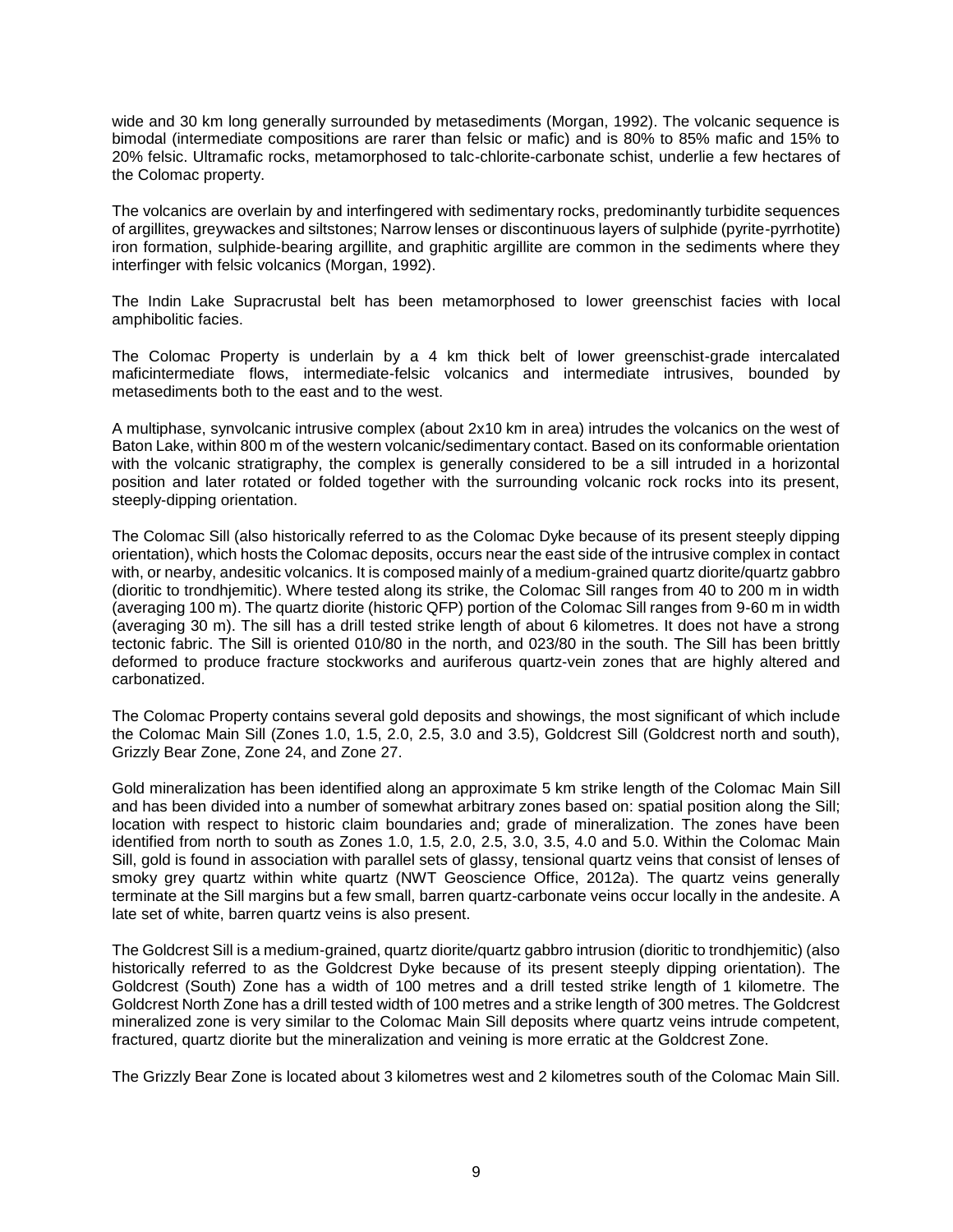wide and 30 km long generally surrounded by metasediments (Morgan, 1992). The volcanic sequence is bimodal (intermediate compositions are rarer than felsic or mafic) and is 80% to 85% mafic and 15% to 20% felsic. Ultramafic rocks, metamorphosed to talc-chlorite-carbonate schist, underlie a few hectares of the Colomac property.

The volcanics are overlain by and interfingered with sedimentary rocks, predominantly turbidite sequences of argillites, greywackes and siltstones; Narrow lenses or discontinuous layers of sulphide (pyrite-pyrrhotite) iron formation, sulphide-bearing argillite, and graphitic argillite are common in the sediments where they interfinger with felsic volcanics (Morgan, 1992).

The Indin Lake Supracrustal belt has been metamorphosed to lower greenschist facies with local amphibolitic facies.

The Colomac Property is underlain by a 4 km thick belt of lower greenschist-grade intercalated maficintermediate flows, intermediate-felsic volcanics and intermediate intrusives, bounded by metasediments both to the east and to the west.

A multiphase, synvolcanic intrusive complex (about 2x10 km in area) intrudes the volcanics on the west of Baton Lake, within 800 m of the western volcanic/sedimentary contact. Based on its conformable orientation with the volcanic stratigraphy, the complex is generally considered to be a sill intruded in a horizontal position and later rotated or folded together with the surrounding volcanic rock rocks into its present, steeply-dipping orientation.

The Colomac Sill (also historically referred to as the Colomac Dyke because of its present steeply dipping orientation), which hosts the Colomac deposits, occurs near the east side of the intrusive complex in contact with, or nearby, andesitic volcanics. It is composed mainly of a medium-grained quartz diorite/quartz gabbro (dioritic to trondhjemitic). Where tested along its strike, the Colomac Sill ranges from 40 to 200 m in width (averaging 100 m). The quartz diorite (historic QFP) portion of the Colomac Sill ranges from 9-60 m in width (averaging 30 m). The sill has a drill tested strike length of about 6 kilometres. It does not have a strong tectonic fabric. The Sill is oriented 010/80 in the north, and 023/80 in the south. The Sill has been brittly deformed to produce fracture stockworks and auriferous quartz-vein zones that are highly altered and carbonatized.

The Colomac Property contains several gold deposits and showings, the most significant of which include the Colomac Main Sill (Zones 1.0, 1.5, 2.0, 2.5, 3.0 and 3.5), Goldcrest Sill (Goldcrest north and south), Grizzly Bear Zone, Zone 24, and Zone 27.

Gold mineralization has been identified along an approximate 5 km strike length of the Colomac Main Sill and has been divided into a number of somewhat arbitrary zones based on: spatial position along the Sill; location with respect to historic claim boundaries and; grade of mineralization. The zones have been identified from north to south as Zones 1.0, 1.5, 2.0, 2.5, 3.0, 3.5, 4.0 and 5.0. Within the Colomac Main Sill, gold is found in association with parallel sets of glassy, tensional quartz veins that consist of lenses of smoky grey quartz within white quartz (NWT Geoscience Office, 2012a). The quartz veins generally terminate at the Sill margins but a few small, barren quartz-carbonate veins occur locally in the andesite. A late set of white, barren quartz veins is also present.

The Goldcrest Sill is a medium-grained, quartz diorite/quartz gabbro intrusion (dioritic to trondhjemitic) (also historically referred to as the Goldcrest Dyke because of its present steeply dipping orientation). The Goldcrest (South) Zone has a width of 100 metres and a drill tested strike length of 1 kilometre. The Goldcrest North Zone has a drill tested width of 100 metres and a strike length of 300 metres. The Goldcrest mineralized zone is very similar to the Colomac Main Sill deposits where quartz veins intrude competent, fractured, quartz diorite but the mineralization and veining is more erratic at the Goldcrest Zone.

The Grizzly Bear Zone is located about 3 kilometres west and 2 kilometres south of the Colomac Main Sill.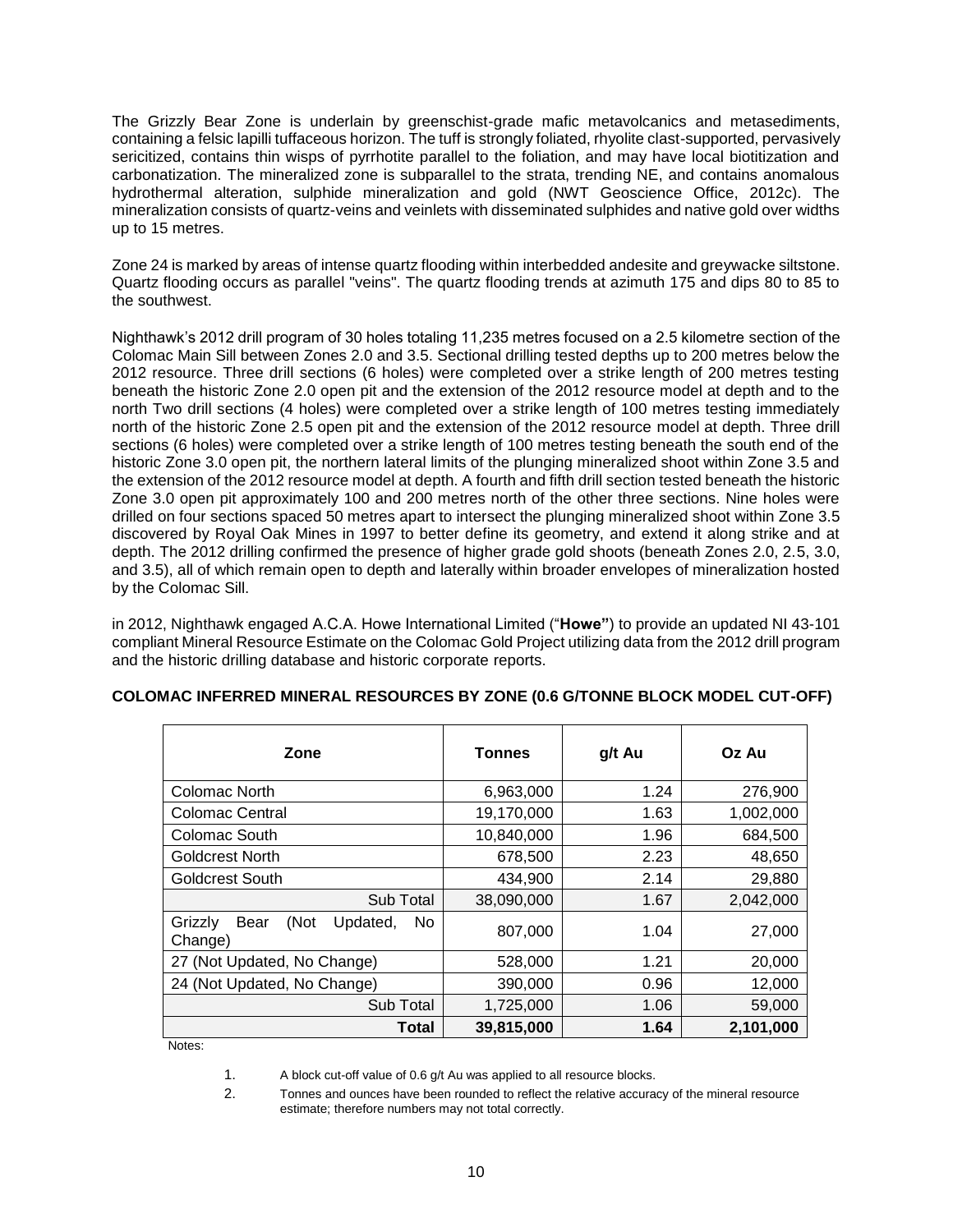The Grizzly Bear Zone is underlain by greenschist-grade mafic metavolcanics and metasediments, containing a felsic lapilli tuffaceous horizon. The tuff is strongly foliated, rhyolite clast-supported, pervasively sericitized, contains thin wisps of pyrrhotite parallel to the foliation, and may have local biotitization and carbonatization. The mineralized zone is subparallel to the strata, trending NE, and contains anomalous hydrothermal alteration, sulphide mineralization and gold (NWT Geoscience Office, 2012c). The mineralization consists of quartz-veins and veinlets with disseminated sulphides and native gold over widths up to 15 metres.

Zone 24 is marked by areas of intense quartz flooding within interbedded andesite and greywacke siltstone. Quartz flooding occurs as parallel "veins". The quartz flooding trends at azimuth 175 and dips 80 to 85 to the southwest.

Nighthawk's 2012 drill program of 30 holes totaling 11,235 metres focused on a 2.5 kilometre section of the Colomac Main Sill between Zones 2.0 and 3.5. Sectional drilling tested depths up to 200 metres below the 2012 resource. Three drill sections (6 holes) were completed over a strike length of 200 metres testing beneath the historic Zone 2.0 open pit and the extension of the 2012 resource model at depth and to the north Two drill sections (4 holes) were completed over a strike length of 100 metres testing immediately north of the historic Zone 2.5 open pit and the extension of the 2012 resource model at depth. Three drill sections (6 holes) were completed over a strike length of 100 metres testing beneath the south end of the historic Zone 3.0 open pit, the northern lateral limits of the plunging mineralized shoot within Zone 3.5 and the extension of the 2012 resource model at depth. A fourth and fifth drill section tested beneath the historic Zone 3.0 open pit approximately 100 and 200 metres north of the other three sections. Nine holes were drilled on four sections spaced 50 metres apart to intersect the plunging mineralized shoot within Zone 3.5 discovered by Royal Oak Mines in 1997 to better define its geometry, and extend it along strike and at depth. The 2012 drilling confirmed the presence of higher grade gold shoots (beneath Zones 2.0, 2.5, 3.0, and 3.5), all of which remain open to depth and laterally within broader envelopes of mineralization hosted by the Colomac Sill.

in 2012, Nighthawk engaged A.C.A. Howe International Limited ("**Howe"**) to provide an updated NI 43-101 compliant Mineral Resource Estimate on the Colomac Gold Project utilizing data from the 2012 drill program and the historic drilling database and historic corporate reports.

| Zone                                                 | Tonnes     | g/t Au | Oz Au     |
|------------------------------------------------------|------------|--------|-----------|
| Colomac North                                        | 6,963,000  | 1.24   | 276,900   |
| <b>Colomac Central</b>                               | 19,170,000 | 1.63   | 1,002,000 |
| Colomac South                                        | 10,840,000 | 1.96   | 684,500   |
| Goldcrest North                                      | 678,500    | 2.23   | 48,650    |
| <b>Goldcrest South</b>                               | 434,900    | 2.14   | 29,880    |
| Sub Total                                            | 38,090,000 | 1.67   | 2,042,000 |
| Grizzly<br>(Not<br>Bear<br>Updated,<br>No<br>Change) | 807,000    | 1.04   | 27,000    |
| 27 (Not Updated, No Change)                          | 528,000    | 1.21   | 20,000    |
| 24 (Not Updated, No Change)                          | 390,000    | 0.96   | 12,000    |
| Sub Total                                            | 1,725,000  | 1.06   | 59,000    |
| Total                                                | 39,815,000 | 1.64   | 2,101,000 |

# **COLOMAC INFERRED MINERAL RESOURCES BY ZONE (0.6 G/TONNE BLOCK MODEL CUT-OFF)**

Notes:

2. Tonnes and ounces have been rounded to reflect the relative accuracy of the mineral resource estimate; therefore numbers may not total correctly.

<sup>1.</sup> A block cut-off value of 0.6 g/t Au was applied to all resource blocks.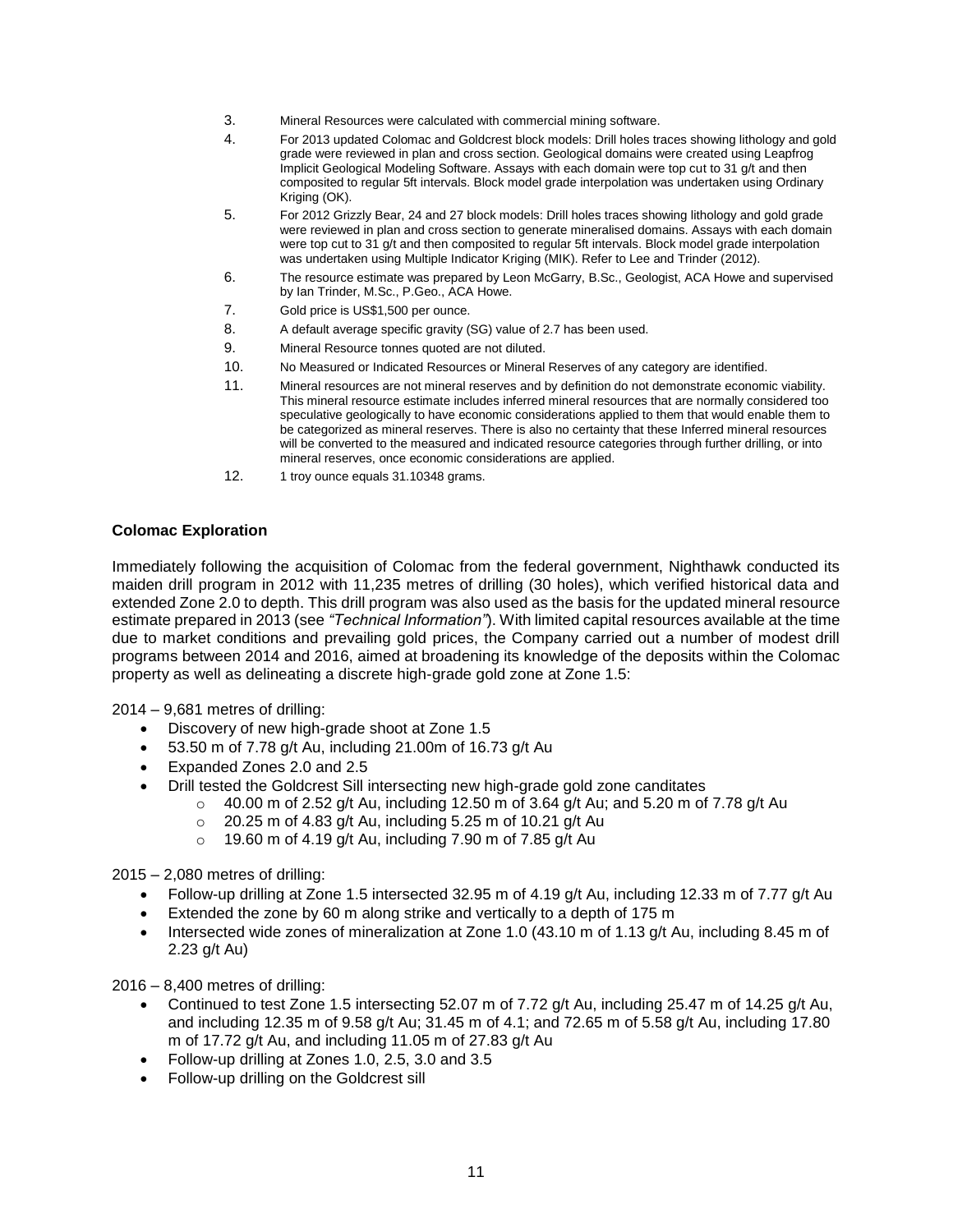- 3. Mineral Resources were calculated with commercial mining software.
- 4. For 2013 updated Colomac and Goldcrest block models: Drill holes traces showing lithology and gold grade were reviewed in plan and cross section. Geological domains were created using Leapfrog Implicit Geological Modeling Software. Assays with each domain were top cut to 31 g/t and then composited to regular 5ft intervals. Block model grade interpolation was undertaken using Ordinary Kriging (OK).
- 5. For 2012 Grizzly Bear, 24 and 27 block models: Drill holes traces showing lithology and gold grade were reviewed in plan and cross section to generate mineralised domains. Assays with each domain were top cut to 31 g/t and then composited to regular 5ft intervals. Block model grade interpolation was undertaken using Multiple Indicator Kriging (MIK). Refer to Lee and Trinder (2012).
- 6. The resource estimate was prepared by Leon McGarry, B.Sc., Geologist, ACA Howe and supervised by Ian Trinder, M.Sc., P.Geo., ACA Howe.
- 7. Gold price is US\$1,500 per ounce.
- 8. A default average specific gravity (SG) value of 2.7 has been used.
- 9. Mineral Resource tonnes quoted are not diluted.
- 10. No Measured or Indicated Resources or Mineral Reserves of any category are identified.
- 11. Mineral resources are not mineral reserves and by definition do not demonstrate economic viability. This mineral resource estimate includes inferred mineral resources that are normally considered too speculative geologically to have economic considerations applied to them that would enable them to be categorized as mineral reserves. There is also no certainty that these Inferred mineral resources will be converted to the measured and indicated resource categories through further drilling, or into mineral reserves, once economic considerations are applied.
- 12. 1 troy ounce equals 31.10348 grams.

### **Colomac Exploration**

Immediately following the acquisition of Colomac from the federal government, Nighthawk conducted its maiden drill program in 2012 with 11,235 metres of drilling (30 holes), which verified historical data and extended Zone 2.0 to depth. This drill program was also used as the basis for the updated mineral resource estimate prepared in 2013 (see *"Technical Information"*). With limited capital resources available at the time due to market conditions and prevailing gold prices, the Company carried out a number of modest drill programs between 2014 and 2016, aimed at broadening its knowledge of the deposits within the Colomac property as well as delineating a discrete high-grade gold zone at Zone 1.5:

2014 – 9,681 metres of drilling:

- Discovery of new high-grade shoot at Zone 1.5
- 53.50 m of 7.78 g/t Au, including 21.00m of 16.73 g/t Au
- Expanded Zones 2.0 and 2.5
- Drill tested the Goldcrest Sill intersecting new high-grade gold zone canditates
	- $\circ$  40.00 m of 2.52 g/t Au, including 12.50 m of 3.64 g/t Au; and 5.20 m of 7.78 g/t Au
	- $\degree$  20.25 m of 4.83 g/t Au, including 5.25 m of 10.21 g/t Au
	- $\circ$  19.60 m of 4.19 g/t Au, including 7.90 m of 7.85 g/t Au

2015 – 2,080 metres of drilling:

- Follow-up drilling at Zone 1.5 intersected 32.95 m of 4.19 g/t Au, including 12.33 m of 7.77 g/t Au
- Extended the zone by 60 m along strike and vertically to a depth of 175 m
- Intersected wide zones of mineralization at Zone 1.0 (43.10 m of 1.13 g/t Au, including 8.45 m of 2.23 g/t Au)

2016 – 8,400 metres of drilling:

- Continued to test Zone 1.5 intersecting 52.07 m of 7.72 g/t Au, including 25.47 m of 14.25 g/t Au, and including 12.35 m of 9.58 g/t Au; 31.45 m of 4.1; and 72.65 m of 5.58 g/t Au, including 17.80 m of 17.72 g/t Au, and including 11.05 m of 27.83 g/t Au
- Follow-up drilling at Zones 1.0, 2.5, 3.0 and 3.5
- Follow-up drilling on the Goldcrest sill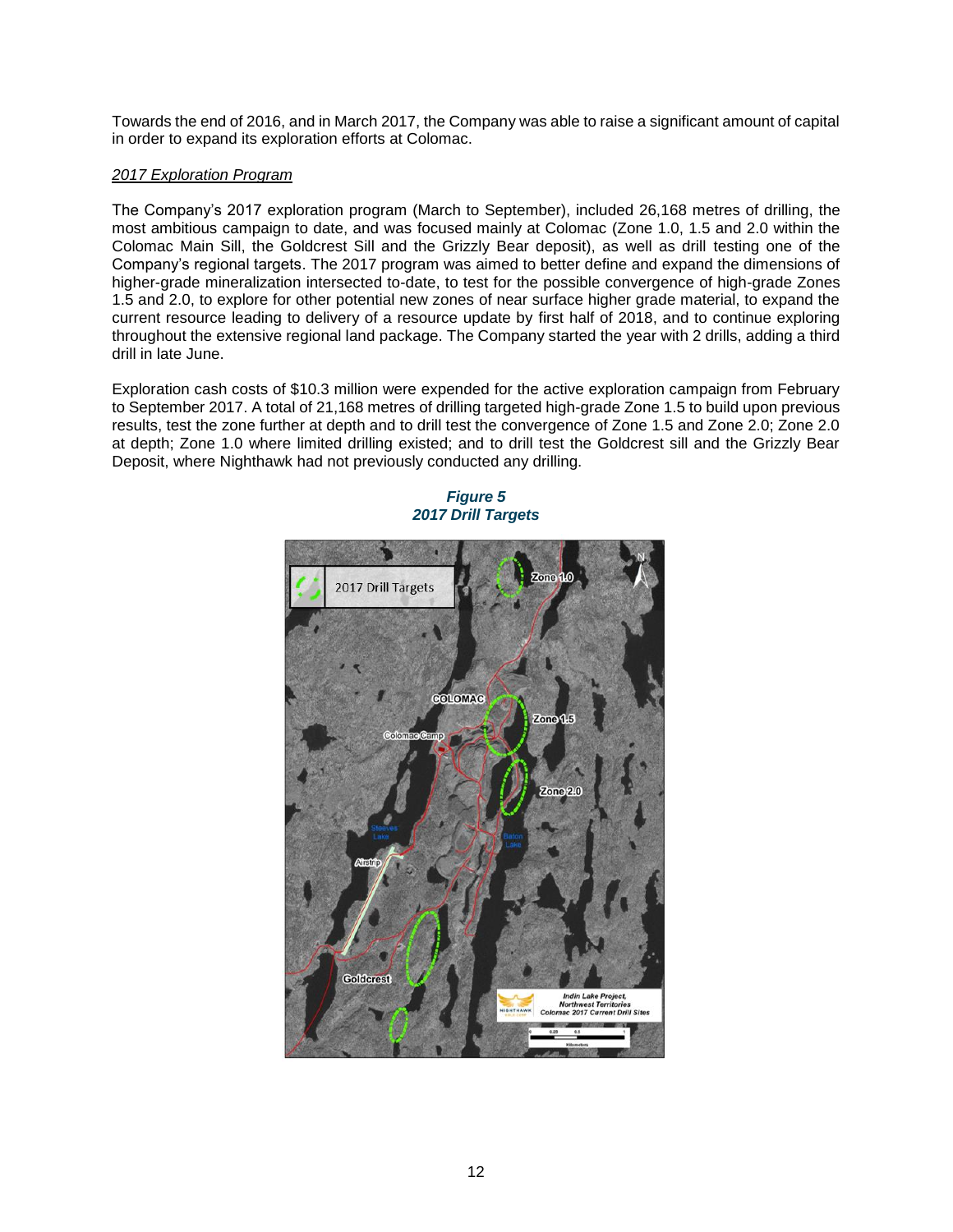Towards the end of 2016, and in March 2017, the Company was able to raise a significant amount of capital in order to expand its exploration efforts at Colomac.

# *2017 Exploration Program*

The Company's 2017 exploration program (March to September), included 26,168 metres of drilling, the most ambitious campaign to date, and was focused mainly at Colomac (Zone 1.0, 1.5 and 2.0 within the Colomac Main Sill, the Goldcrest Sill and the Grizzly Bear deposit), as well as drill testing one of the Company's regional targets. The 2017 program was aimed to better define and expand the dimensions of higher-grade mineralization intersected to-date, to test for the possible convergence of high-grade Zones 1.5 and 2.0, to explore for other potential new zones of near surface higher grade material, to expand the current resource leading to delivery of a resource update by first half of 2018, and to continue exploring throughout the extensive regional land package. The Company started the year with 2 drills, adding a third drill in late June.

Exploration cash costs of \$10.3 million were expended for the active exploration campaign from February to September 2017. A total of 21,168 metres of drilling targeted high-grade Zone 1.5 to build upon previous results, test the zone further at depth and to drill test the convergence of Zone 1.5 and Zone 2.0; Zone 2.0 at depth; Zone 1.0 where limited drilling existed; and to drill test the Goldcrest sill and the Grizzly Bear Deposit, where Nighthawk had not previously conducted any drilling.



*Figure 5 2017 Drill Targets*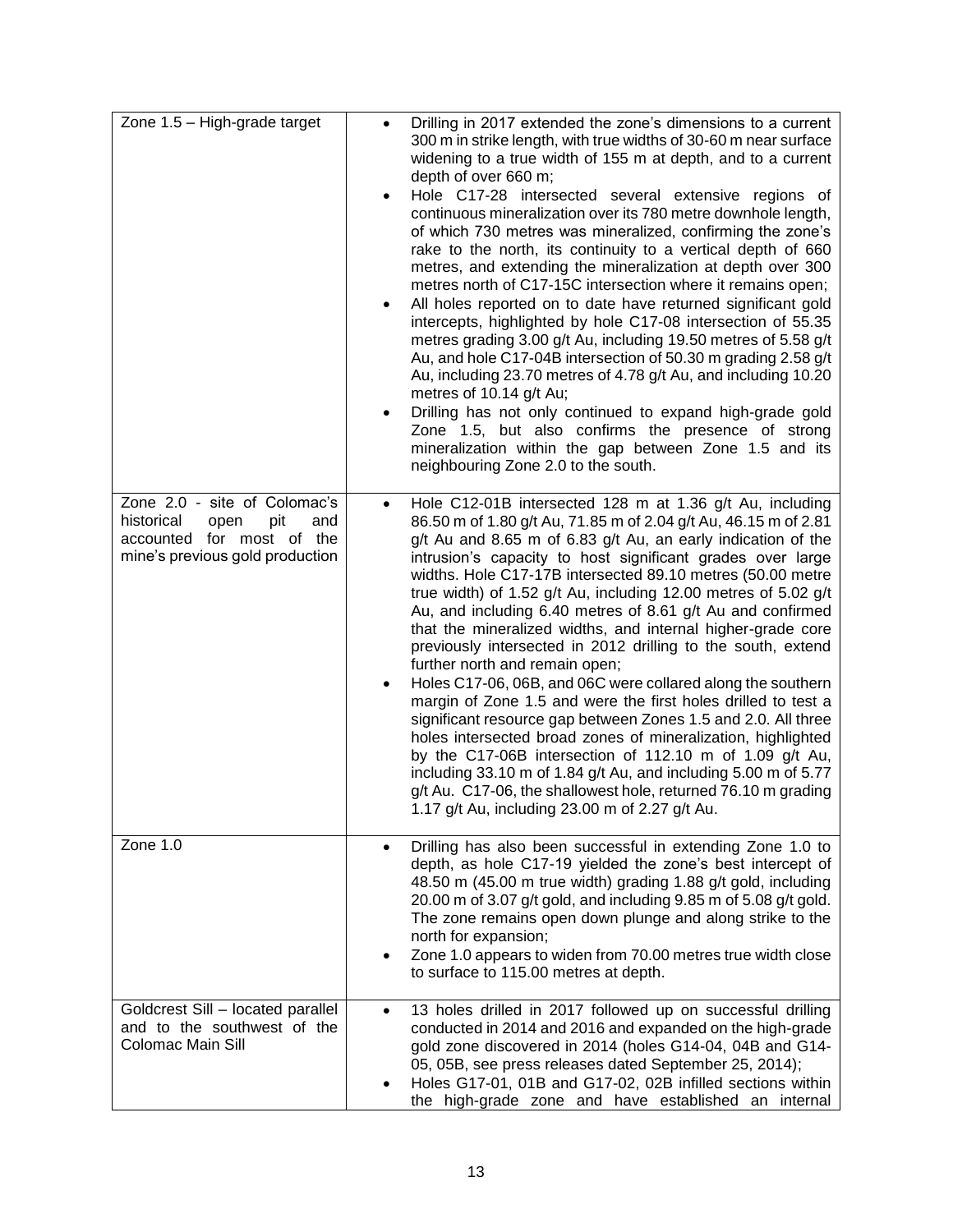| Zone 1.5 - High-grade target                                                                                                     | Drilling in 2017 extended the zone's dimensions to a current<br>300 m in strike length, with true widths of 30-60 m near surface<br>widening to a true width of 155 m at depth, and to a current<br>depth of over 660 m;<br>Hole C17-28 intersected several extensive regions of<br>$\bullet$<br>continuous mineralization over its 780 metre downhole length,<br>of which 730 metres was mineralized, confirming the zone's<br>rake to the north, its continuity to a vertical depth of 660<br>metres, and extending the mineralization at depth over 300<br>metres north of C17-15C intersection where it remains open;<br>All holes reported on to date have returned significant gold<br>intercepts, highlighted by hole C17-08 intersection of 55.35<br>metres grading 3.00 g/t Au, including 19.50 metres of 5.58 g/t<br>Au, and hole C17-04B intersection of 50.30 m grading 2.58 g/t<br>Au, including 23.70 metres of 4.78 g/t Au, and including 10.20<br>metres of 10.14 g/t Au;<br>Drilling has not only continued to expand high-grade gold<br>٠<br>Zone 1.5, but also confirms the presence of strong<br>mineralization within the gap between Zone 1.5 and its<br>neighbouring Zone 2.0 to the south. |
|----------------------------------------------------------------------------------------------------------------------------------|--------------------------------------------------------------------------------------------------------------------------------------------------------------------------------------------------------------------------------------------------------------------------------------------------------------------------------------------------------------------------------------------------------------------------------------------------------------------------------------------------------------------------------------------------------------------------------------------------------------------------------------------------------------------------------------------------------------------------------------------------------------------------------------------------------------------------------------------------------------------------------------------------------------------------------------------------------------------------------------------------------------------------------------------------------------------------------------------------------------------------------------------------------------------------------------------------------------------|
| Zone 2.0 - site of Colomac's<br>historical<br>open<br>pit<br>and<br>accounted for most of the<br>mine's previous gold production | Hole C12-01B intersected 128 m at 1.36 g/t Au, including<br>$\bullet$<br>86.50 m of 1.80 g/t Au, 71.85 m of 2.04 g/t Au, 46.15 m of 2.81<br>g/t Au and 8.65 m of 6.83 g/t Au, an early indication of the<br>intrusion's capacity to host significant grades over large<br>widths. Hole C17-17B intersected 89.10 metres (50.00 metre<br>true width) of 1.52 g/t Au, including 12.00 metres of 5.02 g/t<br>Au, and including 6.40 metres of 8.61 g/t Au and confirmed<br>that the mineralized widths, and internal higher-grade core<br>previously intersected in 2012 drilling to the south, extend<br>further north and remain open;<br>Holes C17-06, 06B, and 06C were collared along the southern<br>٠<br>margin of Zone 1.5 and were the first holes drilled to test a<br>significant resource gap between Zones 1.5 and 2.0. All three<br>holes intersected broad zones of mineralization, highlighted<br>by the C17-06B intersection of 112.10 m of 1.09 g/t Au,<br>including 33.10 m of 1.84 g/t Au, and including 5.00 m of 5.77<br>g/t Au. C17-06, the shallowest hole, returned 76.10 m grading<br>1.17 g/t Au, including 23.00 m of 2.27 g/t Au.                                                        |
| Zone 1.0                                                                                                                         | Drilling has also been successful in extending Zone 1.0 to<br>depth, as hole C17-19 yielded the zone's best intercept of<br>48.50 m (45.00 m true width) grading 1.88 g/t gold, including<br>20.00 m of 3.07 g/t gold, and including 9.85 m of 5.08 g/t gold.<br>The zone remains open down plunge and along strike to the<br>north for expansion;<br>Zone 1.0 appears to widen from 70.00 metres true width close<br>٠<br>to surface to 115.00 metres at depth.                                                                                                                                                                                                                                                                                                                                                                                                                                                                                                                                                                                                                                                                                                                                                   |
| Goldcrest Sill - located parallel<br>and to the southwest of the<br>Colomac Main Sill                                            | 13 holes drilled in 2017 followed up on successful drilling<br>$\bullet$<br>conducted in 2014 and 2016 and expanded on the high-grade<br>gold zone discovered in 2014 (holes G14-04, 04B and G14-<br>05, 05B, see press releases dated September 25, 2014);<br>Holes G17-01, 01B and G17-02, 02B infilled sections within<br>٠<br>the high-grade zone and have established an internal                                                                                                                                                                                                                                                                                                                                                                                                                                                                                                                                                                                                                                                                                                                                                                                                                             |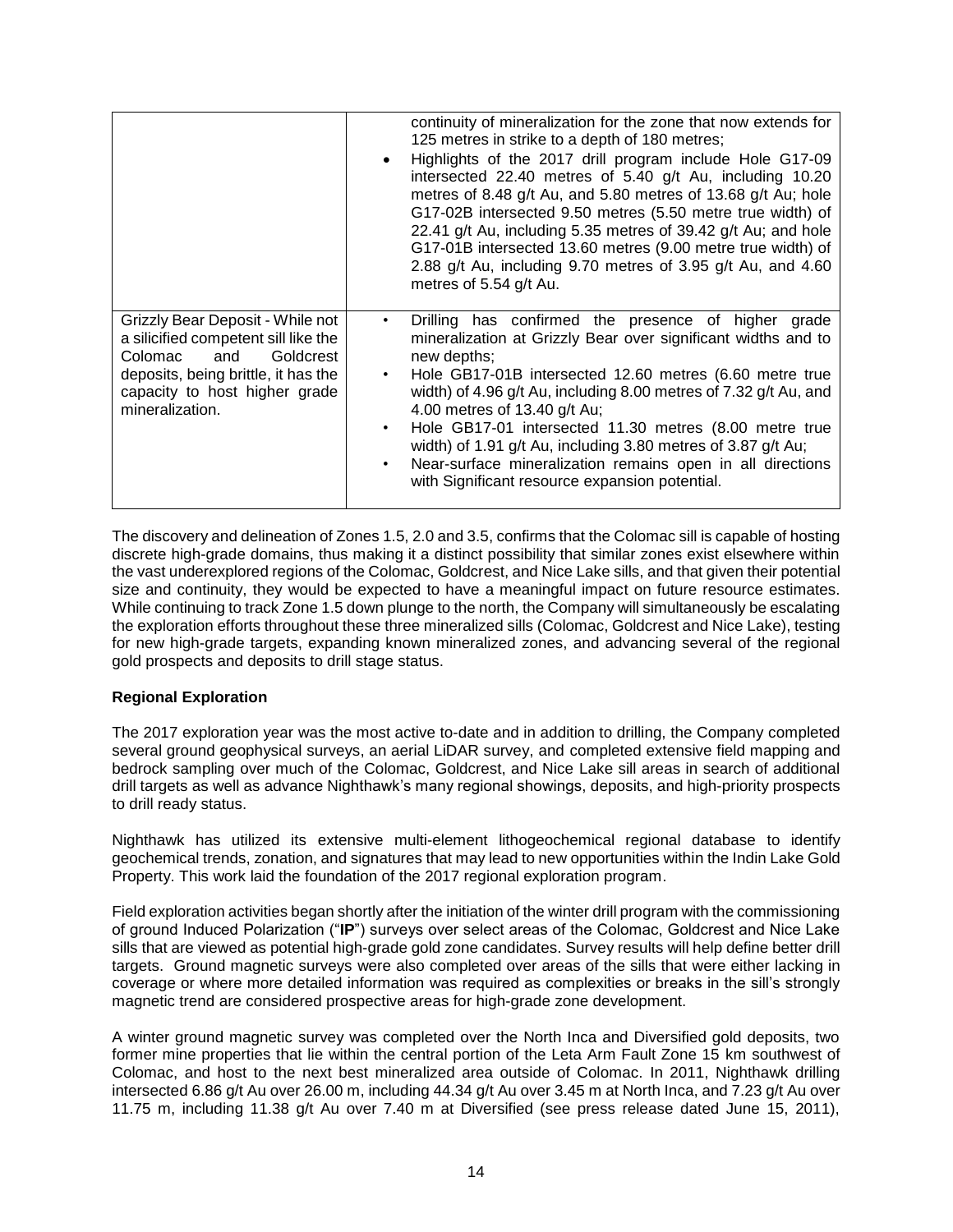|                                                                                                                                                                                                    | continuity of mineralization for the zone that now extends for<br>125 metres in strike to a depth of 180 metres;<br>Highlights of the 2017 drill program include Hole G17-09<br>intersected 22.40 metres of 5.40 g/t Au, including 10.20<br>metres of 8.48 g/t Au, and 5.80 metres of 13.68 g/t Au; hole<br>G17-02B intersected 9.50 metres (5.50 metre true width) of<br>22.41 g/t Au, including 5.35 metres of 39.42 g/t Au; and hole<br>G17-01B intersected 13.60 metres (9.00 metre true width) of<br>2.88 g/t Au, including 9.70 metres of 3.95 g/t Au, and 4.60<br>metres of 5.54 g/t Au. |
|----------------------------------------------------------------------------------------------------------------------------------------------------------------------------------------------------|-------------------------------------------------------------------------------------------------------------------------------------------------------------------------------------------------------------------------------------------------------------------------------------------------------------------------------------------------------------------------------------------------------------------------------------------------------------------------------------------------------------------------------------------------------------------------------------------------|
| Grizzly Bear Deposit - While not<br>a silicified competent sill like the<br>and<br>Goldcrest<br>Colomac<br>deposits, being brittle, it has the<br>capacity to host higher grade<br>mineralization. | Drilling has confirmed the presence of higher<br>grade<br>mineralization at Grizzly Bear over significant widths and to<br>new depths;<br>Hole GB17-01B intersected 12.60 metres (6.60 metre true<br>$\bullet$<br>width) of 4.96 g/t Au, including 8.00 metres of 7.32 g/t Au, and<br>4.00 metres of 13.40 g/t Au;<br>Hole GB17-01 intersected 11.30 metres (8.00 metre true<br>٠<br>width) of 1.91 g/t Au, including 3.80 metres of 3.87 g/t Au;<br>Near-surface mineralization remains open in all directions<br>with Significant resource expansion potential.                               |

The discovery and delineation of Zones 1.5, 2.0 and 3.5, confirms that the Colomac sill is capable of hosting discrete high-grade domains, thus making it a distinct possibility that similar zones exist elsewhere within the vast underexplored regions of the Colomac, Goldcrest, and Nice Lake sills, and that given their potential size and continuity, they would be expected to have a meaningful impact on future resource estimates. While continuing to track Zone 1.5 down plunge to the north, the Company will simultaneously be escalating the exploration efforts throughout these three mineralized sills (Colomac, Goldcrest and Nice Lake), testing for new high-grade targets, expanding known mineralized zones, and advancing several of the regional gold prospects and deposits to drill stage status.

# **Regional Exploration**

The 2017 exploration year was the most active to-date and in addition to drilling, the Company completed several ground geophysical surveys, an aerial LiDAR survey, and completed extensive field mapping and bedrock sampling over much of the Colomac, Goldcrest, and Nice Lake sill areas in search of additional drill targets as well as advance Nighthawk's many regional showings, deposits, and high-priority prospects to drill ready status.

Nighthawk has utilized its extensive multi-element lithogeochemical regional database to identify geochemical trends, zonation, and signatures that may lead to new opportunities within the Indin Lake Gold Property. This work laid the foundation of the 2017 regional exploration program.

Field exploration activities began shortly after the initiation of the winter drill program with the commissioning of ground Induced Polarization ("**IP**") surveys over select areas of the Colomac, Goldcrest and Nice Lake sills that are viewed as potential high-grade gold zone candidates. Survey results will help define better drill targets. Ground magnetic surveys were also completed over areas of the sills that were either lacking in coverage or where more detailed information was required as complexities or breaks in the sill's strongly magnetic trend are considered prospective areas for high-grade zone development.

A winter ground magnetic survey was completed over the North Inca and Diversified gold deposits, two former mine properties that lie within the central portion of the Leta Arm Fault Zone 15 km southwest of Colomac, and host to the next best mineralized area outside of Colomac. In 2011, Nighthawk drilling intersected 6.86 g/t Au over 26.00 m, including 44.34 g/t Au over 3.45 m at North Inca, and 7.23 g/t Au over 11.75 m, including 11.38 g/t Au over 7.40 m at Diversified (see press release dated June 15, 2011),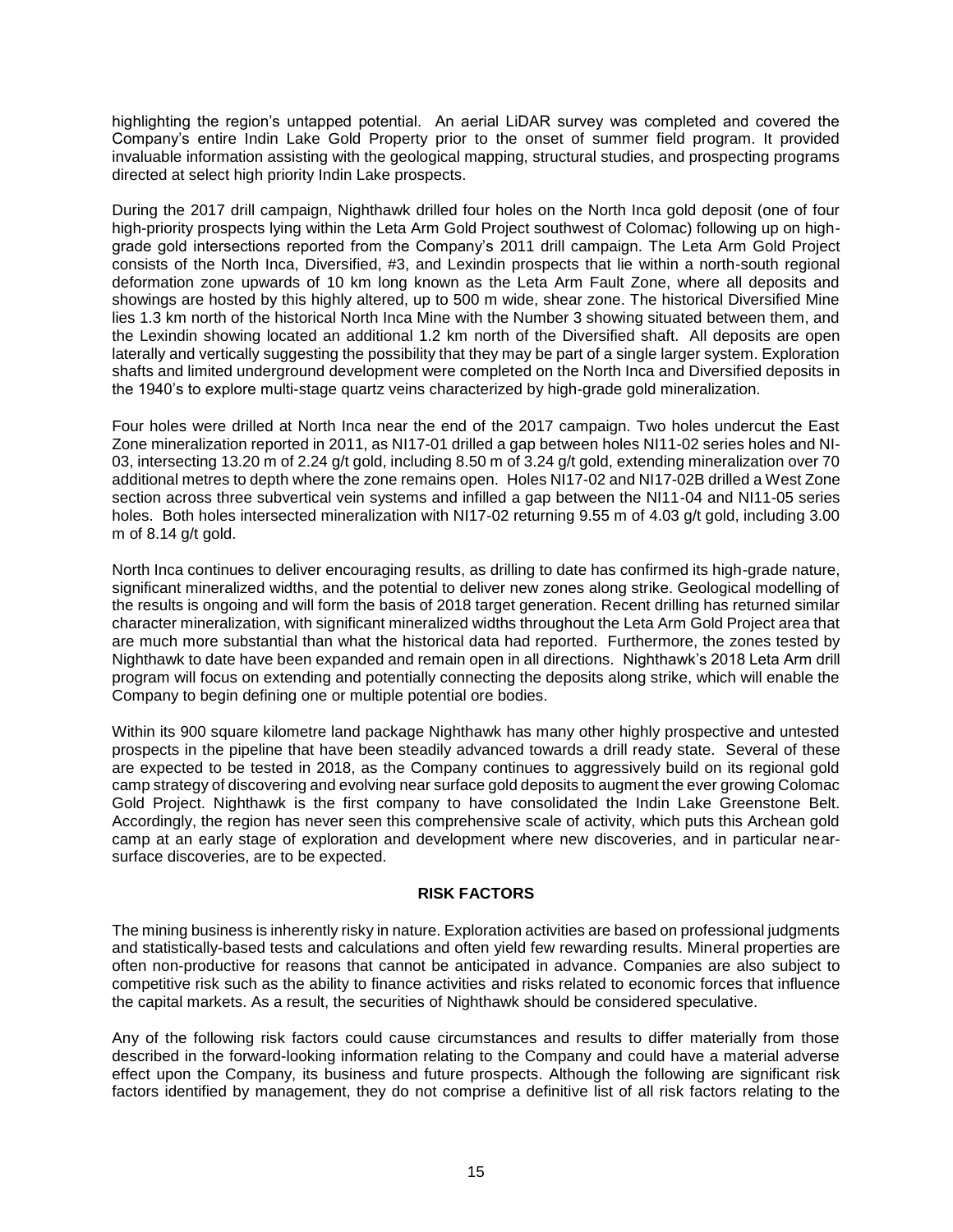highlighting the region's untapped potential. An aerial LiDAR survey was completed and covered the Company's entire Indin Lake Gold Property prior to the onset of summer field program. It provided invaluable information assisting with the geological mapping, structural studies, and prospecting programs directed at select high priority Indin Lake prospects.

During the 2017 drill campaign, Nighthawk drilled four holes on the North Inca gold deposit (one of four high-priority prospects lying within the Leta Arm Gold Project southwest of Colomac) following up on highgrade gold intersections reported from the Company's 2011 drill campaign. The Leta Arm Gold Project consists of the North Inca, Diversified, #3, and Lexindin prospects that lie within a north-south regional deformation zone upwards of 10 km long known as the Leta Arm Fault Zone, where all deposits and showings are hosted by this highly altered, up to 500 m wide, shear zone. The historical Diversified Mine lies 1.3 km north of the historical North Inca Mine with the Number 3 showing situated between them, and the Lexindin showing located an additional 1.2 km north of the Diversified shaft. All deposits are open laterally and vertically suggesting the possibility that they may be part of a single larger system. Exploration shafts and limited underground development were completed on the North Inca and Diversified deposits in the 1940's to explore multi-stage quartz veins characterized by high-grade gold mineralization.

Four holes were drilled at North Inca near the end of the 2017 campaign. Two holes undercut the East Zone mineralization reported in 2011, as NI17-01 drilled a gap between holes NI11-02 series holes and NI-03, intersecting 13.20 m of 2.24 g/t gold, including 8.50 m of 3.24 g/t gold, extending mineralization over 70 additional metres to depth where the zone remains open. Holes NI17-02 and NI17-02B drilled a West Zone section across three subvertical vein systems and infilled a gap between the NI11-04 and NI11-05 series holes. Both holes intersected mineralization with NI17-02 returning 9.55 m of 4.03 g/t gold, including 3.00 m of  $8.14$  g/t gold.

North Inca continues to deliver encouraging results, as drilling to date has confirmed its high-grade nature, significant mineralized widths, and the potential to deliver new zones along strike. Geological modelling of the results is ongoing and will form the basis of 2018 target generation. Recent drilling has returned similar character mineralization, with significant mineralized widths throughout the Leta Arm Gold Project area that are much more substantial than what the historical data had reported. Furthermore, the zones tested by Nighthawk to date have been expanded and remain open in all directions. Nighthawk's 2018 Leta Arm drill program will focus on extending and potentially connecting the deposits along strike, which will enable the Company to begin defining one or multiple potential ore bodies.

Within its 900 square kilometre land package Nighthawk has many other highly prospective and untested prospects in the pipeline that have been steadily advanced towards a drill ready state. Several of these are expected to be tested in 2018, as the Company continues to aggressively build on its regional gold camp strategy of discovering and evolving near surface gold deposits to augment the ever growing Colomac Gold Project. Nighthawk is the first company to have consolidated the Indin Lake Greenstone Belt. Accordingly, the region has never seen this comprehensive scale of activity, which puts this Archean gold camp at an early stage of exploration and development where new discoveries, and in particular nearsurface discoveries, are to be expected.

### **RISK FACTORS**

<span id="page-15-0"></span>The mining business is inherently risky in nature. Exploration activities are based on professional judgments and statistically-based tests and calculations and often yield few rewarding results. Mineral properties are often non-productive for reasons that cannot be anticipated in advance. Companies are also subject to competitive risk such as the ability to finance activities and risks related to economic forces that influence the capital markets. As a result, the securities of Nighthawk should be considered speculative.

Any of the following risk factors could cause circumstances and results to differ materially from those described in the forward-looking information relating to the Company and could have a material adverse effect upon the Company, its business and future prospects. Although the following are significant risk factors identified by management, they do not comprise a definitive list of all risk factors relating to the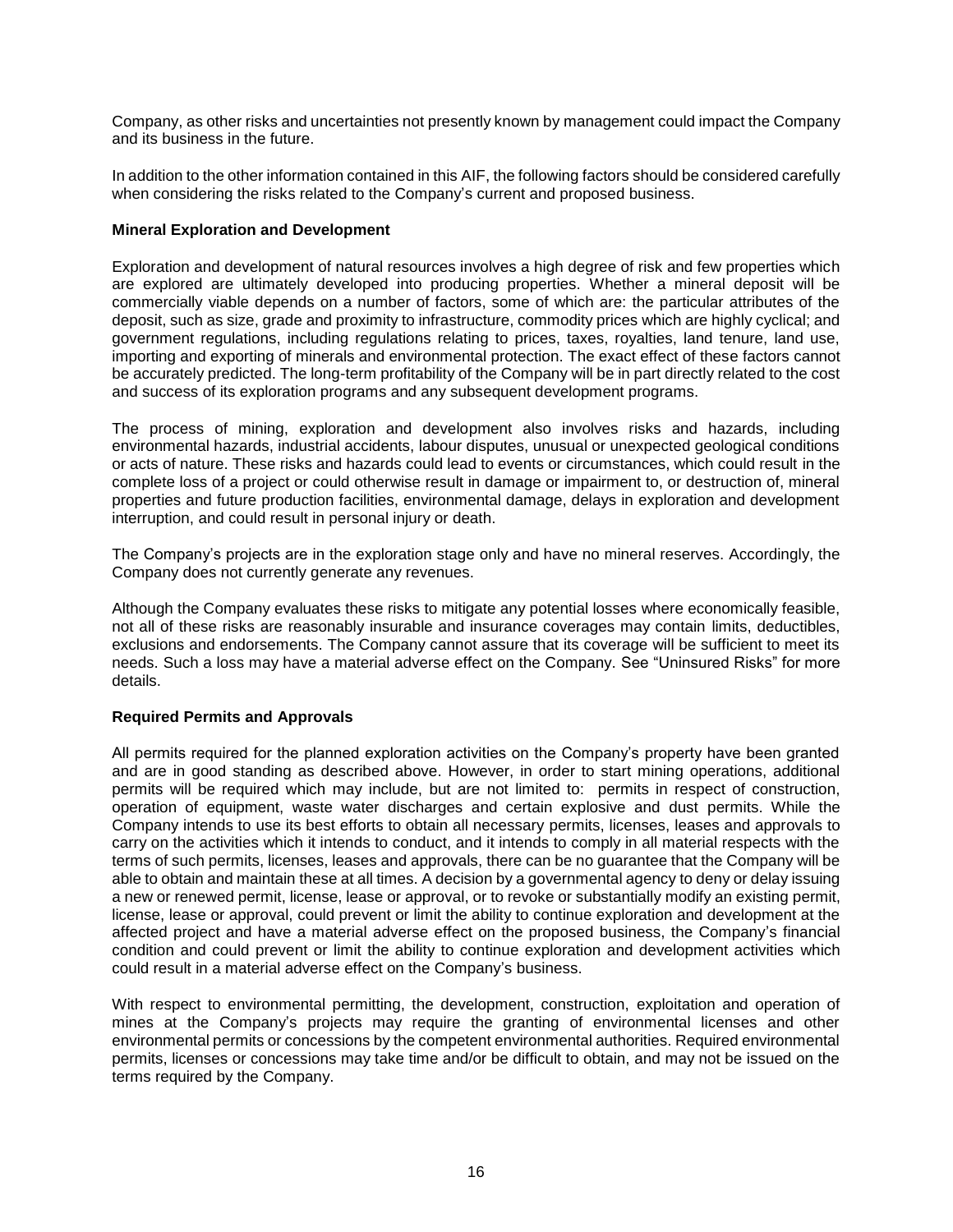Company, as other risks and uncertainties not presently known by management could impact the Company and its business in the future.

In addition to the other information contained in this AIF, the following factors should be considered carefully when considering the risks related to the Company's current and proposed business.

# **Mineral Exploration and Development**

Exploration and development of natural resources involves a high degree of risk and few properties which are explored are ultimately developed into producing properties. Whether a mineral deposit will be commercially viable depends on a number of factors, some of which are: the particular attributes of the deposit, such as size, grade and proximity to infrastructure, commodity prices which are highly cyclical; and government regulations, including regulations relating to prices, taxes, royalties, land tenure, land use, importing and exporting of minerals and environmental protection. The exact effect of these factors cannot be accurately predicted. The long-term profitability of the Company will be in part directly related to the cost and success of its exploration programs and any subsequent development programs.

The process of mining, exploration and development also involves risks and hazards, including environmental hazards, industrial accidents, labour disputes, unusual or unexpected geological conditions or acts of nature. These risks and hazards could lead to events or circumstances, which could result in the complete loss of a project or could otherwise result in damage or impairment to, or destruction of, mineral properties and future production facilities, environmental damage, delays in exploration and development interruption, and could result in personal injury or death.

The Company's projects are in the exploration stage only and have no mineral reserves. Accordingly, the Company does not currently generate any revenues.

Although the Company evaluates these risks to mitigate any potential losses where economically feasible, not all of these risks are reasonably insurable and insurance coverages may contain limits, deductibles, exclusions and endorsements. The Company cannot assure that its coverage will be sufficient to meet its needs. Such a loss may have a material adverse effect on the Company. See "Uninsured Risks" for more details.

# **Required Permits and Approvals**

All permits required for the planned exploration activities on the Company's property have been granted and are in good standing as described above. However, in order to start mining operations, additional permits will be required which may include, but are not limited to: permits in respect of construction, operation of equipment, waste water discharges and certain explosive and dust permits. While the Company intends to use its best efforts to obtain all necessary permits, licenses, leases and approvals to carry on the activities which it intends to conduct, and it intends to comply in all material respects with the terms of such permits, licenses, leases and approvals, there can be no guarantee that the Company will be able to obtain and maintain these at all times. A decision by a governmental agency to deny or delay issuing a new or renewed permit, license, lease or approval, or to revoke or substantially modify an existing permit, license, lease or approval, could prevent or limit the ability to continue exploration and development at the affected project and have a material adverse effect on the proposed business, the Company's financial condition and could prevent or limit the ability to continue exploration and development activities which could result in a material adverse effect on the Company's business.

With respect to environmental permitting, the development, construction, exploitation and operation of mines at the Company's projects may require the granting of environmental licenses and other environmental permits or concessions by the competent environmental authorities. Required environmental permits, licenses or concessions may take time and/or be difficult to obtain, and may not be issued on the terms required by the Company.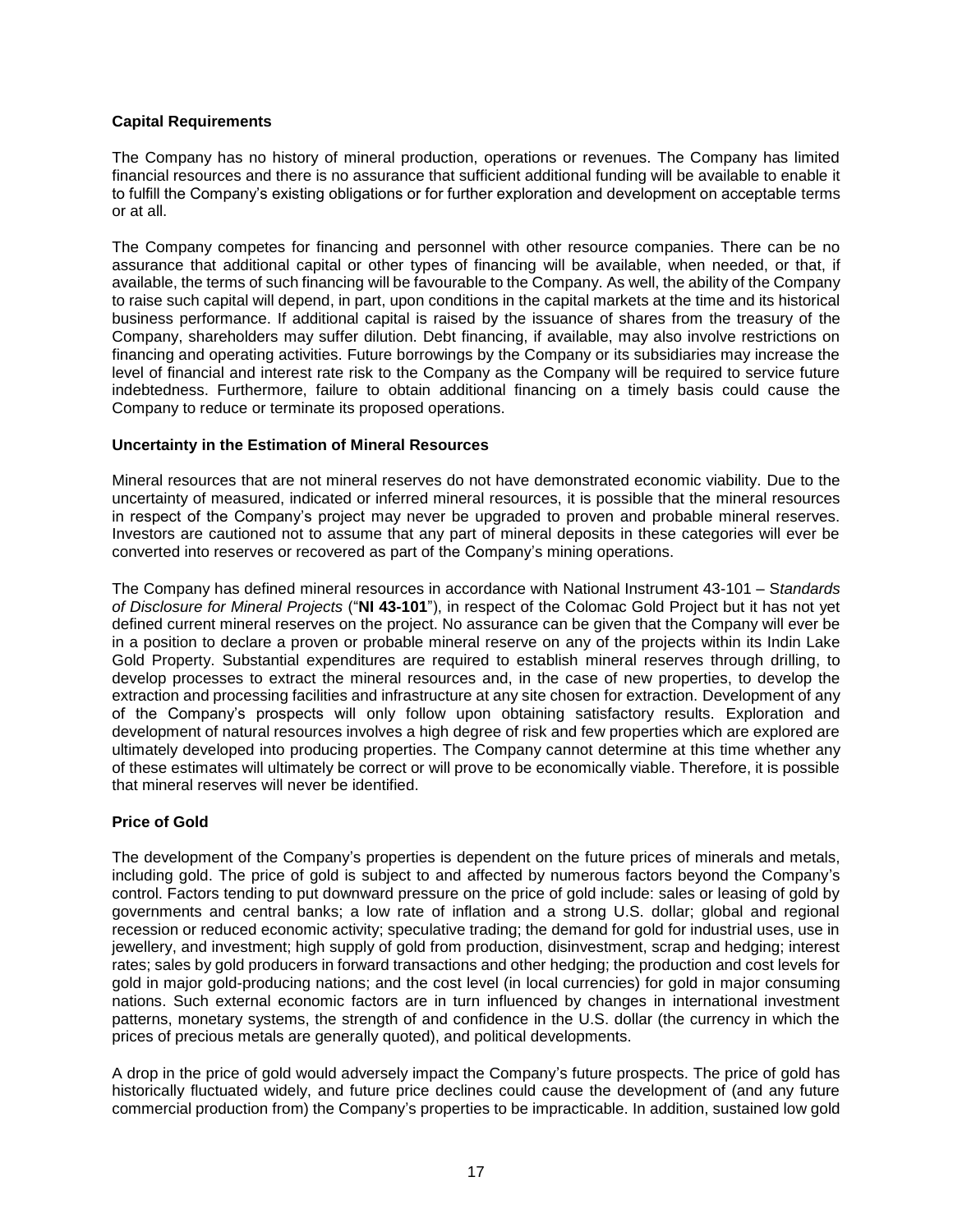### **Capital Requirements**

The Company has no history of mineral production, operations or revenues. The Company has limited financial resources and there is no assurance that sufficient additional funding will be available to enable it to fulfill the Company's existing obligations or for further exploration and development on acceptable terms or at all.

The Company competes for financing and personnel with other resource companies. There can be no assurance that additional capital or other types of financing will be available, when needed, or that, if available, the terms of such financing will be favourable to the Company. As well, the ability of the Company to raise such capital will depend, in part, upon conditions in the capital markets at the time and its historical business performance. If additional capital is raised by the issuance of shares from the treasury of the Company, shareholders may suffer dilution. Debt financing, if available, may also involve restrictions on financing and operating activities. Future borrowings by the Company or its subsidiaries may increase the level of financial and interest rate risk to the Company as the Company will be required to service future indebtedness. Furthermore, failure to obtain additional financing on a timely basis could cause the Company to reduce or terminate its proposed operations.

# **Uncertainty in the Estimation of Mineral Resources**

Mineral resources that are not mineral reserves do not have demonstrated economic viability. Due to the uncertainty of measured, indicated or inferred mineral resources, it is possible that the mineral resources in respect of the Company's project may never be upgraded to proven and probable mineral reserves. Investors are cautioned not to assume that any part of mineral deposits in these categories will ever be converted into reserves or recovered as part of the Company's mining operations.

The Company has defined mineral resources in accordance with National Instrument 43-101 – S*tandards of Disclosure for Mineral Projects* ("**NI 43-101**"), in respect of the Colomac Gold Project but it has not yet defined current mineral reserves on the project. No assurance can be given that the Company will ever be in a position to declare a proven or probable mineral reserve on any of the projects within its Indin Lake Gold Property. Substantial expenditures are required to establish mineral reserves through drilling, to develop processes to extract the mineral resources and, in the case of new properties, to develop the extraction and processing facilities and infrastructure at any site chosen for extraction. Development of any of the Company's prospects will only follow upon obtaining satisfactory results. Exploration and development of natural resources involves a high degree of risk and few properties which are explored are ultimately developed into producing properties. The Company cannot determine at this time whether any of these estimates will ultimately be correct or will prove to be economically viable. Therefore, it is possible that mineral reserves will never be identified.

# **Price of Gold**

The development of the Company's properties is dependent on the future prices of minerals and metals, including gold. The price of gold is subject to and affected by numerous factors beyond the Company's control. Factors tending to put downward pressure on the price of gold include: sales or leasing of gold by governments and central banks; a low rate of inflation and a strong U.S. dollar; global and regional recession or reduced economic activity; speculative trading; the demand for gold for industrial uses, use in jewellery, and investment; high supply of gold from production, disinvestment, scrap and hedging; interest rates; sales by gold producers in forward transactions and other hedging; the production and cost levels for gold in major gold-producing nations; and the cost level (in local currencies) for gold in major consuming nations. Such external economic factors are in turn influenced by changes in international investment patterns, monetary systems, the strength of and confidence in the U.S. dollar (the currency in which the prices of precious metals are generally quoted), and political developments.

A drop in the price of gold would adversely impact the Company's future prospects. The price of gold has historically fluctuated widely, and future price declines could cause the development of (and any future commercial production from) the Company's properties to be impracticable. In addition, sustained low gold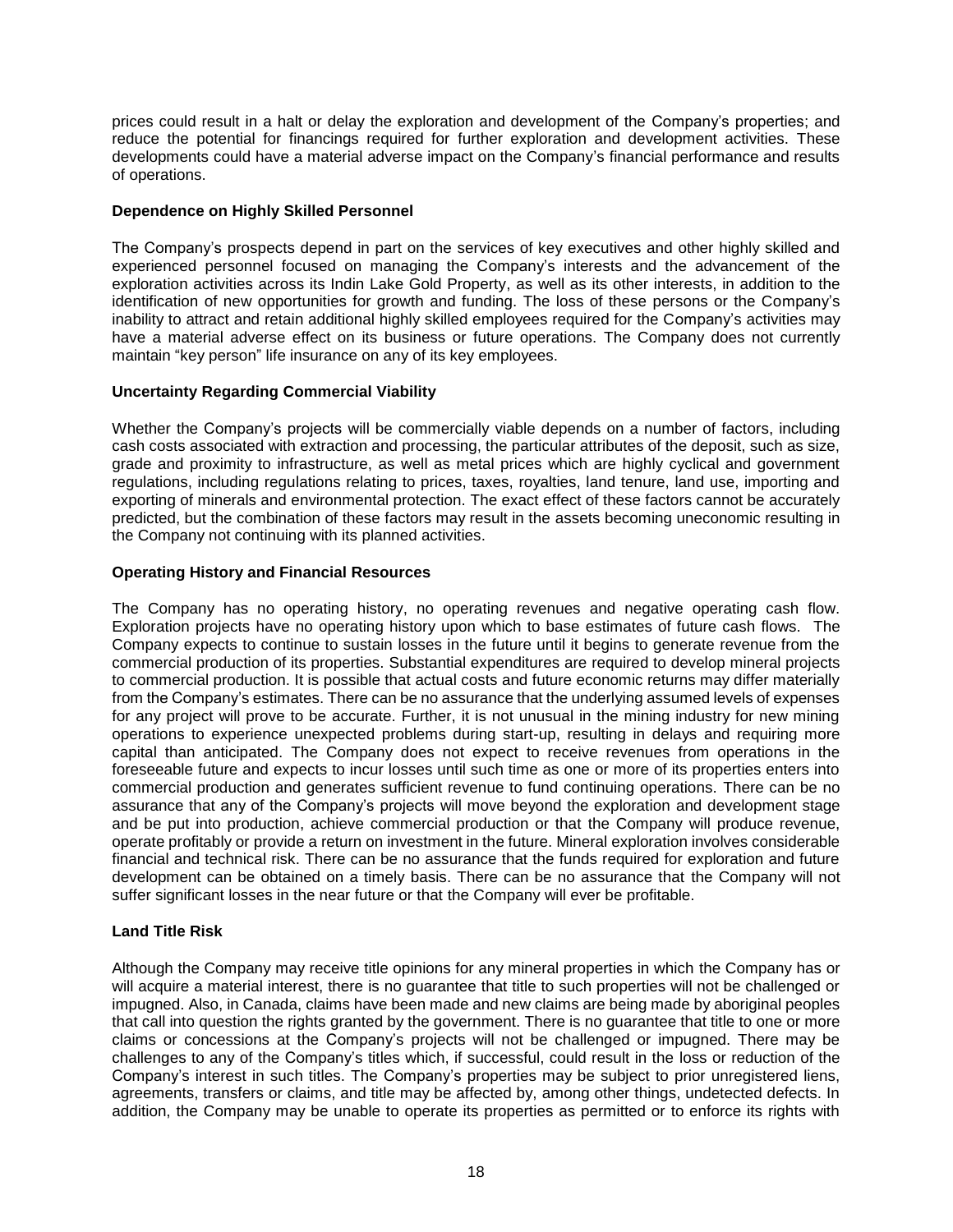prices could result in a halt or delay the exploration and development of the Company's properties; and reduce the potential for financings required for further exploration and development activities. These developments could have a material adverse impact on the Company's financial performance and results of operations.

# **Dependence on Highly Skilled Personnel**

The Company's prospects depend in part on the services of key executives and other highly skilled and experienced personnel focused on managing the Company's interests and the advancement of the exploration activities across its Indin Lake Gold Property, as well as its other interests, in addition to the identification of new opportunities for growth and funding. The loss of these persons or the Company's inability to attract and retain additional highly skilled employees required for the Company's activities may have a material adverse effect on its business or future operations. The Company does not currently maintain "key person" life insurance on any of its key employees.

# **Uncertainty Regarding Commercial Viability**

Whether the Company's projects will be commercially viable depends on a number of factors, including cash costs associated with extraction and processing, the particular attributes of the deposit, such as size, grade and proximity to infrastructure, as well as metal prices which are highly cyclical and government regulations, including regulations relating to prices, taxes, royalties, land tenure, land use, importing and exporting of minerals and environmental protection. The exact effect of these factors cannot be accurately predicted, but the combination of these factors may result in the assets becoming uneconomic resulting in the Company not continuing with its planned activities.

# **Operating History and Financial Resources**

The Company has no operating history, no operating revenues and negative operating cash flow. Exploration projects have no operating history upon which to base estimates of future cash flows. The Company expects to continue to sustain losses in the future until it begins to generate revenue from the commercial production of its properties. Substantial expenditures are required to develop mineral projects to commercial production. It is possible that actual costs and future economic returns may differ materially from the Company's estimates. There can be no assurance that the underlying assumed levels of expenses for any project will prove to be accurate. Further, it is not unusual in the mining industry for new mining operations to experience unexpected problems during start-up, resulting in delays and requiring more capital than anticipated. The Company does not expect to receive revenues from operations in the foreseeable future and expects to incur losses until such time as one or more of its properties enters into commercial production and generates sufficient revenue to fund continuing operations. There can be no assurance that any of the Company's projects will move beyond the exploration and development stage and be put into production, achieve commercial production or that the Company will produce revenue, operate profitably or provide a return on investment in the future. Mineral exploration involves considerable financial and technical risk. There can be no assurance that the funds required for exploration and future development can be obtained on a timely basis. There can be no assurance that the Company will not suffer significant losses in the near future or that the Company will ever be profitable.

# **Land Title Risk**

Although the Company may receive title opinions for any mineral properties in which the Company has or will acquire a material interest, there is no guarantee that title to such properties will not be challenged or impugned. Also, in Canada, claims have been made and new claims are being made by aboriginal peoples that call into question the rights granted by the government. There is no guarantee that title to one or more claims or concessions at the Company's projects will not be challenged or impugned. There may be challenges to any of the Company's titles which, if successful, could result in the loss or reduction of the Company's interest in such titles. The Company's properties may be subject to prior unregistered liens, agreements, transfers or claims, and title may be affected by, among other things, undetected defects. In addition, the Company may be unable to operate its properties as permitted or to enforce its rights with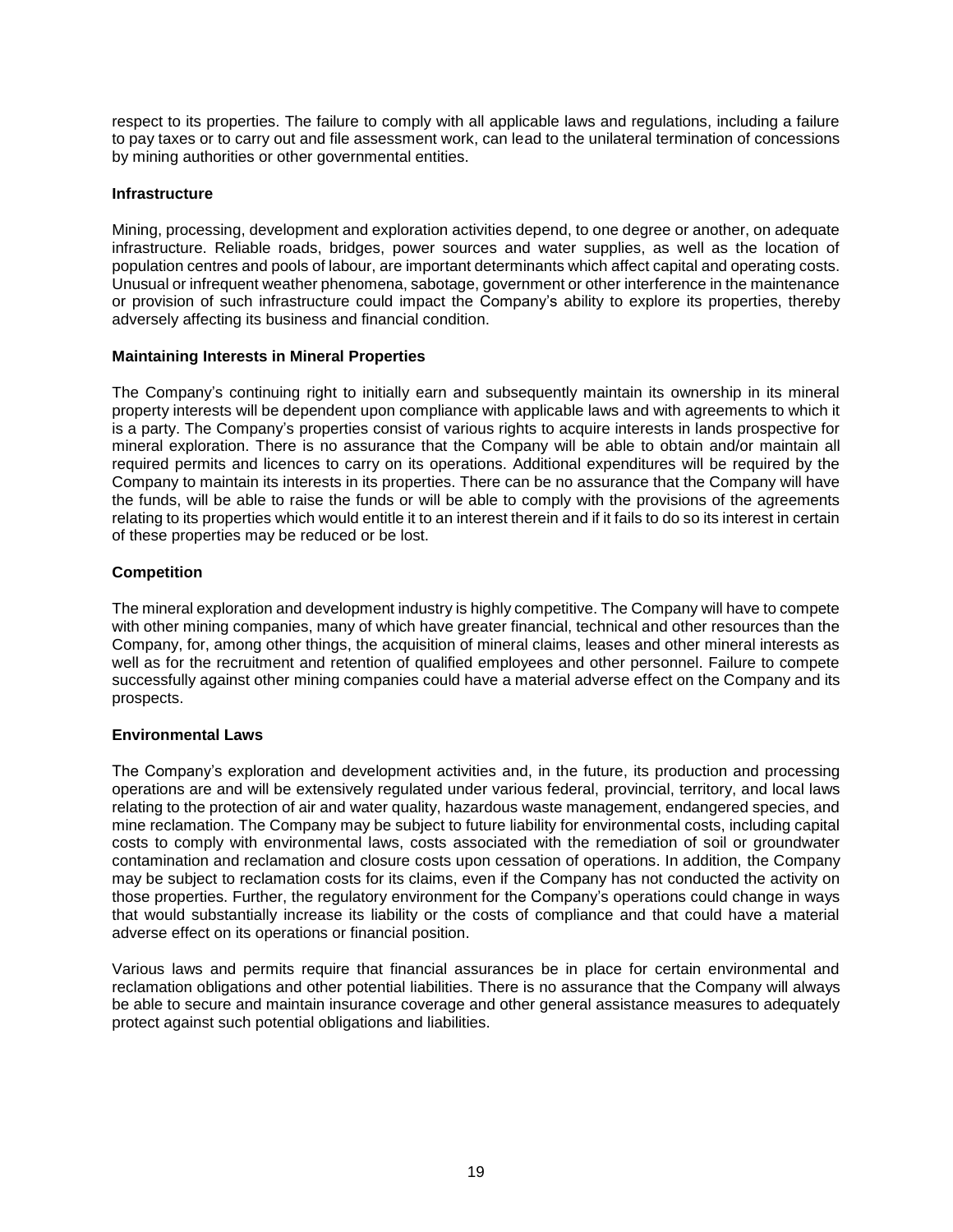respect to its properties. The failure to comply with all applicable laws and regulations, including a failure to pay taxes or to carry out and file assessment work, can lead to the unilateral termination of concessions by mining authorities or other governmental entities.

# **Infrastructure**

Mining, processing, development and exploration activities depend, to one degree or another, on adequate infrastructure. Reliable roads, bridges, power sources and water supplies, as well as the location of population centres and pools of labour, are important determinants which affect capital and operating costs. Unusual or infrequent weather phenomena, sabotage, government or other interference in the maintenance or provision of such infrastructure could impact the Company's ability to explore its properties, thereby adversely affecting its business and financial condition.

# **Maintaining Interests in Mineral Properties**

The Company's continuing right to initially earn and subsequently maintain its ownership in its mineral property interests will be dependent upon compliance with applicable laws and with agreements to which it is a party. The Company's properties consist of various rights to acquire interests in lands prospective for mineral exploration. There is no assurance that the Company will be able to obtain and/or maintain all required permits and licences to carry on its operations. Additional expenditures will be required by the Company to maintain its interests in its properties. There can be no assurance that the Company will have the funds, will be able to raise the funds or will be able to comply with the provisions of the agreements relating to its properties which would entitle it to an interest therein and if it fails to do so its interest in certain of these properties may be reduced or be lost.

# **Competition**

The mineral exploration and development industry is highly competitive. The Company will have to compete with other mining companies, many of which have greater financial, technical and other resources than the Company, for, among other things, the acquisition of mineral claims, leases and other mineral interests as well as for the recruitment and retention of qualified employees and other personnel. Failure to compete successfully against other mining companies could have a material adverse effect on the Company and its prospects.

### **Environmental Laws**

The Company's exploration and development activities and, in the future, its production and processing operations are and will be extensively regulated under various federal, provincial, territory, and local laws relating to the protection of air and water quality, hazardous waste management, endangered species, and mine reclamation. The Company may be subject to future liability for environmental costs, including capital costs to comply with environmental laws, costs associated with the remediation of soil or groundwater contamination and reclamation and closure costs upon cessation of operations. In addition, the Company may be subject to reclamation costs for its claims, even if the Company has not conducted the activity on those properties. Further, the regulatory environment for the Company's operations could change in ways that would substantially increase its liability or the costs of compliance and that could have a material adverse effect on its operations or financial position.

Various laws and permits require that financial assurances be in place for certain environmental and reclamation obligations and other potential liabilities. There is no assurance that the Company will always be able to secure and maintain insurance coverage and other general assistance measures to adequately protect against such potential obligations and liabilities.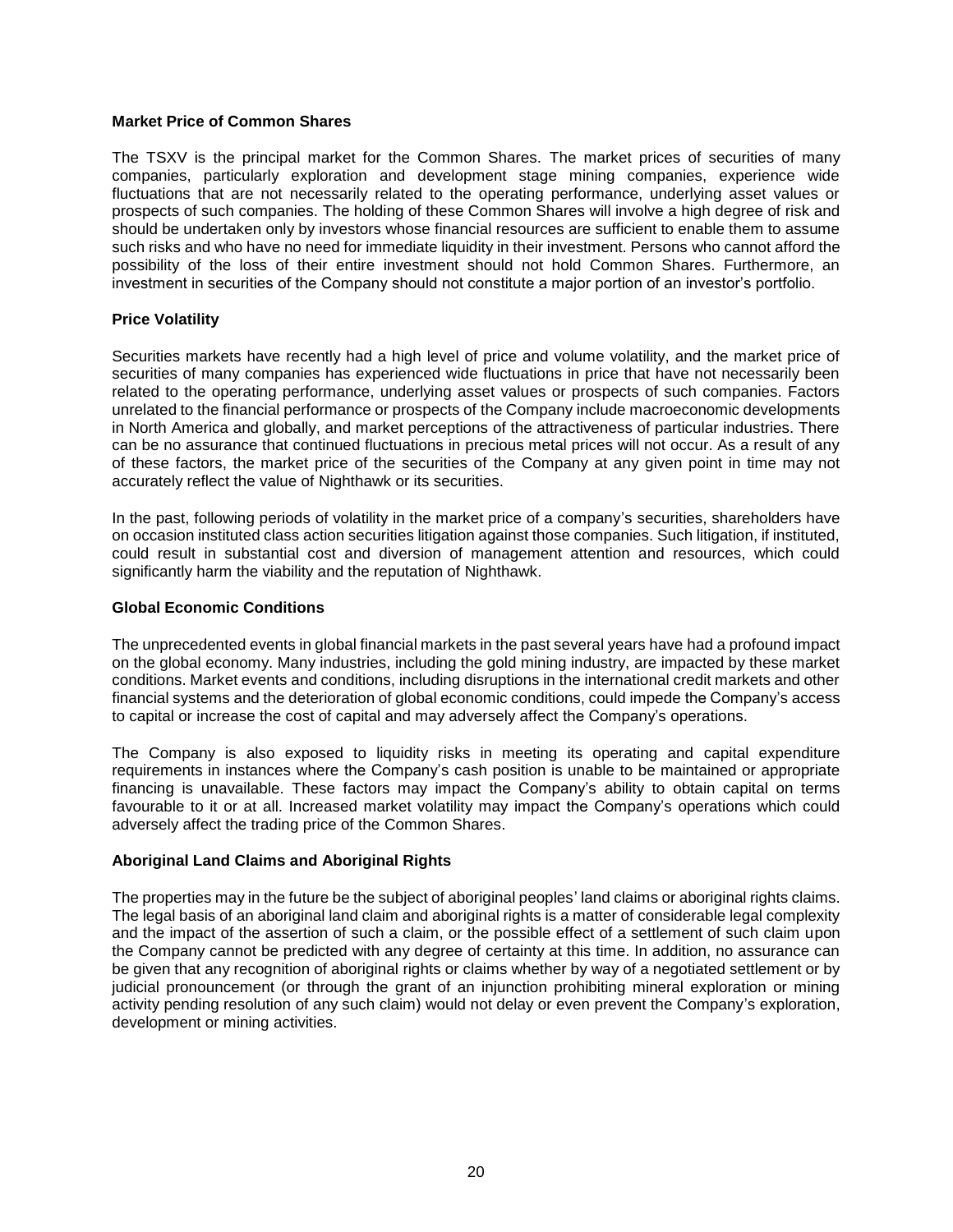#### **Market Price of Common Shares**

The TSXV is the principal market for the Common Shares. The market prices of securities of many companies, particularly exploration and development stage mining companies, experience wide fluctuations that are not necessarily related to the operating performance, underlying asset values or prospects of such companies. The holding of these Common Shares will involve a high degree of risk and should be undertaken only by investors whose financial resources are sufficient to enable them to assume such risks and who have no need for immediate liquidity in their investment. Persons who cannot afford the possibility of the loss of their entire investment should not hold Common Shares. Furthermore, an investment in securities of the Company should not constitute a major portion of an investor's portfolio.

### **Price Volatility**

Securities markets have recently had a high level of price and volume volatility, and the market price of securities of many companies has experienced wide fluctuations in price that have not necessarily been related to the operating performance, underlying asset values or prospects of such companies. Factors unrelated to the financial performance or prospects of the Company include macroeconomic developments in North America and globally, and market perceptions of the attractiveness of particular industries. There can be no assurance that continued fluctuations in precious metal prices will not occur. As a result of any of these factors, the market price of the securities of the Company at any given point in time may not accurately reflect the value of Nighthawk or its securities.

In the past, following periods of volatility in the market price of a company's securities, shareholders have on occasion instituted class action securities litigation against those companies. Such litigation, if instituted, could result in substantial cost and diversion of management attention and resources, which could significantly harm the viability and the reputation of Nighthawk.

### **Global Economic Conditions**

The unprecedented events in global financial markets in the past several years have had a profound impact on the global economy. Many industries, including the gold mining industry, are impacted by these market conditions. Market events and conditions, including disruptions in the international credit markets and other financial systems and the deterioration of global economic conditions, could impede the Company's access to capital or increase the cost of capital and may adversely affect the Company's operations.

The Company is also exposed to liquidity risks in meeting its operating and capital expenditure requirements in instances where the Company's cash position is unable to be maintained or appropriate financing is unavailable. These factors may impact the Company's ability to obtain capital on terms favourable to it or at all. Increased market volatility may impact the Company's operations which could adversely affect the trading price of the Common Shares.

### **Aboriginal Land Claims and Aboriginal Rights**

The properties may in the future be the subject of aboriginal peoples' land claims or aboriginal rights claims. The legal basis of an aboriginal land claim and aboriginal rights is a matter of considerable legal complexity and the impact of the assertion of such a claim, or the possible effect of a settlement of such claim upon the Company cannot be predicted with any degree of certainty at this time. In addition, no assurance can be given that any recognition of aboriginal rights or claims whether by way of a negotiated settlement or by judicial pronouncement (or through the grant of an injunction prohibiting mineral exploration or mining activity pending resolution of any such claim) would not delay or even prevent the Company's exploration, development or mining activities.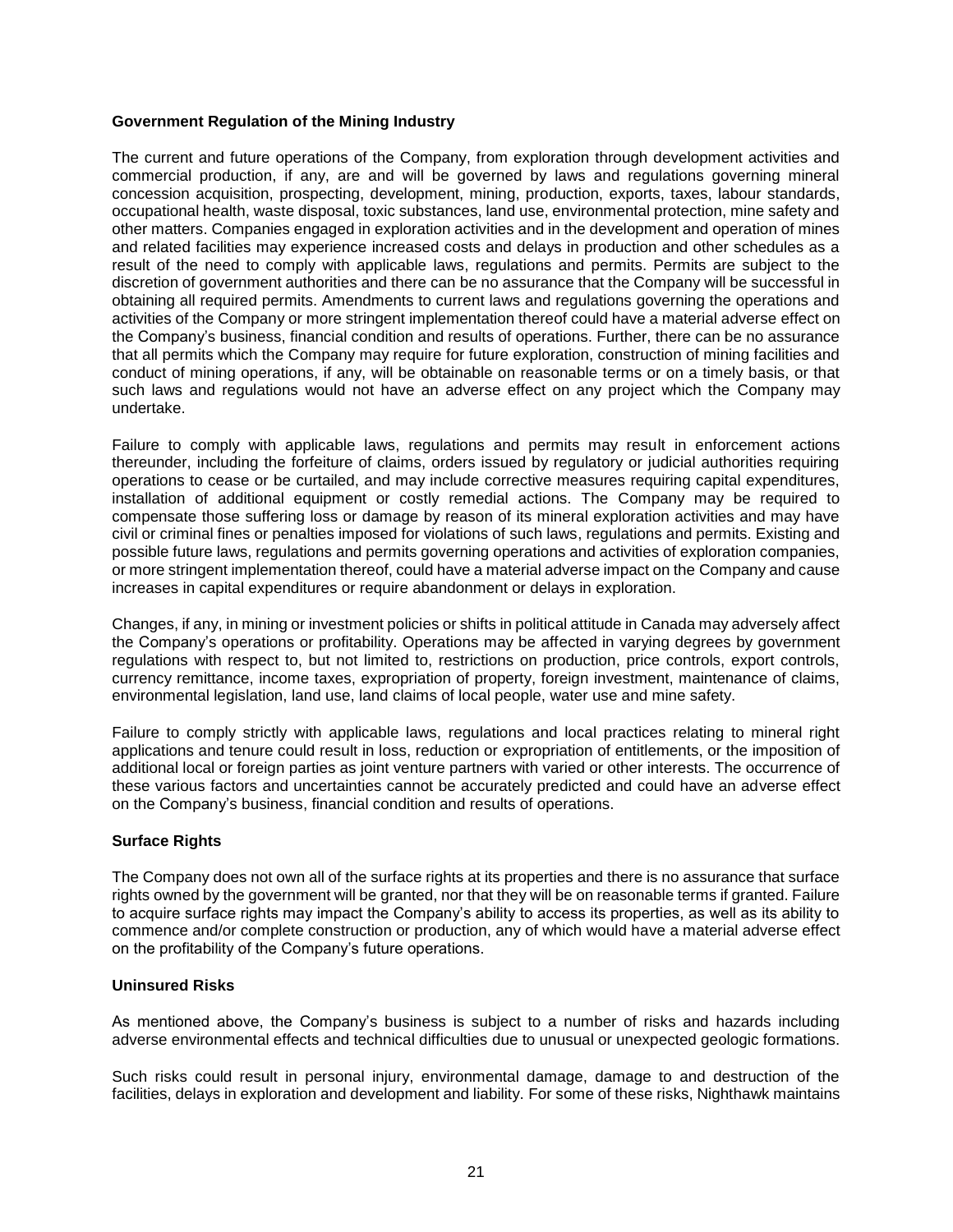### **Government Regulation of the Mining Industry**

The current and future operations of the Company, from exploration through development activities and commercial production, if any, are and will be governed by laws and regulations governing mineral concession acquisition, prospecting, development, mining, production, exports, taxes, labour standards, occupational health, waste disposal, toxic substances, land use, environmental protection, mine safety and other matters. Companies engaged in exploration activities and in the development and operation of mines and related facilities may experience increased costs and delays in production and other schedules as a result of the need to comply with applicable laws, regulations and permits. Permits are subject to the discretion of government authorities and there can be no assurance that the Company will be successful in obtaining all required permits. Amendments to current laws and regulations governing the operations and activities of the Company or more stringent implementation thereof could have a material adverse effect on the Company's business, financial condition and results of operations. Further, there can be no assurance that all permits which the Company may require for future exploration, construction of mining facilities and conduct of mining operations, if any, will be obtainable on reasonable terms or on a timely basis, or that such laws and regulations would not have an adverse effect on any project which the Company may undertake.

Failure to comply with applicable laws, regulations and permits may result in enforcement actions thereunder, including the forfeiture of claims, orders issued by regulatory or judicial authorities requiring operations to cease or be curtailed, and may include corrective measures requiring capital expenditures, installation of additional equipment or costly remedial actions. The Company may be required to compensate those suffering loss or damage by reason of its mineral exploration activities and may have civil or criminal fines or penalties imposed for violations of such laws, regulations and permits. Existing and possible future laws, regulations and permits governing operations and activities of exploration companies, or more stringent implementation thereof, could have a material adverse impact on the Company and cause increases in capital expenditures or require abandonment or delays in exploration.

Changes, if any, in mining or investment policies or shifts in political attitude in Canada may adversely affect the Company's operations or profitability. Operations may be affected in varying degrees by government regulations with respect to, but not limited to, restrictions on production, price controls, export controls, currency remittance, income taxes, expropriation of property, foreign investment, maintenance of claims, environmental legislation, land use, land claims of local people, water use and mine safety.

Failure to comply strictly with applicable laws, regulations and local practices relating to mineral right applications and tenure could result in loss, reduction or expropriation of entitlements, or the imposition of additional local or foreign parties as joint venture partners with varied or other interests. The occurrence of these various factors and uncertainties cannot be accurately predicted and could have an adverse effect on the Company's business, financial condition and results of operations.

### **Surface Rights**

The Company does not own all of the surface rights at its properties and there is no assurance that surface rights owned by the government will be granted, nor that they will be on reasonable terms if granted. Failure to acquire surface rights may impact the Company's ability to access its properties, as well as its ability to commence and/or complete construction or production, any of which would have a material adverse effect on the profitability of the Company's future operations.

### **Uninsured Risks**

As mentioned above, the Company's business is subject to a number of risks and hazards including adverse environmental effects and technical difficulties due to unusual or unexpected geologic formations.

Such risks could result in personal injury, environmental damage, damage to and destruction of the facilities, delays in exploration and development and liability. For some of these risks, Nighthawk maintains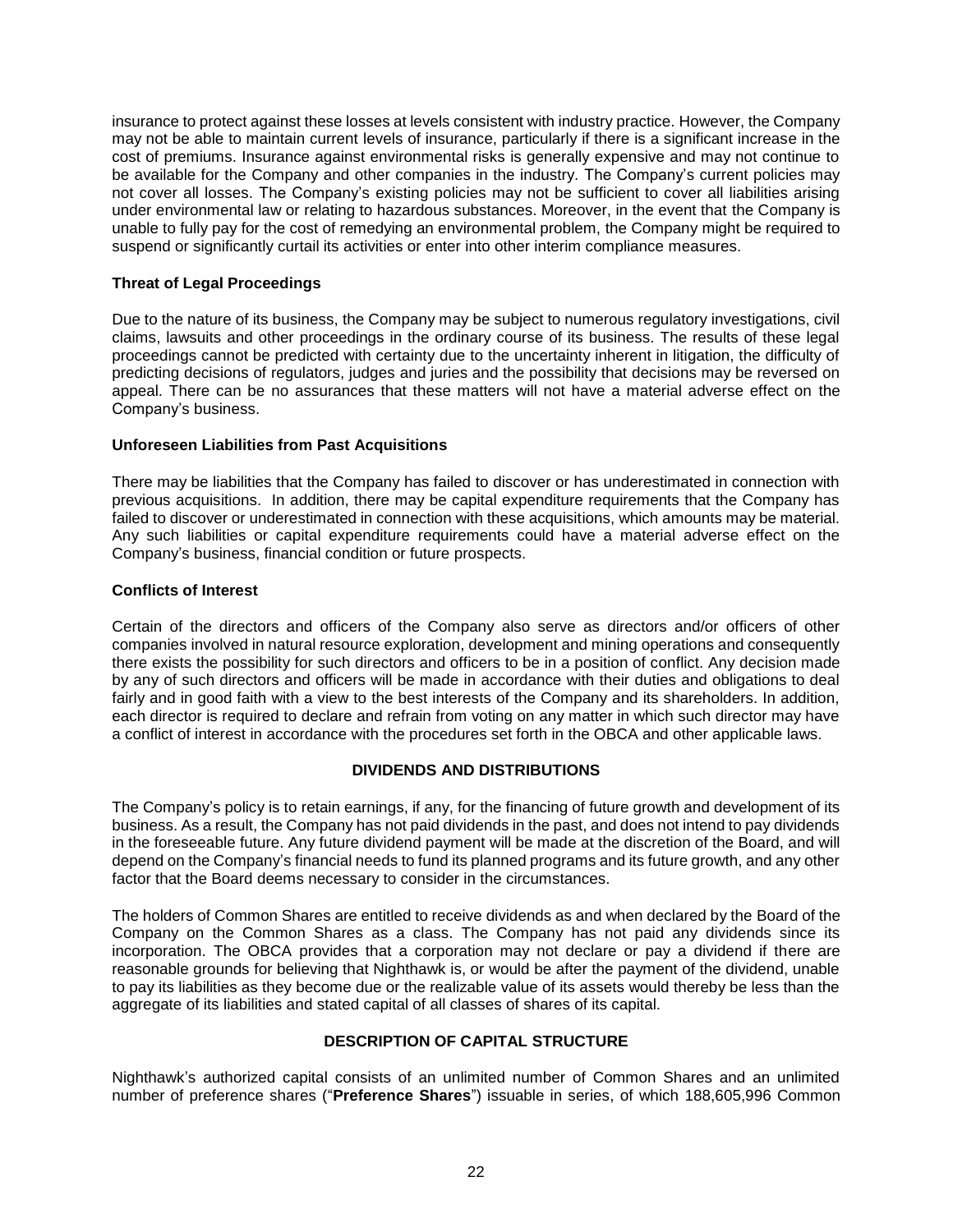insurance to protect against these losses at levels consistent with industry practice. However, the Company may not be able to maintain current levels of insurance, particularly if there is a significant increase in the cost of premiums. Insurance against environmental risks is generally expensive and may not continue to be available for the Company and other companies in the industry. The Company's current policies may not cover all losses. The Company's existing policies may not be sufficient to cover all liabilities arising under environmental law or relating to hazardous substances. Moreover, in the event that the Company is unable to fully pay for the cost of remedying an environmental problem, the Company might be required to suspend or significantly curtail its activities or enter into other interim compliance measures.

# **Threat of Legal Proceedings**

Due to the nature of its business, the Company may be subject to numerous regulatory investigations, civil claims, lawsuits and other proceedings in the ordinary course of its business. The results of these legal proceedings cannot be predicted with certainty due to the uncertainty inherent in litigation, the difficulty of predicting decisions of regulators, judges and juries and the possibility that decisions may be reversed on appeal. There can be no assurances that these matters will not have a material adverse effect on the Company's business.

# **Unforeseen Liabilities from Past Acquisitions**

There may be liabilities that the Company has failed to discover or has underestimated in connection with previous acquisitions. In addition, there may be capital expenditure requirements that the Company has failed to discover or underestimated in connection with these acquisitions, which amounts may be material. Any such liabilities or capital expenditure requirements could have a material adverse effect on the Company's business, financial condition or future prospects.

# **Conflicts of Interest**

Certain of the directors and officers of the Company also serve as directors and/or officers of other companies involved in natural resource exploration, development and mining operations and consequently there exists the possibility for such directors and officers to be in a position of conflict. Any decision made by any of such directors and officers will be made in accordance with their duties and obligations to deal fairly and in good faith with a view to the best interests of the Company and its shareholders. In addition, each director is required to declare and refrain from voting on any matter in which such director may have a conflict of interest in accordance with the procedures set forth in the OBCA and other applicable laws.

# **DIVIDENDS AND DISTRIBUTIONS**

<span id="page-22-0"></span>The Company's policy is to retain earnings, if any, for the financing of future growth and development of its business. As a result, the Company has not paid dividends in the past, and does not intend to pay dividends in the foreseeable future. Any future dividend payment will be made at the discretion of the Board, and will depend on the Company's financial needs to fund its planned programs and its future growth, and any other factor that the Board deems necessary to consider in the circumstances.

The holders of Common Shares are entitled to receive dividends as and when declared by the Board of the Company on the Common Shares as a class. The Company has not paid any dividends since its incorporation. The OBCA provides that a corporation may not declare or pay a dividend if there are reasonable grounds for believing that Nighthawk is, or would be after the payment of the dividend, unable to pay its liabilities as they become due or the realizable value of its assets would thereby be less than the aggregate of its liabilities and stated capital of all classes of shares of its capital.

# **DESCRIPTION OF CAPITAL STRUCTURE**

<span id="page-22-1"></span>Nighthawk's authorized capital consists of an unlimited number of Common Shares and an unlimited number of preference shares ("**Preference Shares**") issuable in series, of which 188,605,996 Common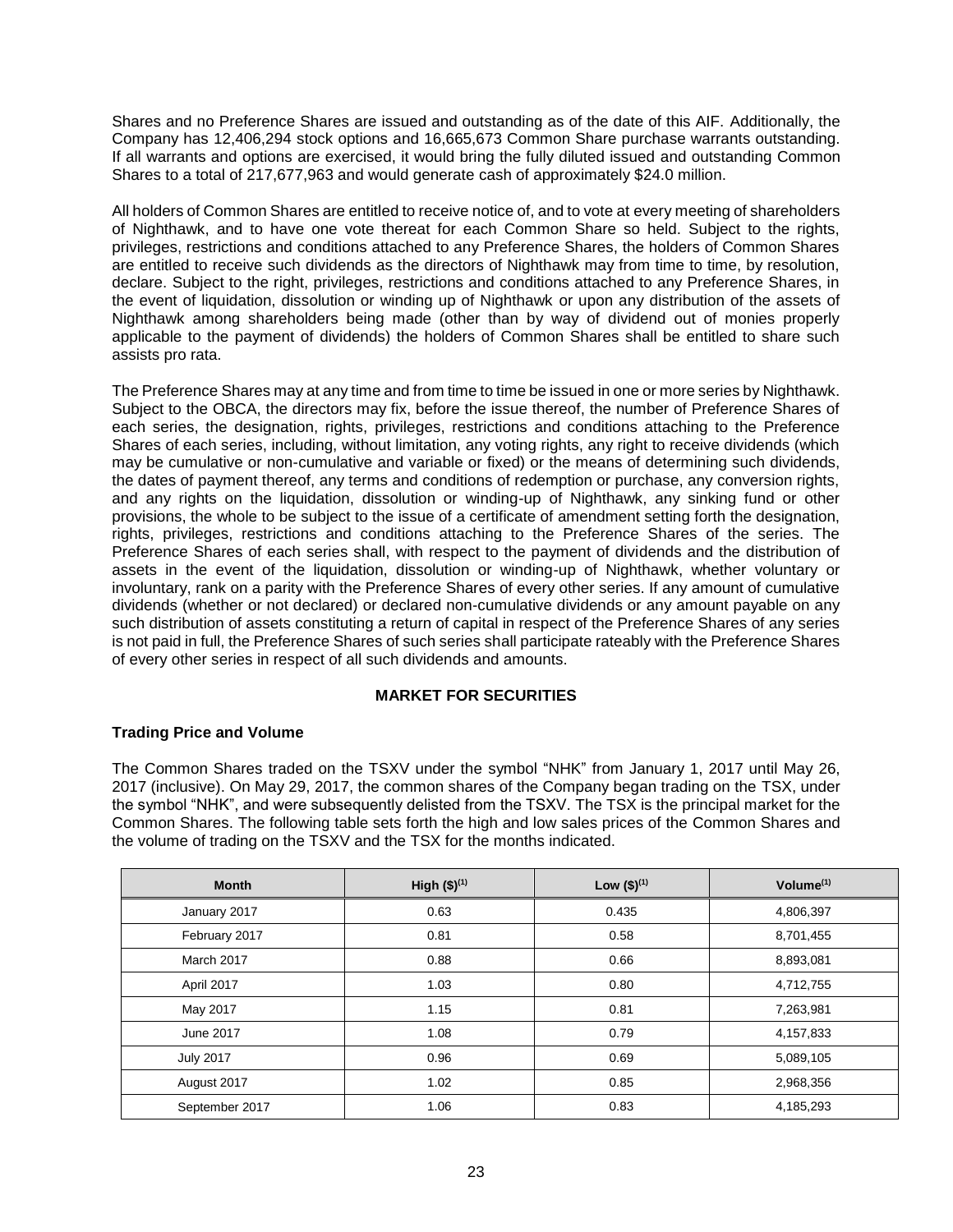Shares and no Preference Shares are issued and outstanding as of the date of this AIF. Additionally, the Company has 12,406,294 stock options and 16,665,673 Common Share purchase warrants outstanding. If all warrants and options are exercised, it would bring the fully diluted issued and outstanding Common Shares to a total of 217,677,963 and would generate cash of approximately \$24.0 million.

All holders of Common Shares are entitled to receive notice of, and to vote at every meeting of shareholders of Nighthawk, and to have one vote thereat for each Common Share so held. Subject to the rights, privileges, restrictions and conditions attached to any Preference Shares, the holders of Common Shares are entitled to receive such dividends as the directors of Nighthawk may from time to time, by resolution, declare. Subject to the right, privileges, restrictions and conditions attached to any Preference Shares, in the event of liquidation, dissolution or winding up of Nighthawk or upon any distribution of the assets of Nighthawk among shareholders being made (other than by way of dividend out of monies properly applicable to the payment of dividends) the holders of Common Shares shall be entitled to share such assists pro rata.

The Preference Shares may at any time and from time to time be issued in one or more series by Nighthawk. Subject to the OBCA, the directors may fix, before the issue thereof, the number of Preference Shares of each series, the designation, rights, privileges, restrictions and conditions attaching to the Preference Shares of each series, including, without limitation, any voting rights, any right to receive dividends (which may be cumulative or non-cumulative and variable or fixed) or the means of determining such dividends, the dates of payment thereof, any terms and conditions of redemption or purchase, any conversion rights, and any rights on the liquidation, dissolution or winding-up of Nighthawk, any sinking fund or other provisions, the whole to be subject to the issue of a certificate of amendment setting forth the designation, rights, privileges, restrictions and conditions attaching to the Preference Shares of the series. The Preference Shares of each series shall, with respect to the payment of dividends and the distribution of assets in the event of the liquidation, dissolution or winding-up of Nighthawk, whether voluntary or involuntary, rank on a parity with the Preference Shares of every other series. If any amount of cumulative dividends (whether or not declared) or declared non-cumulative dividends or any amount payable on any such distribution of assets constituting a return of capital in respect of the Preference Shares of any series is not paid in full, the Preference Shares of such series shall participate rateably with the Preference Shares of every other series in respect of all such dividends and amounts.

# **MARKET FOR SECURITIES**

# <span id="page-23-0"></span>**Trading Price and Volume**

The Common Shares traded on the TSXV under the symbol "NHK" from January 1, 2017 until May 26, 2017 (inclusive). On May 29, 2017, the common shares of the Company began trading on the TSX, under the symbol "NHK", and were subsequently delisted from the TSXV. The TSX is the principal market for the Common Shares. The following table sets forth the high and low sales prices of the Common Shares and the volume of trading on the TSXV and the TSX for the months indicated.

| <b>Month</b>     | High $($)^{(1)}$ | Low $($)^{(1)}$ | Volume $(1)$ |
|------------------|------------------|-----------------|--------------|
| January 2017     | 0.63             | 0.435           | 4,806,397    |
| February 2017    | 0.81             | 0.58            | 8,701,455    |
| March 2017       | 0.88             | 0.66            | 8,893,081    |
| April 2017       | 1.03             | 0.80            | 4,712,755    |
| May 2017         | 1.15             | 0.81            | 7,263,981    |
| June 2017        | 1.08             | 0.79            | 4,157,833    |
| <b>July 2017</b> | 0.96             | 0.69            | 5,089,105    |
| August 2017      | 1.02             | 0.85            | 2,968,356    |
| September 2017   | 1.06             | 0.83            | 4,185,293    |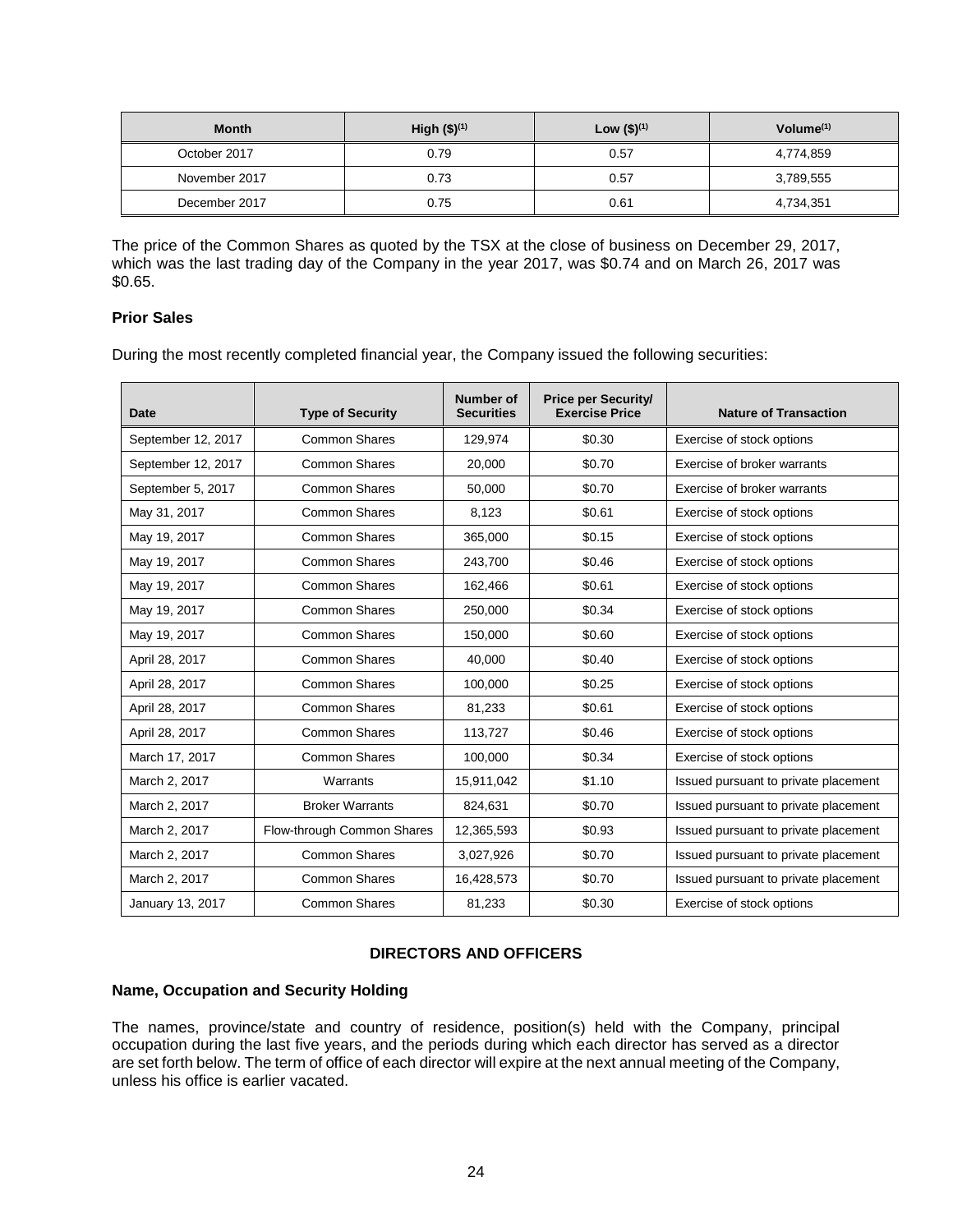| <b>Month</b>  | High $($)^{(1)}$ | Low $($)^{(1)}$ | Volume $(1)$ |
|---------------|------------------|-----------------|--------------|
| October 2017  | 0.79             | 0.57            | 4,774,859    |
| November 2017 | 0.73             | 0.57            | 3,789,555    |
| December 2017 | 0.75             | 0.61            | 4,734,351    |

The price of the Common Shares as quoted by the TSX at the close of business on December 29, 2017, which was the last trading day of the Company in the year 2017, was \$0.74 and on March 26, 2017 was \$0.65.

# **Prior Sales**

During the most recently completed financial year, the Company issued the following securities:

| <b>Date</b>        | <b>Type of Security</b>    | <b>Number of</b><br><b>Securities</b> | <b>Price per Security/</b><br><b>Exercise Price</b> | <b>Nature of Transaction</b>         |
|--------------------|----------------------------|---------------------------------------|-----------------------------------------------------|--------------------------------------|
| September 12, 2017 | <b>Common Shares</b>       | 129,974                               | \$0.30                                              | Exercise of stock options            |
| September 12, 2017 | <b>Common Shares</b>       | 20,000                                | \$0.70                                              | Exercise of broker warrants          |
| September 5, 2017  | <b>Common Shares</b>       | 50,000                                | \$0.70                                              | Exercise of broker warrants          |
| May 31, 2017       | <b>Common Shares</b>       | 8,123                                 | \$0.61                                              | Exercise of stock options            |
| May 19, 2017       | <b>Common Shares</b>       | 365,000                               | \$0.15                                              | Exercise of stock options            |
| May 19, 2017       | <b>Common Shares</b>       | 243,700                               | \$0.46                                              | Exercise of stock options            |
| May 19, 2017       | <b>Common Shares</b>       | 162,466                               | \$0.61                                              | Exercise of stock options            |
| May 19, 2017       | <b>Common Shares</b>       | 250,000                               | \$0.34                                              | Exercise of stock options            |
| May 19, 2017       | <b>Common Shares</b>       | 150,000                               | \$0.60                                              | Exercise of stock options            |
| April 28, 2017     | <b>Common Shares</b>       | 40,000                                | \$0.40                                              | Exercise of stock options            |
| April 28, 2017     | <b>Common Shares</b>       | 100,000                               | \$0.25                                              | Exercise of stock options            |
| April 28, 2017     | <b>Common Shares</b>       | 81,233                                | \$0.61                                              | Exercise of stock options            |
| April 28, 2017     | <b>Common Shares</b>       | 113,727                               | \$0.46                                              | Exercise of stock options            |
| March 17, 2017     | <b>Common Shares</b>       | 100,000                               | \$0.34                                              | Exercise of stock options            |
| March 2, 2017      | Warrants                   | 15,911,042                            | \$1.10                                              | Issued pursuant to private placement |
| March 2, 2017      | <b>Broker Warrants</b>     | 824,631                               | \$0.70                                              | Issued pursuant to private placement |
| March 2, 2017      | Flow-through Common Shares | 12,365,593                            | \$0.93                                              | Issued pursuant to private placement |
| March 2, 2017      | <b>Common Shares</b>       | 3,027,926                             | \$0.70                                              | Issued pursuant to private placement |
| March 2, 2017      | <b>Common Shares</b>       | 16,428,573                            | \$0.70                                              | Issued pursuant to private placement |
| January 13, 2017   | <b>Common Shares</b>       | 81,233                                | \$0.30                                              | Exercise of stock options            |

# **DIRECTORS AND OFFICERS**

### <span id="page-24-0"></span>**Name, Occupation and Security Holding**

The names, province/state and country of residence, position(s) held with the Company, principal occupation during the last five years, and the periods during which each director has served as a director are set forth below. The term of office of each director will expire at the next annual meeting of the Company, unless his office is earlier vacated.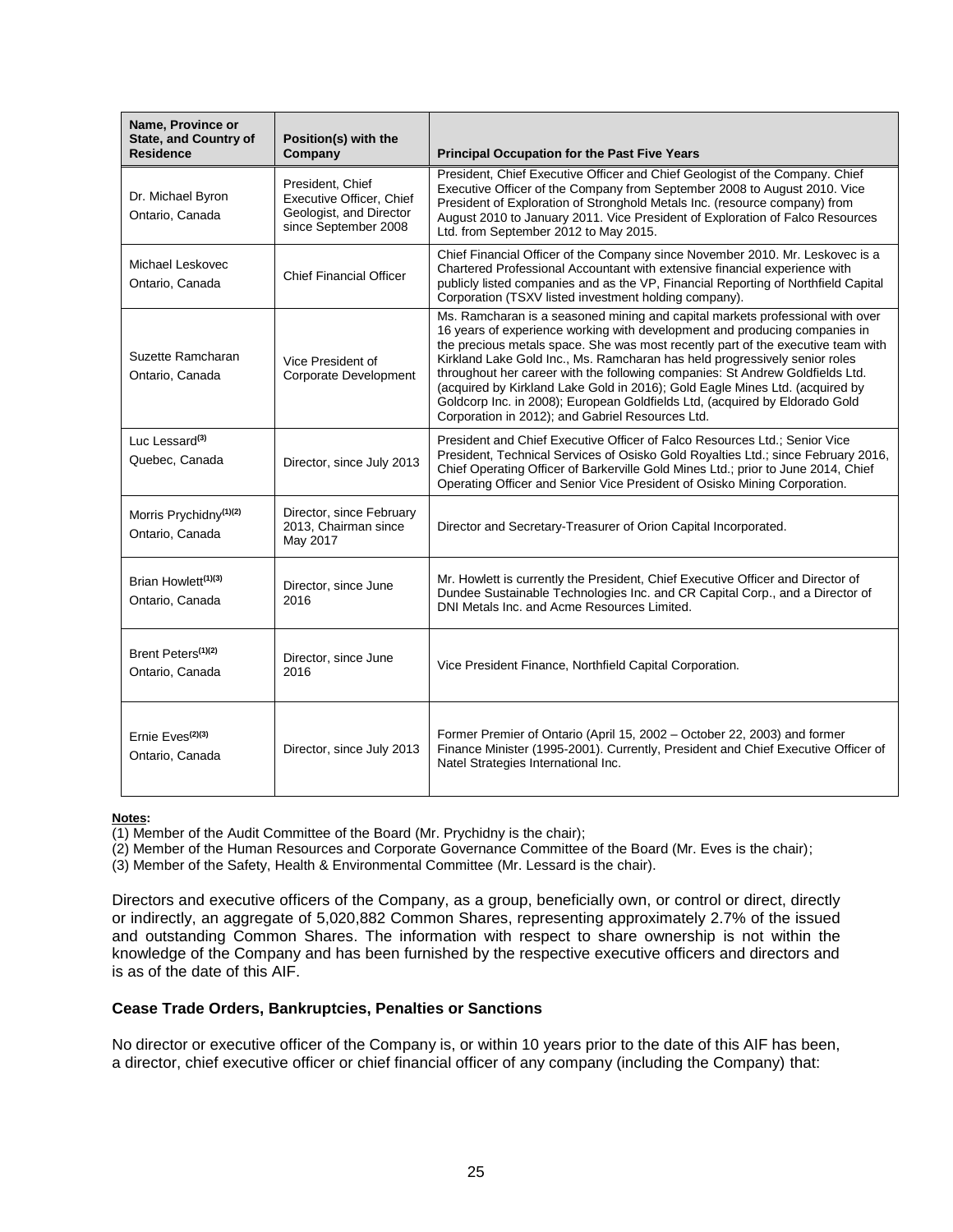| Name, Province or<br><b>State, and Country of</b><br><b>Residence</b> | Position(s) with the<br>Company                                                                 | <b>Principal Occupation for the Past Five Years</b>                                                                                                                                                                                                                                                                                                                                                                                                                                                                                                                                                                               |
|-----------------------------------------------------------------------|-------------------------------------------------------------------------------------------------|-----------------------------------------------------------------------------------------------------------------------------------------------------------------------------------------------------------------------------------------------------------------------------------------------------------------------------------------------------------------------------------------------------------------------------------------------------------------------------------------------------------------------------------------------------------------------------------------------------------------------------------|
| Dr. Michael Byron<br>Ontario, Canada                                  | President, Chief<br>Executive Officer, Chief<br>Geologist, and Director<br>since September 2008 | President, Chief Executive Officer and Chief Geologist of the Company. Chief<br>Executive Officer of the Company from September 2008 to August 2010. Vice<br>President of Exploration of Stronghold Metals Inc. (resource company) from<br>August 2010 to January 2011. Vice President of Exploration of Falco Resources<br>Ltd. from September 2012 to May 2015.                                                                                                                                                                                                                                                                 |
| Michael Leskovec<br>Ontario, Canada                                   | <b>Chief Financial Officer</b>                                                                  | Chief Financial Officer of the Company since November 2010. Mr. Leskovec is a<br>Chartered Professional Accountant with extensive financial experience with<br>publicly listed companies and as the VP, Financial Reporting of Northfield Capital<br>Corporation (TSXV listed investment holding company).                                                                                                                                                                                                                                                                                                                        |
| Suzette Ramcharan<br>Ontario, Canada                                  | Vice President of<br>Corporate Development                                                      | Ms. Ramcharan is a seasoned mining and capital markets professional with over<br>16 years of experience working with development and producing companies in<br>the precious metals space. She was most recently part of the executive team with<br>Kirkland Lake Gold Inc., Ms. Ramcharan has held progressively senior roles<br>throughout her career with the following companies: St Andrew Goldfields Ltd.<br>(acquired by Kirkland Lake Gold in 2016); Gold Eagle Mines Ltd. (acquired by<br>Goldcorp Inc. in 2008); European Goldfields Ltd, (acquired by Eldorado Gold<br>Corporation in 2012); and Gabriel Resources Ltd. |
| Luc Lessard <sup>(3)</sup><br>Quebec, Canada                          | Director, since July 2013                                                                       | President and Chief Executive Officer of Falco Resources Ltd.; Senior Vice<br>President, Technical Services of Osisko Gold Royalties Ltd.; since February 2016,<br>Chief Operating Officer of Barkerville Gold Mines Ltd.; prior to June 2014, Chief<br>Operating Officer and Senior Vice President of Osisko Mining Corporation.                                                                                                                                                                                                                                                                                                 |
| Morris Prychidny <sup>(1)(2)</sup><br>Ontario, Canada                 | Director, since February<br>2013, Chairman since<br>May 2017                                    | Director and Secretary-Treasurer of Orion Capital Incorporated.                                                                                                                                                                                                                                                                                                                                                                                                                                                                                                                                                                   |
| Brian Howlett <sup>(1)(3)</sup><br>Ontario, Canada                    | Director, since June<br>2016                                                                    | Mr. Howlett is currently the President, Chief Executive Officer and Director of<br>Dundee Sustainable Technologies Inc. and CR Capital Corp., and a Director of<br>DNI Metals Inc. and Acme Resources Limited.                                                                                                                                                                                                                                                                                                                                                                                                                    |
| Brent Peters <sup>(1)(2)</sup><br>Ontario, Canada                     | Director, since June<br>2016                                                                    | Vice President Finance, Northfield Capital Corporation.                                                                                                                                                                                                                                                                                                                                                                                                                                                                                                                                                                           |
| Ernie Eves <sup>(2)(3)</sup><br>Ontario, Canada                       | Director, since July 2013                                                                       | Former Premier of Ontario (April 15, 2002 – October 22, 2003) and former<br>Finance Minister (1995-2001). Currently, President and Chief Executive Officer of<br>Natel Strategies International Inc.                                                                                                                                                                                                                                                                                                                                                                                                                              |

### **Notes:**

 $\overline{(1)}$  Member of the Audit Committee of the Board (Mr. Prychidny is the chair);

(2) Member of the Human Resources and Corporate Governance Committee of the Board (Mr. Eves is the chair);

(3) Member of the Safety, Health & Environmental Committee (Mr. Lessard is the chair).

Directors and executive officers of the Company, as a group, beneficially own, or control or direct, directly or indirectly, an aggregate of 5,020,882 Common Shares, representing approximately 2.7% of the issued and outstanding Common Shares. The information with respect to share ownership is not within the knowledge of the Company and has been furnished by the respective executive officers and directors and is as of the date of this AIF.

### **Cease Trade Orders, Bankruptcies, Penalties or Sanctions**

No director or executive officer of the Company is, or within 10 years prior to the date of this AIF has been, a director, chief executive officer or chief financial officer of any company (including the Company) that: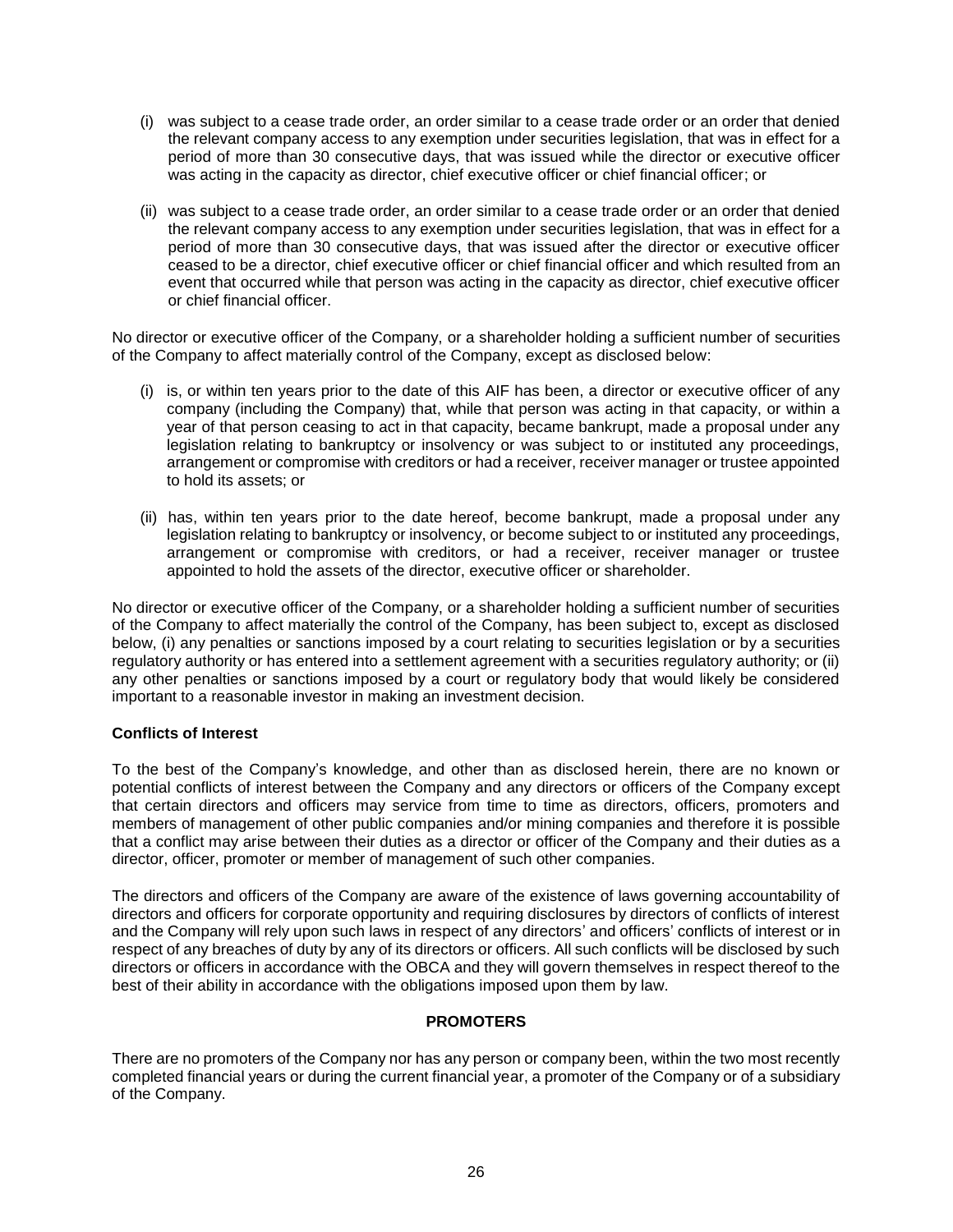- (i) was subject to a cease trade order, an order similar to a cease trade order or an order that denied the relevant company access to any exemption under securities legislation, that was in effect for a period of more than 30 consecutive days, that was issued while the director or executive officer was acting in the capacity as director, chief executive officer or chief financial officer; or
- (ii) was subject to a cease trade order, an order similar to a cease trade order or an order that denied the relevant company access to any exemption under securities legislation, that was in effect for a period of more than 30 consecutive days, that was issued after the director or executive officer ceased to be a director, chief executive officer or chief financial officer and which resulted from an event that occurred while that person was acting in the capacity as director, chief executive officer or chief financial officer.

No director or executive officer of the Company, or a shareholder holding a sufficient number of securities of the Company to affect materially control of the Company, except as disclosed below:

- (i) is, or within ten years prior to the date of this AIF has been, a director or executive officer of any company (including the Company) that, while that person was acting in that capacity, or within a year of that person ceasing to act in that capacity, became bankrupt, made a proposal under any legislation relating to bankruptcy or insolvency or was subject to or instituted any proceedings, arrangement or compromise with creditors or had a receiver, receiver manager or trustee appointed to hold its assets; or
- (ii) has, within ten years prior to the date hereof, become bankrupt, made a proposal under any legislation relating to bankruptcy or insolvency, or become subject to or instituted any proceedings, arrangement or compromise with creditors, or had a receiver, receiver manager or trustee appointed to hold the assets of the director, executive officer or shareholder.

No director or executive officer of the Company, or a shareholder holding a sufficient number of securities of the Company to affect materially the control of the Company, has been subject to, except as disclosed below, (i) any penalties or sanctions imposed by a court relating to securities legislation or by a securities regulatory authority or has entered into a settlement agreement with a securities regulatory authority; or (ii) any other penalties or sanctions imposed by a court or regulatory body that would likely be considered important to a reasonable investor in making an investment decision.

### **Conflicts of Interest**

To the best of the Company's knowledge, and other than as disclosed herein, there are no known or potential conflicts of interest between the Company and any directors or officers of the Company except that certain directors and officers may service from time to time as directors, officers, promoters and members of management of other public companies and/or mining companies and therefore it is possible that a conflict may arise between their duties as a director or officer of the Company and their duties as a director, officer, promoter or member of management of such other companies.

The directors and officers of the Company are aware of the existence of laws governing accountability of directors and officers for corporate opportunity and requiring disclosures by directors of conflicts of interest and the Company will rely upon such laws in respect of any directors' and officers' conflicts of interest or in respect of any breaches of duty by any of its directors or officers. All such conflicts will be disclosed by such directors or officers in accordance with the OBCA and they will govern themselves in respect thereof to the best of their ability in accordance with the obligations imposed upon them by law.

### **PROMOTERS**

<span id="page-26-0"></span>There are no promoters of the Company nor has any person or company been, within the two most recently completed financial years or during the current financial year, a promoter of the Company or of a subsidiary of the Company.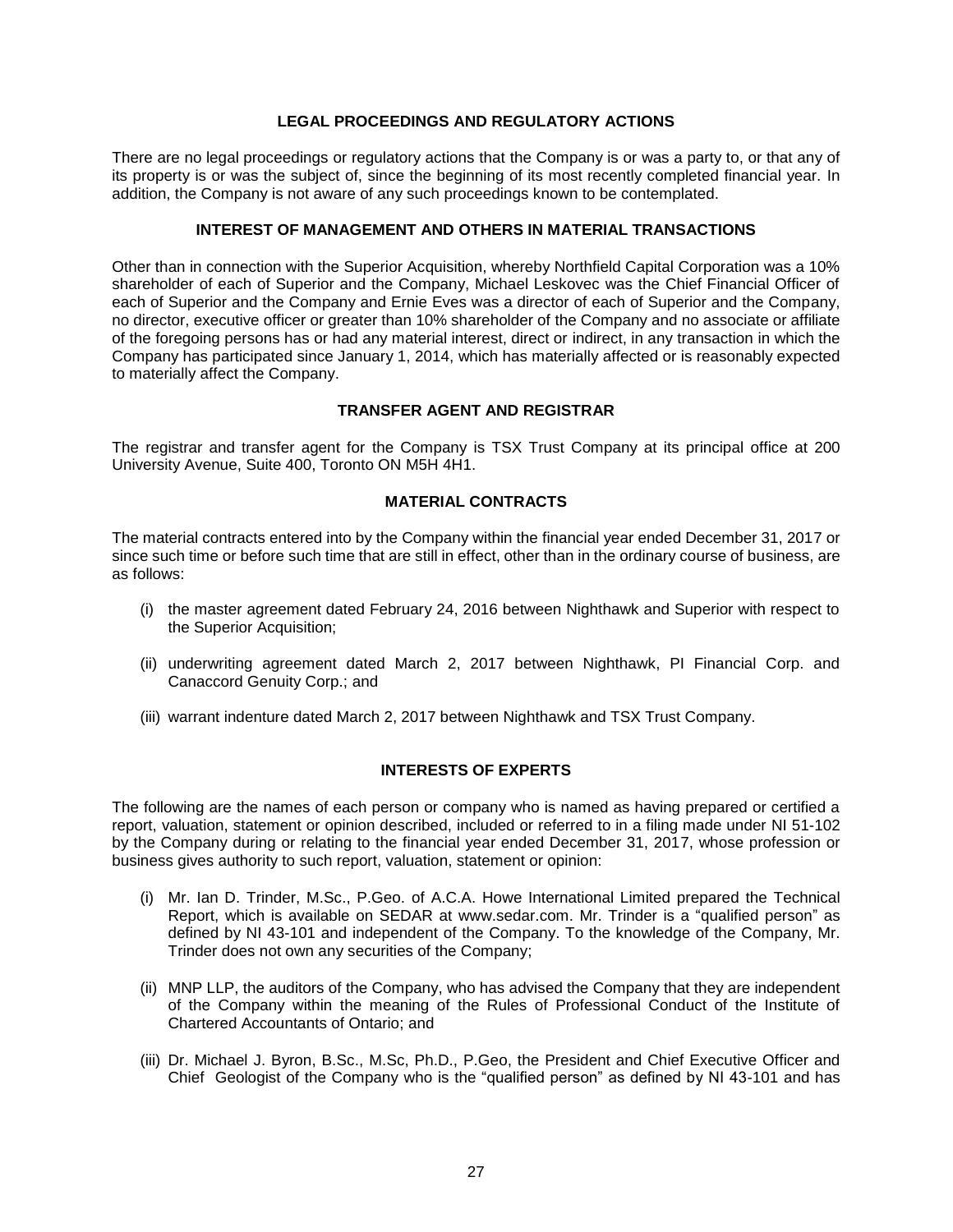### **LEGAL PROCEEDINGS AND REGULATORY ACTIONS**

<span id="page-27-0"></span>There are no legal proceedings or regulatory actions that the Company is or was a party to, or that any of its property is or was the subject of, since the beginning of its most recently completed financial year. In addition, the Company is not aware of any such proceedings known to be contemplated.

# **INTEREST OF MANAGEMENT AND OTHERS IN MATERIAL TRANSACTIONS**

<span id="page-27-1"></span>Other than in connection with the Superior Acquisition, whereby Northfield Capital Corporation was a 10% shareholder of each of Superior and the Company, Michael Leskovec was the Chief Financial Officer of each of Superior and the Company and Ernie Eves was a director of each of Superior and the Company, no director, executive officer or greater than 10% shareholder of the Company and no associate or affiliate of the foregoing persons has or had any material interest, direct or indirect, in any transaction in which the Company has participated since January 1, 2014, which has materially affected or is reasonably expected to materially affect the Company.

# **TRANSFER AGENT AND REGISTRAR**

<span id="page-27-2"></span>The registrar and transfer agent for the Company is TSX Trust Company at its principal office at 200 University Avenue, Suite 400, Toronto ON M5H 4H1.

# **MATERIAL CONTRACTS**

<span id="page-27-3"></span>The material contracts entered into by the Company within the financial year ended December 31, 2017 or since such time or before such time that are still in effect, other than in the ordinary course of business, are as follows:

- (i) the master agreement dated February 24, 2016 between Nighthawk and Superior with respect to the Superior Acquisition;
- (ii) underwriting agreement dated March 2, 2017 between Nighthawk, PI Financial Corp. and Canaccord Genuity Corp.; and
- (iii) warrant indenture dated March 2, 2017 between Nighthawk and TSX Trust Company.

### **INTERESTS OF EXPERTS**

<span id="page-27-4"></span>The following are the names of each person or company who is named as having prepared or certified a report, valuation, statement or opinion described, included or referred to in a filing made under NI 51-102 by the Company during or relating to the financial year ended December 31, 2017, whose profession or business gives authority to such report, valuation, statement or opinion:

- (i) Mr. Ian D. Trinder, M.Sc., P.Geo. of A.C.A. Howe International Limited prepared the Technical Report, which is available on SEDAR at www.sedar.com. Mr. Trinder is a "qualified person" as defined by NI 43-101 and independent of the Company. To the knowledge of the Company, Mr. Trinder does not own any securities of the Company;
- (ii) MNP LLP, the auditors of the Company, who has advised the Company that they are independent of the Company within the meaning of the Rules of Professional Conduct of the Institute of Chartered Accountants of Ontario; and
- (iii) Dr. Michael J. Byron, B.Sc., M.Sc, Ph.D., P.Geo, the President and Chief Executive Officer and Chief Geologist of the Company who is the "qualified person" as defined by NI 43-101 and has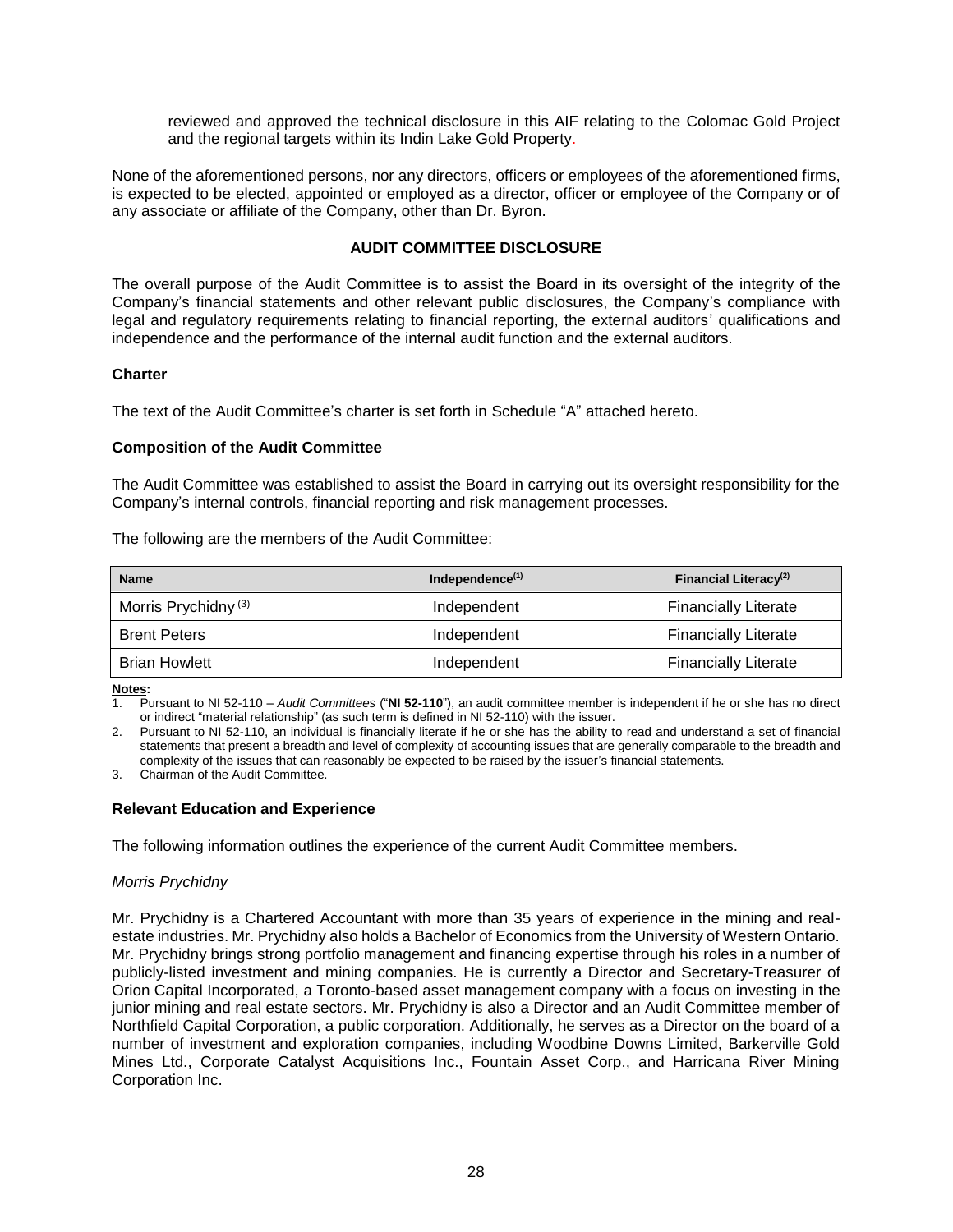reviewed and approved the technical disclosure in this AIF relating to the Colomac Gold Project and the regional targets within its Indin Lake Gold Property.

None of the aforementioned persons, nor any directors, officers or employees of the aforementioned firms, is expected to be elected, appointed or employed as a director, officer or employee of the Company or of any associate or affiliate of the Company, other than Dr. Byron.

# **AUDIT COMMITTEE DISCLOSURE**

<span id="page-28-0"></span>The overall purpose of the Audit Committee is to assist the Board in its oversight of the integrity of the Company's financial statements and other relevant public disclosures, the Company's compliance with legal and regulatory requirements relating to financial reporting, the external auditors' qualifications and independence and the performance of the internal audit function and the external auditors.

### **Charter**

The text of the Audit Committee's charter is set forth in Schedule "A" attached hereto.

# **Composition of the Audit Committee**

The Audit Committee was established to assist the Board in carrying out its oversight responsibility for the Company's internal controls, financial reporting and risk management processes.

The following are the members of the Audit Committee:

| <b>Name</b>                     | Independence $(1)$ | Financial Literacy <sup>(2)</sup> |
|---------------------------------|--------------------|-----------------------------------|
| Morris Prychidny <sup>(3)</sup> | Independent        | <b>Financially Literate</b>       |
| <b>Brent Peters</b>             | Independent        | <b>Financially Literate</b>       |
| <b>Brian Howlett</b>            | Independent        | <b>Financially Literate</b>       |

#### **Notes:**

1. Pursuant to NI 52-110 – *Audit Committees* ("**NI 52-110**"), an audit committee member is independent if he or she has no direct or indirect "material relationship" (as such term is defined in NI 52-110) with the issuer.

2. Pursuant to NI 52-110, an individual is financially literate if he or she has the ability to read and understand a set of financial statements that present a breadth and level of complexity of accounting issues that are generally comparable to the breadth and complexity of the issues that can reasonably be expected to be raised by the issuer's financial statements.

3. Chairman of the Audit Committee.

# **Relevant Education and Experience**

The following information outlines the experience of the current Audit Committee members.

### *Morris Prychidny*

Mr. Prychidny is a Chartered Accountant with more than 35 years of experience in the mining and realestate industries. Mr. Prychidny also holds a Bachelor of Economics from the University of Western Ontario. Mr. Prychidny brings strong portfolio management and financing expertise through his roles in a number of publicly-listed investment and mining companies. He is currently a Director and Secretary-Treasurer of Orion Capital Incorporated, a Toronto-based asset management company with a focus on investing in the junior mining and real estate sectors. Mr. Prychidny is also a Director and an Audit Committee member of Northfield Capital Corporation, a public corporation. Additionally, he serves as a Director on the board of a number of investment and exploration companies, including Woodbine Downs Limited, Barkerville Gold Mines Ltd., Corporate Catalyst Acquisitions Inc., Fountain Asset Corp., and Harricana River Mining Corporation Inc.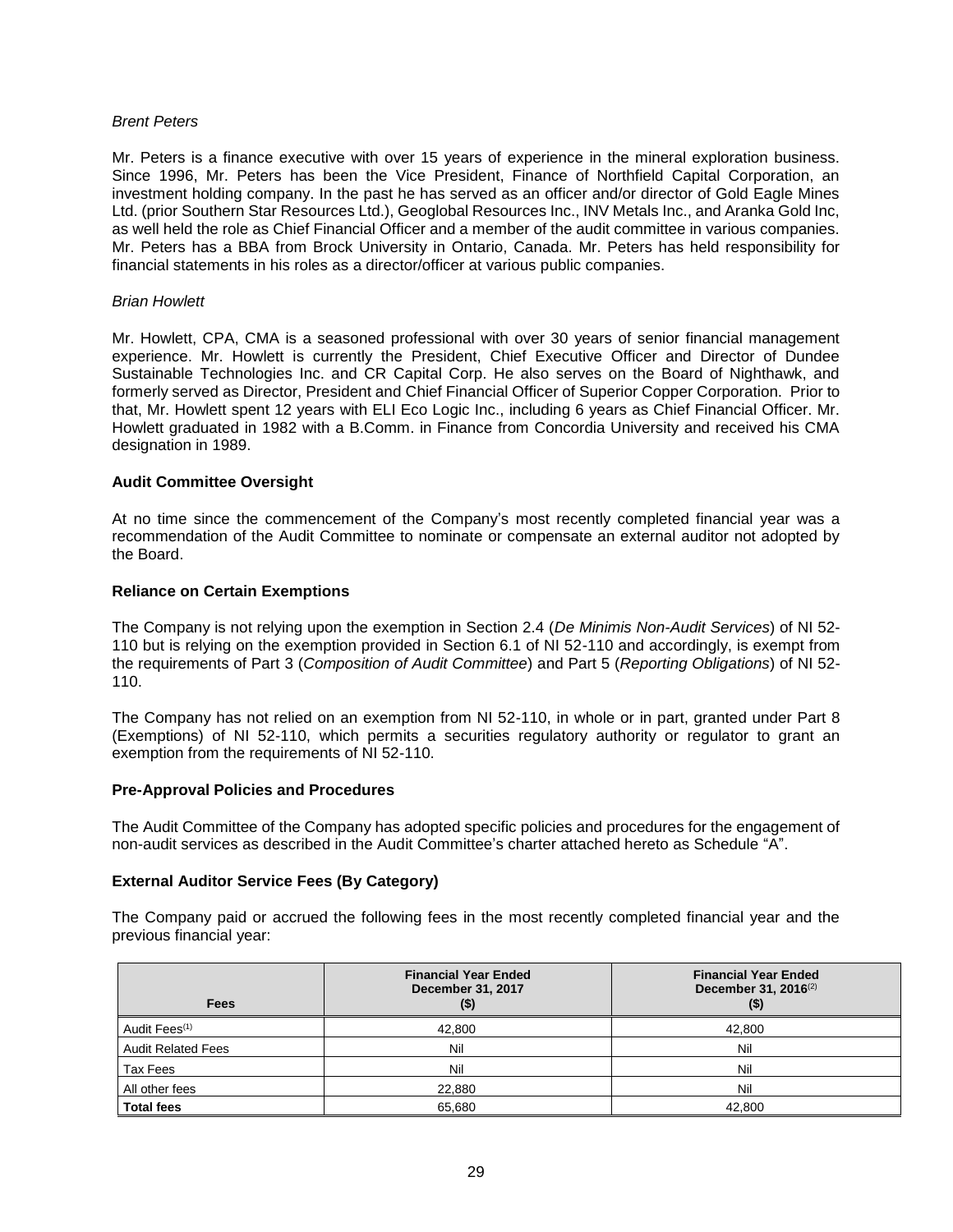#### *Brent Peters*

Mr. Peters is a finance executive with over 15 years of experience in the mineral exploration business. Since 1996, Mr. Peters has been the Vice President, Finance of Northfield Capital Corporation, an investment holding company. In the past he has served as an officer and/or director of Gold Eagle Mines Ltd. (prior Southern Star Resources Ltd.), Geoglobal Resources Inc., INV Metals Inc., and Aranka Gold Inc, as well held the role as Chief Financial Officer and a member of the audit committee in various companies. Mr. Peters has a BBA from Brock University in Ontario, Canada. Mr. Peters has held responsibility for financial statements in his roles as a director/officer at various public companies.

#### *Brian Howlett*

Mr. Howlett, CPA, CMA is a seasoned professional with over 30 years of senior financial management experience. Mr. Howlett is currently the President, Chief Executive Officer and Director of Dundee Sustainable Technologies Inc. and CR Capital Corp. He also serves on the Board of Nighthawk, and formerly served as Director, President and Chief Financial Officer of Superior Copper Corporation. Prior to that, Mr. Howlett spent 12 years with ELI Eco Logic Inc., including 6 years as Chief Financial Officer. Mr. Howlett graduated in 1982 with a B.Comm. in Finance from Concordia University and received his CMA designation in 1989.

### **Audit Committee Oversight**

At no time since the commencement of the Company's most recently completed financial year was a recommendation of the Audit Committee to nominate or compensate an external auditor not adopted by the Board.

### **Reliance on Certain Exemptions**

The Company is not relying upon the exemption in Section 2.4 (*De Minimis Non-Audit Services*) of NI 52- 110 but is relying on the exemption provided in Section 6.1 of NI 52-110 and accordingly, is exempt from the requirements of Part 3 (*Composition of Audit Committee*) and Part 5 (*Reporting Obligations*) of NI 52- 110.

The Company has not relied on an exemption from NI 52-110, in whole or in part, granted under Part 8 (Exemptions) of NI 52-110, which permits a securities regulatory authority or regulator to grant an exemption from the requirements of NI 52-110.

### **Pre-Approval Policies and Procedures**

The Audit Committee of the Company has adopted specific policies and procedures for the engagement of non-audit services as described in the Audit Committee's charter attached hereto as Schedule "A".

### **External Auditor Service Fees (By Category)**

The Company paid or accrued the following fees in the most recently completed financial year and the previous financial year:

| Fees                      | <b>Financial Year Ended</b><br>December 31, 2017<br>$($ \$ | <b>Financial Year Ended</b><br>December 31, 2016 <sup>(2)</sup> |
|---------------------------|------------------------------------------------------------|-----------------------------------------------------------------|
| Audit Fees <sup>(1)</sup> | 42,800                                                     | 42,800                                                          |
| <b>Audit Related Fees</b> | Nil                                                        | Nil                                                             |
| Tax Fees                  | Nil                                                        | Nil                                                             |
| All other fees            | 22,880                                                     | Nil                                                             |
| Total fees                | 65.680                                                     | 42,800                                                          |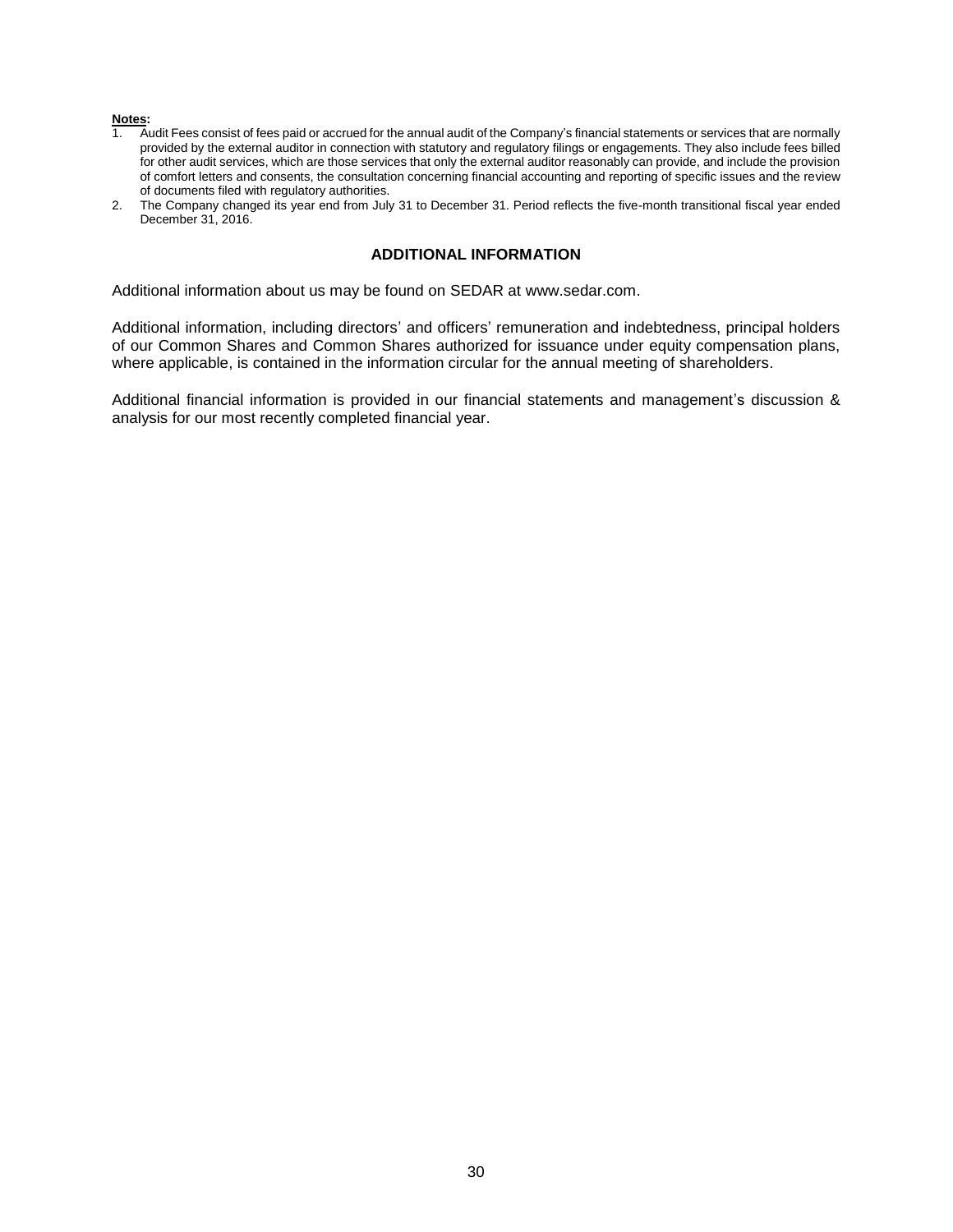#### **Notes:**

- 1. Audit Fees consist of fees paid or accrued for the annual audit of the Company's financial statements or services that are normally provided by the external auditor in connection with statutory and regulatory filings or engagements. They also include fees billed for other audit services, which are those services that only the external auditor reasonably can provide, and include the provision of comfort letters and consents, the consultation concerning financial accounting and reporting of specific issues and the review of documents filed with regulatory authorities.
- <span id="page-30-0"></span>2. The Company changed its year end from July 31 to December 31. Period reflects the five-month transitional fiscal year ended December 31, 2016.

### **ADDITIONAL INFORMATION**

Additional information about us may be found on SEDAR at www.sedar.com.

Additional information, including directors' and officers' remuneration and indebtedness, principal holders of our Common Shares and Common Shares authorized for issuance under equity compensation plans, where applicable, is contained in the information circular for the annual meeting of shareholders.

Additional financial information is provided in our financial statements and management's discussion & analysis for our most recently completed financial year.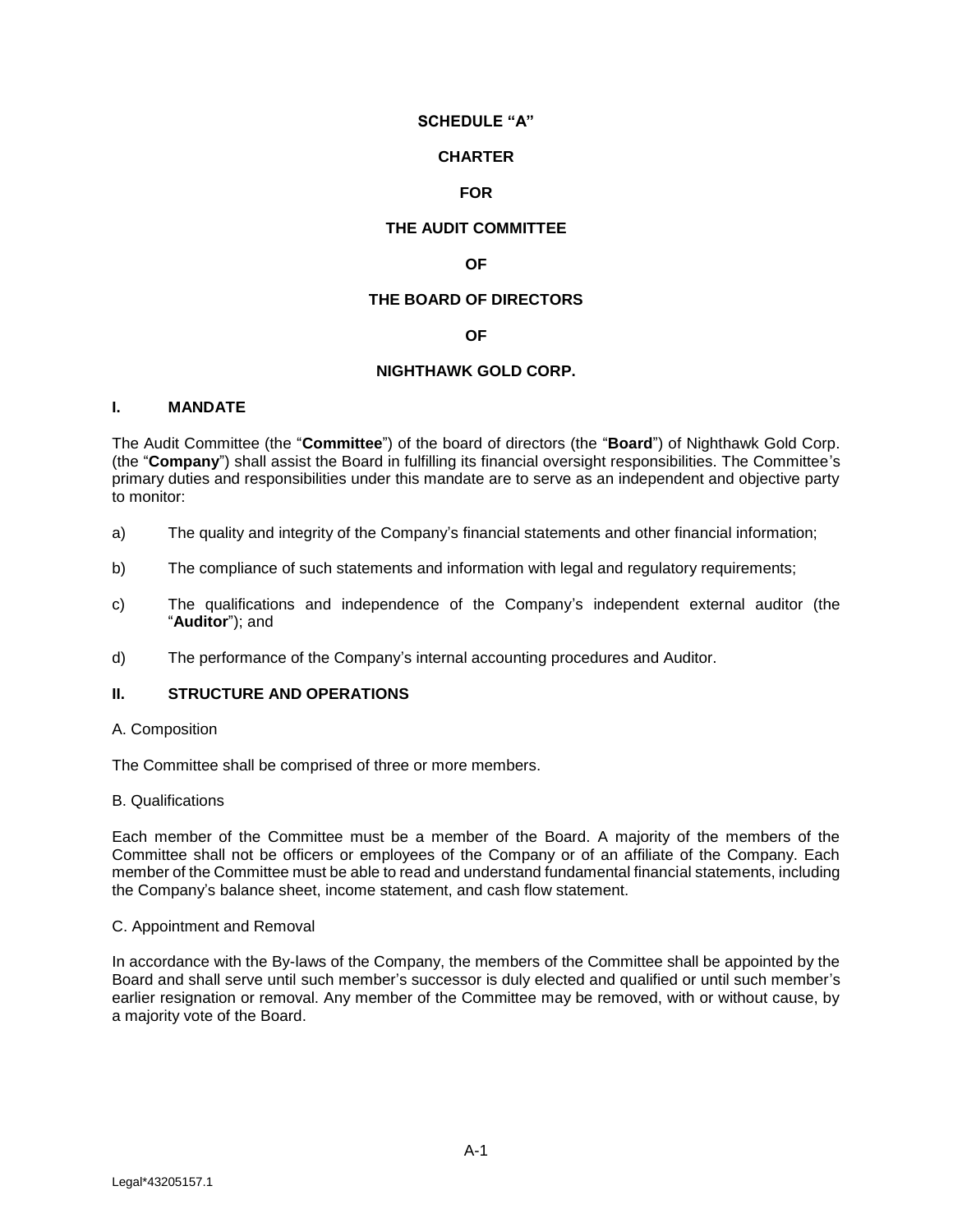## **SCHEDULE "A"**

### **CHARTER**

# **FOR**

# **THE AUDIT COMMITTEE**

# **OF**

# **THE BOARD OF DIRECTORS**

### **OF**

# **NIGHTHAWK GOLD CORP.**

### <span id="page-31-0"></span>**I. MANDATE**

The Audit Committee (the "**Committee**") of the board of directors (the "**Board**") of Nighthawk Gold Corp. (the "**Company**") shall assist the Board in fulfilling its financial oversight responsibilities. The Committee's primary duties and responsibilities under this mandate are to serve as an independent and objective party to monitor:

- a) The quality and integrity of the Company's financial statements and other financial information;
- b) The compliance of such statements and information with legal and regulatory requirements;
- c) The qualifications and independence of the Company's independent external auditor (the "**Auditor**"); and
- d) The performance of the Company's internal accounting procedures and Auditor.

# **II. STRUCTURE AND OPERATIONS**

A. Composition

The Committee shall be comprised of three or more members.

### B. Qualifications

Each member of the Committee must be a member of the Board. A majority of the members of the Committee shall not be officers or employees of the Company or of an affiliate of the Company. Each member of the Committee must be able to read and understand fundamental financial statements, including the Company's balance sheet, income statement, and cash flow statement.

### C. Appointment and Removal

In accordance with the By-laws of the Company, the members of the Committee shall be appointed by the Board and shall serve until such member's successor is duly elected and qualified or until such member's earlier resignation or removal. Any member of the Committee may be removed, with or without cause, by a majority vote of the Board.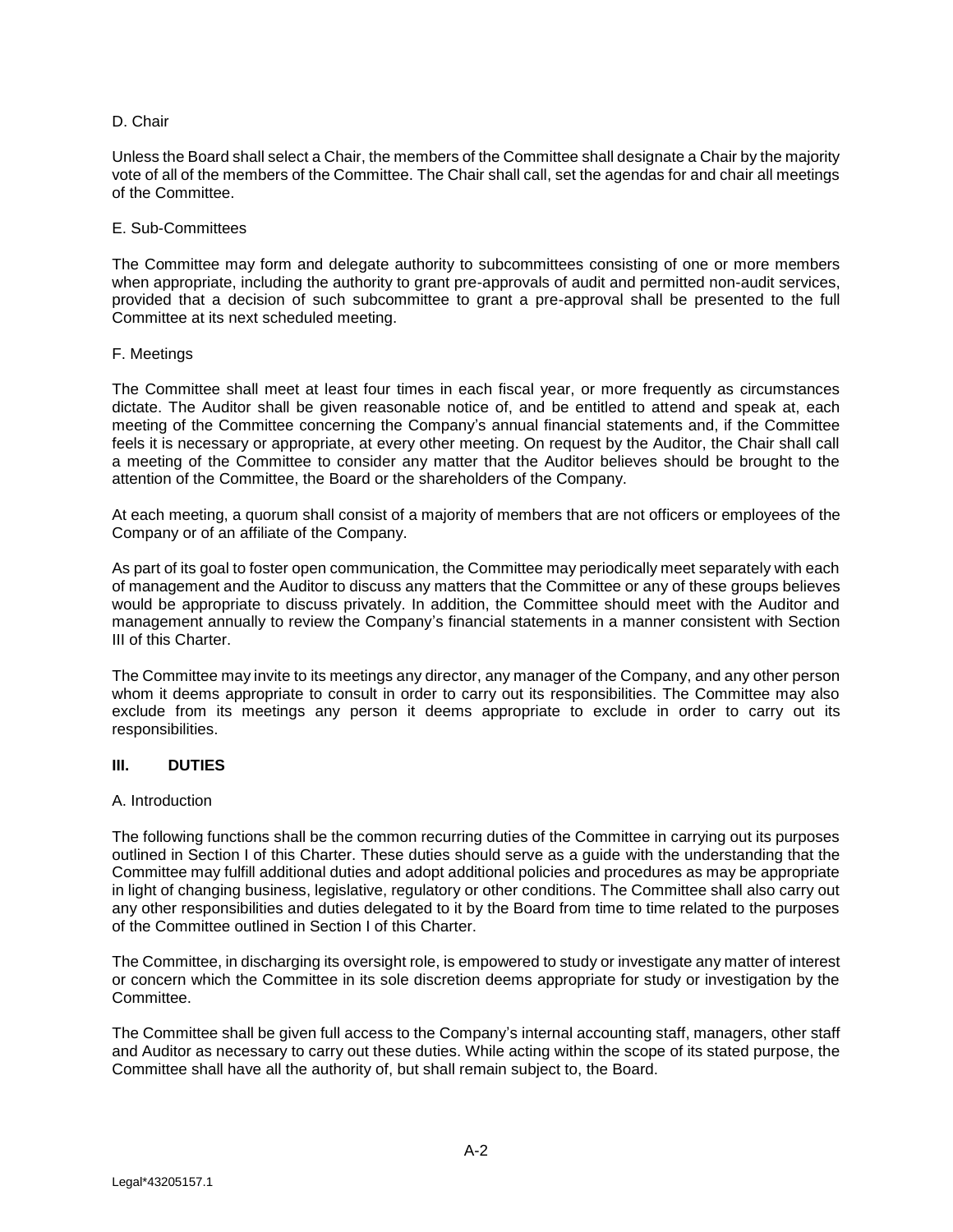### D. Chair

Unless the Board shall select a Chair, the members of the Committee shall designate a Chair by the majority vote of all of the members of the Committee. The Chair shall call, set the agendas for and chair all meetings of the Committee.

### E. Sub-Committees

The Committee may form and delegate authority to subcommittees consisting of one or more members when appropriate, including the authority to grant pre-approvals of audit and permitted non-audit services, provided that a decision of such subcommittee to grant a pre-approval shall be presented to the full Committee at its next scheduled meeting.

# F. Meetings

The Committee shall meet at least four times in each fiscal year, or more frequently as circumstances dictate. The Auditor shall be given reasonable notice of, and be entitled to attend and speak at, each meeting of the Committee concerning the Company's annual financial statements and, if the Committee feels it is necessary or appropriate, at every other meeting. On request by the Auditor, the Chair shall call a meeting of the Committee to consider any matter that the Auditor believes should be brought to the attention of the Committee, the Board or the shareholders of the Company.

At each meeting, a quorum shall consist of a majority of members that are not officers or employees of the Company or of an affiliate of the Company.

As part of its goal to foster open communication, the Committee may periodically meet separately with each of management and the Auditor to discuss any matters that the Committee or any of these groups believes would be appropriate to discuss privately. In addition, the Committee should meet with the Auditor and management annually to review the Company's financial statements in a manner consistent with Section III of this Charter.

The Committee may invite to its meetings any director, any manager of the Company, and any other person whom it deems appropriate to consult in order to carry out its responsibilities. The Committee may also exclude from its meetings any person it deems appropriate to exclude in order to carry out its responsibilities.

# **III. DUTIES**

### A. Introduction

The following functions shall be the common recurring duties of the Committee in carrying out its purposes outlined in Section I of this Charter. These duties should serve as a guide with the understanding that the Committee may fulfill additional duties and adopt additional policies and procedures as may be appropriate in light of changing business, legislative, regulatory or other conditions. The Committee shall also carry out any other responsibilities and duties delegated to it by the Board from time to time related to the purposes of the Committee outlined in Section I of this Charter.

The Committee, in discharging its oversight role, is empowered to study or investigate any matter of interest or concern which the Committee in its sole discretion deems appropriate for study or investigation by the Committee.

The Committee shall be given full access to the Company's internal accounting staff, managers, other staff and Auditor as necessary to carry out these duties. While acting within the scope of its stated purpose, the Committee shall have all the authority of, but shall remain subject to, the Board.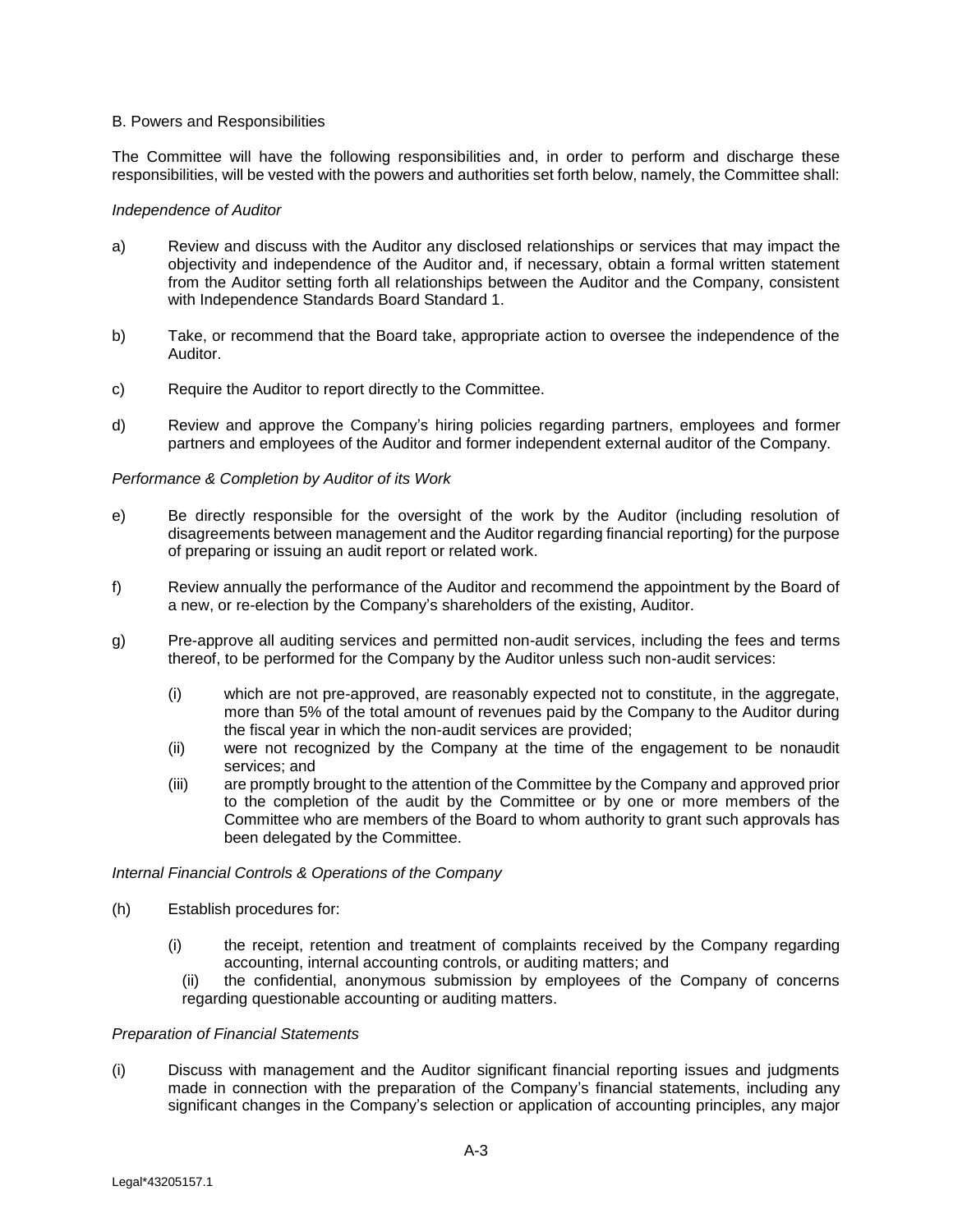#### B. Powers and Responsibilities

The Committee will have the following responsibilities and, in order to perform and discharge these responsibilities, will be vested with the powers and authorities set forth below, namely, the Committee shall:

#### *Independence of Auditor*

- a) Review and discuss with the Auditor any disclosed relationships or services that may impact the objectivity and independence of the Auditor and, if necessary, obtain a formal written statement from the Auditor setting forth all relationships between the Auditor and the Company, consistent with Independence Standards Board Standard 1.
- b) Take, or recommend that the Board take, appropriate action to oversee the independence of the Auditor.
- c) Require the Auditor to report directly to the Committee.
- d) Review and approve the Company's hiring policies regarding partners, employees and former partners and employees of the Auditor and former independent external auditor of the Company.

### *Performance & Completion by Auditor of its Work*

- e) Be directly responsible for the oversight of the work by the Auditor (including resolution of disagreements between management and the Auditor regarding financial reporting) for the purpose of preparing or issuing an audit report or related work.
- f) Review annually the performance of the Auditor and recommend the appointment by the Board of a new, or re-election by the Company's shareholders of the existing, Auditor.
- g) Pre-approve all auditing services and permitted non-audit services, including the fees and terms thereof, to be performed for the Company by the Auditor unless such non-audit services:
	- (i) which are not pre-approved, are reasonably expected not to constitute, in the aggregate, more than 5% of the total amount of revenues paid by the Company to the Auditor during the fiscal year in which the non-audit services are provided;
	- (ii) were not recognized by the Company at the time of the engagement to be nonaudit services; and
	- (iii) are promptly brought to the attention of the Committee by the Company and approved prior to the completion of the audit by the Committee or by one or more members of the Committee who are members of the Board to whom authority to grant such approvals has been delegated by the Committee.

#### *Internal Financial Controls & Operations of the Company*

- (h) Establish procedures for:
	- (i) the receipt, retention and treatment of complaints received by the Company regarding accounting, internal accounting controls, or auditing matters; and
		- (ii) the confidential, anonymous submission by employees of the Company of concerns regarding questionable accounting or auditing matters.

#### *Preparation of Financial Statements*

(i) Discuss with management and the Auditor significant financial reporting issues and judgments made in connection with the preparation of the Company's financial statements, including any significant changes in the Company's selection or application of accounting principles, any major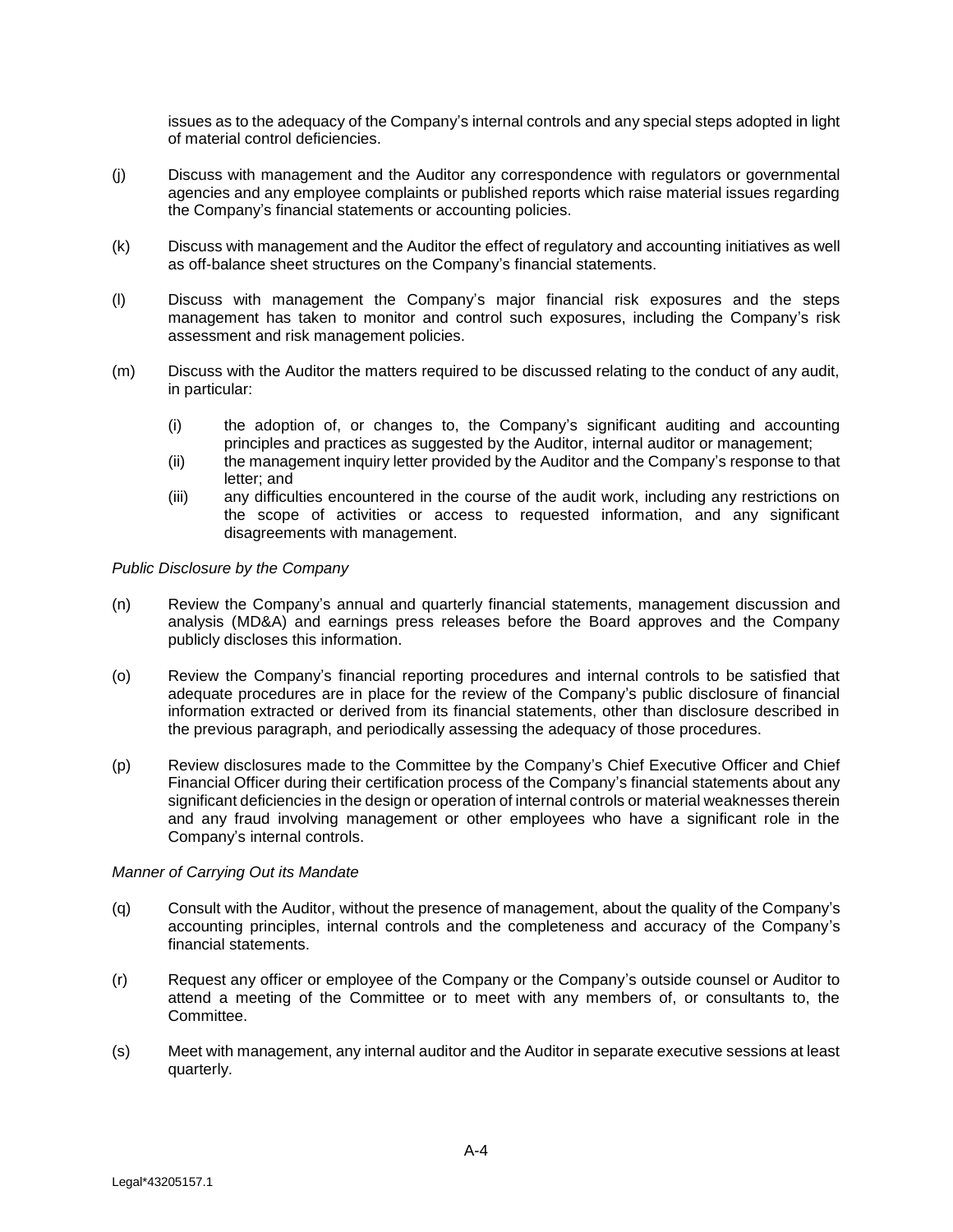issues as to the adequacy of the Company's internal controls and any special steps adopted in light of material control deficiencies.

- (j) Discuss with management and the Auditor any correspondence with regulators or governmental agencies and any employee complaints or published reports which raise material issues regarding the Company's financial statements or accounting policies.
- (k) Discuss with management and the Auditor the effect of regulatory and accounting initiatives as well as off-balance sheet structures on the Company's financial statements.
- (l) Discuss with management the Company's major financial risk exposures and the steps management has taken to monitor and control such exposures, including the Company's risk assessment and risk management policies.
- (m) Discuss with the Auditor the matters required to be discussed relating to the conduct of any audit, in particular:
	- (i) the adoption of, or changes to, the Company's significant auditing and accounting principles and practices as suggested by the Auditor, internal auditor or management;
	- (ii) the management inquiry letter provided by the Auditor and the Company's response to that letter; and
	- (iii) any difficulties encountered in the course of the audit work, including any restrictions on the scope of activities or access to requested information, and any significant disagreements with management.

### *Public Disclosure by the Company*

- (n) Review the Company's annual and quarterly financial statements, management discussion and analysis (MD&A) and earnings press releases before the Board approves and the Company publicly discloses this information.
- (o) Review the Company's financial reporting procedures and internal controls to be satisfied that adequate procedures are in place for the review of the Company's public disclosure of financial information extracted or derived from its financial statements, other than disclosure described in the previous paragraph, and periodically assessing the adequacy of those procedures.
- (p) Review disclosures made to the Committee by the Company's Chief Executive Officer and Chief Financial Officer during their certification process of the Company's financial statements about any significant deficiencies in the design or operation of internal controls or material weaknesses therein and any fraud involving management or other employees who have a significant role in the Company's internal controls.

### *Manner of Carrying Out its Mandate*

- (q) Consult with the Auditor, without the presence of management, about the quality of the Company's accounting principles, internal controls and the completeness and accuracy of the Company's financial statements.
- (r) Request any officer or employee of the Company or the Company's outside counsel or Auditor to attend a meeting of the Committee or to meet with any members of, or consultants to, the Committee.
- (s) Meet with management, any internal auditor and the Auditor in separate executive sessions at least quarterly.